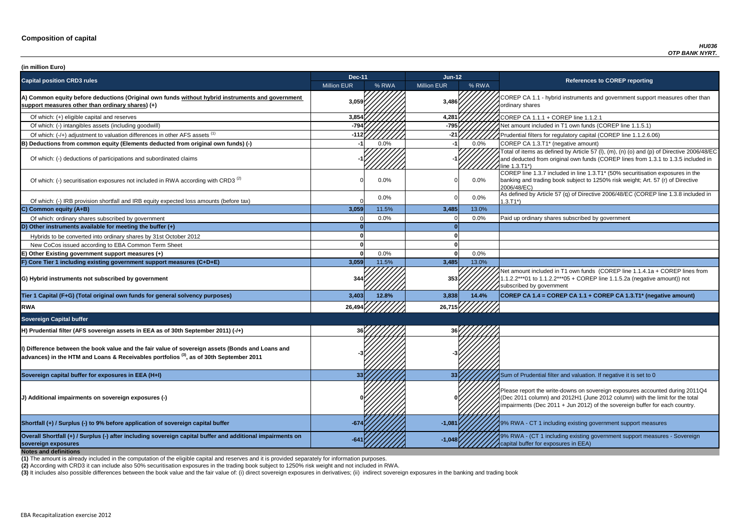**P CA 1.1 - hybrid instruments and government support measures other than** ry shares

of tial filters for regulatory capital (COREP line 1.1.2.6.06)

of items as defined by Article 57 (I),  $(m)$ ,  $(n)$  (o) and  $(p)$  of Directive 2006/48/EC educted from original own funds (COREP lines from 1.3.1 to 1.3.5 included in  $3.71^*$ 

 $\overline{C}$  line 1.3.7 included in line 1.3.T1\* (50% securitisation exposures in the g and trading book subject to 1250% risk weight; Art. 57 (r) of Directive  $8/EC$ )

ned by Article 57 (q) of Directive 2006/48/EC (COREP line 1.3.8 included in

nount included in T1 own funds (COREP line 1.1.4.1a + COREP lines from  $2***01$  to 1.1.2.2\*\*\*05 + COREP line 1.1.5.2a (negative amount)) not ibed by government

**sovereign exposures -641 -1,048** 9% RWA - (CT 1 including existing government support measures - Sovereign buffer for exposures in EEA)

| (in million Euro)                                                                                                                                                                                       |                    |       |                    |         |                                                                                                                                                                                   |
|---------------------------------------------------------------------------------------------------------------------------------------------------------------------------------------------------------|--------------------|-------|--------------------|---------|-----------------------------------------------------------------------------------------------------------------------------------------------------------------------------------|
| <b>Capital position CRD3 rules</b>                                                                                                                                                                      | <b>Dec-11</b>      |       | Jun-12             |         | <b>References to COREP reporting</b>                                                                                                                                              |
|                                                                                                                                                                                                         | <b>Million EUR</b> | % RWA | <b>Million EUR</b> | % RWA   |                                                                                                                                                                                   |
| A) Common equity before deductions (Original own funds without hybrid instruments and government<br>support measures other than ordinary shares) (+)                                                    | 3,059              |       | 3,486              |         | COREP CA 1.1 - hybrid instruments and government suppo<br>ordinary shares                                                                                                         |
| Of which: (+) eligible capital and reserves                                                                                                                                                             | 3,854              |       | 4,281              |         | COREP CA 1.1.1 + COREP line 1.1.2.1                                                                                                                                               |
| Of which: (-) intangibles assets (including goodwill)                                                                                                                                                   | $-794$             |       | $-795$             |         | Net amount included in T1 own funds (COREP line 1.1.5.1)                                                                                                                          |
| Of which: (-/+) adjustment to valuation differences in other AFS assets <sup>(1)</sup>                                                                                                                  | $-112$             |       | -21                |         | Prudential filters for regulatory capital (COREP line 1.1.2.6.                                                                                                                    |
| B) Deductions from common equity (Elements deducted from original own funds) (-)                                                                                                                        |                    | 0.0%  |                    | 0.0%    | COREP CA 1.3.T1* (negative amount)                                                                                                                                                |
| Of which: (-) deductions of participations and subordinated claims                                                                                                                                      |                    |       |                    |         | Total of items as defined by Article 57 (I), (m), (n) (o) and (p<br>and deducted from original own funds (COREP lines from 1<br>line 1.3.T1*)                                     |
| Of which: (-) securitisation exposures not included in RWA according with CRD3 <sup>(2)</sup>                                                                                                           |                    | 0.0%  |                    | $0.0\%$ | COREP line 1.3.7 included in line 1.3.T1* (50% securitisation<br>banking and trading book subject to 1250% risk weight; Art.<br>2006/48/EC)                                       |
| Of which: (-) IRB provision shortfall and IRB equity expected loss amounts (before tax)                                                                                                                 |                    | 0.0%  |                    | $0.0\%$ | As defined by Article 57 (q) of Directive 2006/48/EC (CORE<br>$1.3.T1*)$                                                                                                          |
| C) Common equity (A+B)                                                                                                                                                                                  | 3,059              | 11.5% | 3,485              | 13.0%   |                                                                                                                                                                                   |
| Of which: ordinary shares subscribed by government                                                                                                                                                      |                    | 0.0%  |                    | 0.0%    | Paid up ordinary shares subscribed by government                                                                                                                                  |
| D) Other instruments available for meeting the buffer $(+)$                                                                                                                                             |                    |       |                    |         |                                                                                                                                                                                   |
| Hybrids to be converted into ordinary shares by 31st October 2012                                                                                                                                       |                    |       |                    |         |                                                                                                                                                                                   |
| New CoCos issued according to EBA Common Term Sheet                                                                                                                                                     |                    |       |                    |         |                                                                                                                                                                                   |
| E) Other Existing government support measures (+)                                                                                                                                                       |                    | 0.0%  |                    | 0.0%    |                                                                                                                                                                                   |
| F) Core Tier 1 including existing government support measures (C+D+E)                                                                                                                                   | 3,059              | 11.5% | 3,485              | 13.0%   |                                                                                                                                                                                   |
| G) Hybrid instruments not subscribed by government                                                                                                                                                      | 344                |       | 353                |         | Net amount included in T1 own funds (COREP line 1.1.4.1a<br>1.1.2.2***01 to 1.1.2.2***05 + COREP line 1.1.5.2a (negativ<br>subscribed by government                               |
| Tier 1 Capital (F+G) (Total original own funds for general solvency purposes)                                                                                                                           | 3,403              | 12.8% | 3,838              | 14.4%   | COREP CA 1.4 = COREP CA 1.1 + COREP CA 1.3.T1* (ne                                                                                                                                |
| <b>RWA</b>                                                                                                                                                                                              | 26,494             |       | 26,715             |         |                                                                                                                                                                                   |
| <b>Sovereign Capital buffer</b>                                                                                                                                                                         |                    |       |                    |         |                                                                                                                                                                                   |
| H) Prudential filter (AFS sovereign assets in EEA as of 30th September 2011) (-/+)                                                                                                                      |                    |       |                    |         |                                                                                                                                                                                   |
| Dip Difference between the book value and the fair value of sovereign assets (Bonds and Loans and<br>advances) in the HTM and Loans & Receivables portfolios <sup>(3)</sup> , as of 30th September 2011 |                    |       |                    |         |                                                                                                                                                                                   |
| Sovereign capital buffer for exposures in EEA (H+I)                                                                                                                                                     |                    |       | -33 I              |         | Sum of Prudential filter and valuation. If negative it is set to                                                                                                                  |
| (J) Additional impairments on sovereign exposures (-)                                                                                                                                                   |                    |       |                    |         | Please report the write-downs on sovereign exposures acco<br>(Dec 2011 column) and 2012H1 (June 2012 column) with th<br>impairments (Dec 2011 + Jun 2012) of the sovereign buffer |
| Shortfall (+) / Surplus (-) to 9% before application of sovereign capital buffer                                                                                                                        | $-674$             |       | $-1,081$           |         | 19% RWA - CT 1 including existing government support mea                                                                                                                          |
| Overall Shortfall (+) / Surplus (-) after including sovereign capital buffer and additional impairments on<br>sovereign exposures<br><b>Notes and definitions</b>                                       |                    |       | $-1,048$           |         | 9% RWA - (CT 1 including existing government support mea<br>capital buffer for exposures in EEA)                                                                                  |

**Tier 1 Capital (F+G) (Total original own funds for general solvency purposes) 3,403 12.8% 3,838 14.4% COREP CA 1.4 = COREP CA 1.1 + COREP CA 1.3.T1\* (negative amount)**

report the write-downs on sovereign exposures accounted during 2011Q4 (011 column) and 2012H1 (June 2012 column) with the limit for the total ments (Dec 2011 + Jun 2012) of the sovereign buffer for each country.

**A** - CT 1 including existing government support measures

**(2)** According with CRD3 it can include also 50% securitisation exposures in the trading book subject to 1250% risk weight and not included in RWA.

(3) It includes also possible differences between the book value and the fair value of: (i) direct sovereign exposures in derivatives; (ii) indirect sovereign exposures in the banking and trading book

**(1)** The amount is already included in the computation of the eligible capital and reserves and it is provided separately for information purposes.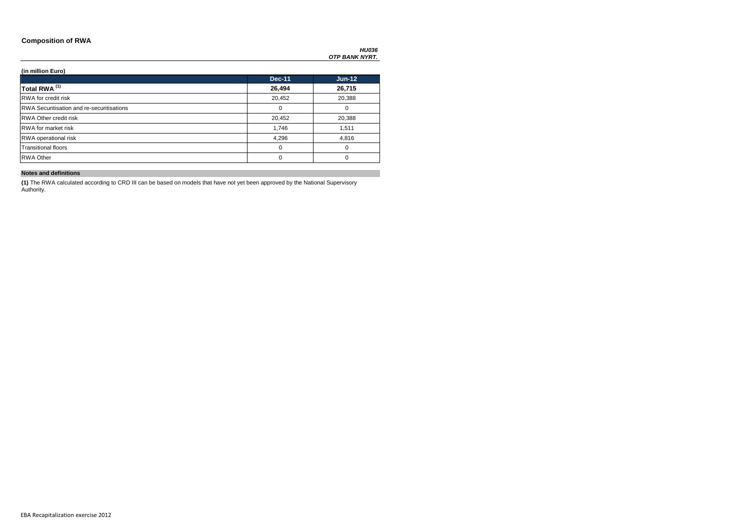### **Composition of RWA**

*HU036 OTP BANK NYRT.*

### **(in million Euro)**

|                                                  | <b>Dec-11</b> | <b>Jun-12</b> |
|--------------------------------------------------|---------------|---------------|
| Total RWA <sup>(1)</sup>                         | 26,494        | 26,715        |
| <b>RWA</b> for credit risk                       | 20,452        | 20,388        |
| <b>RWA Securitisation and re-securitisations</b> | 0             | 0             |
| <b>RWA Other credit risk</b>                     | 20,452        | 20,388        |
| <b>RWA</b> for market risk                       | 1,746         | 1,511         |
| RWA operational risk                             | 4,296         | 4,816         |
| <b>Transitional floors</b>                       | 0             | 0             |
| <b>RWA Other</b>                                 | 0             | 0             |

### **Notes and definitions**

**(1)** The RWA calculated according to CRD III can be based on models that have not yet been approved by the National Supervisory Authority.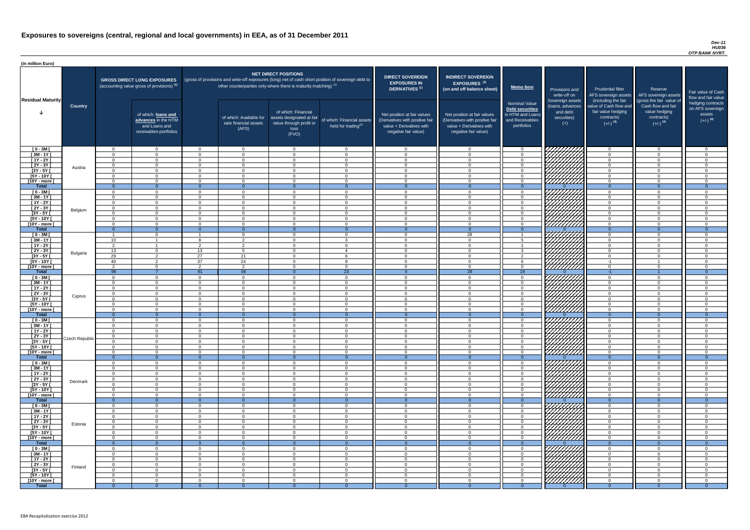#### *Dec-11 HU036 OTP BANK NYRT.*

| (in million Euro)                   |                |                      |                                                                                             |                          |                                                                            |                                                                                              |                                                                                                     |                                                                                                                    |                                                                                                                    |                                                                                              |                                                                          |                                                                                                             |                                                                                                         |                                                   |
|-------------------------------------|----------------|----------------------|---------------------------------------------------------------------------------------------|--------------------------|----------------------------------------------------------------------------|----------------------------------------------------------------------------------------------|-----------------------------------------------------------------------------------------------------|--------------------------------------------------------------------------------------------------------------------|--------------------------------------------------------------------------------------------------------------------|----------------------------------------------------------------------------------------------|--------------------------------------------------------------------------|-------------------------------------------------------------------------------------------------------------|---------------------------------------------------------------------------------------------------------|---------------------------------------------------|
|                                     |                |                      | <b>GROSS DIRECT LONG EXPOSURES</b><br>(accounting value gross of provisions) <sup>(1)</sup> |                          | other counterparties only where there is maturity matching) <sup>(1)</sup> | <b>NET DIRECT POSITIONS</b>                                                                  | (gross of provisions and write-off exposures (long) net of cash short position of sovereign debt to | <b>DIRECT SOVEREIGN</b><br><b>EXPOSURES IN</b><br><b>DERIVATIVES<sup>(1)</sup></b>                                 | <b>INDIRECT SOVEREIGN</b><br><b>EXPOSURES<sup>(3)</sup></b><br>(on and off balance sheet)                          | <b>Memo Item</b>                                                                             | Provisions and<br>write-off on                                           | <b>Prudential filter</b><br>AFS sovereign assets                                                            | Reserve<br>AFS sovereign assets                                                                         | Fair value<br>flow and f                          |
| <b>Residual Maturity</b>            | <b>Country</b> |                      | of which: loans and<br>advances in the HTM<br>and Loans and<br>receivables portfolios       |                          | of which: Available for<br>sale financial assets<br>(AFS)                  | of which: Financial<br>assets designated at fair<br>value through profit or<br>loss<br>(FVO) | of which: Financial assets<br>held for trading <sup>(2)</sup>                                       | Net position at fair values<br>(Derivatives with positive fair<br>value + Derivatives with<br>negative fair value) | Net position at fair values<br>(Derivatives with positive fair<br>value + Derivatives with<br>negative fair value) | <b>Nominal Value</b><br>Debt securities<br>in HTM and Loans<br>and Receivables<br>portfolios | Sovereign assets<br>(loans, advances<br>and debt<br>securities)<br>$(+)$ | (including the fair<br>value of Cash flow and<br>fair value hedging<br>contracts)<br>$(+/-)$ <sup>(4)</sup> | (gross the fair value of<br>Cash flow and fair<br>value hedging<br>contracts)<br>$(+/-)$ <sup>(4)</sup> | hedging o<br>on AFS <sub>s</sub><br>ass<br>$(+/-$ |
| $[0 - 3M]$                          |                | $\cap$               | $\overline{0}$                                                                              | $\Omega$                 | $\overline{0}$                                                             | $\overline{0}$                                                                               | $\Omega$                                                                                            | $\Omega$                                                                                                           | $\cap$                                                                                                             | - 0                                                                                          | 1777777777                                                               | $\overline{0}$                                                                                              | $\overline{0}$                                                                                          |                                                   |
| $[3M - 1Y]$                         |                | $\cap$               | $\Omega$                                                                                    | $\Omega$                 | $\Omega$                                                                   | $\Omega$                                                                                     | $\Omega$                                                                                            | $\Omega$                                                                                                           | $\Omega$                                                                                                           | $\overline{0}$                                                                               |                                                                          | $\Omega$                                                                                                    | $\overline{0}$                                                                                          |                                                   |
| $[1Y - 2Y]$<br>$[2Y - 3Y]$          |                | $\Omega$<br>$\Omega$ | $\Omega$<br>$\Omega$                                                                        | $\Omega$<br>$\Omega$     | $\Omega$<br>$\Omega$                                                       | $\Omega$<br>$\Omega$                                                                         | $\Omega$<br>$\Omega$                                                                                | $\Omega$<br>$\Omega$                                                                                               | $\cap$<br>$\cap$                                                                                                   | $\cap$<br>$\Omega$                                                                           |                                                                          | $\Omega$<br>$\Omega$                                                                                        | $\Omega$<br>$\Omega$                                                                                    |                                                   |
| $[3Y - 5Y]$                         | Austria        | $\Omega$             | $\Omega$                                                                                    | $\Omega$                 | $\overline{0}$                                                             | $\Omega$                                                                                     | $\Omega$                                                                                            | $\Omega$                                                                                                           | $\Omega$                                                                                                           | $\Omega$                                                                                     |                                                                          | $\Omega$                                                                                                    | $\Omega$                                                                                                |                                                   |
| [5Y - 10Y [                         |                | $\cap$<br>$\cap$     | $\Omega$                                                                                    | - റ                      | $\Omega$                                                                   | $\Omega$                                                                                     | $\Omega$<br>$\cap$                                                                                  | $\Omega$<br>$\Omega$                                                                                               | $\cap$<br>$\cap$                                                                                                   | $\Omega$                                                                                     |                                                                          | $\Omega$                                                                                                    | $\Omega$                                                                                                |                                                   |
| [10Y - more [<br>Total              |                | $\Omega$             | $\Omega$<br>$\cap$                                                                          | $\Omega$<br>$\Omega$     | $\overline{0}$<br>$\Omega$                                                 | $\Omega$<br>$\cap$                                                                           |                                                                                                     |                                                                                                                    |                                                                                                                    | $\overline{0}$<br>- 0                                                                        | <u>VIIIIIII</u> II                                                       | $\overline{0}$<br>$\Omega$                                                                                  | $\Omega$<br>$\Omega$                                                                                    |                                                   |
| $[0 - 3M]$                          |                | $\Omega$             | $\Omega$                                                                                    | $\Omega$                 | $\Omega$                                                                   | $\Omega$                                                                                     | $\Omega$                                                                                            | $\Omega$                                                                                                           | $\cap$                                                                                                             | $\overline{0}$                                                                               | 777777777                                                                | $\Omega$                                                                                                    | $\Omega$                                                                                                |                                                   |
| $[3M - 1Y]$                         |                | $\Omega$             | $\Omega$                                                                                    | $\Omega$                 | $\overline{0}$                                                             | $\Omega$                                                                                     | $\Omega$                                                                                            | $\Omega$                                                                                                           | $\Omega$                                                                                                           | $\Omega$                                                                                     |                                                                          | $\Omega$                                                                                                    | $\overline{0}$                                                                                          |                                                   |
| $[1Y - 2Y]$<br>$[2Y - 3Y]$          |                | $\Omega$<br>$\Omega$ | $\overline{0}$<br>$\Omega$                                                                  | $\Omega$<br>$\Omega$     | $\overline{0}$<br>$\overline{0}$                                           | $\overline{0}$<br>$\Omega$                                                                   | $\Omega$<br>$\Omega$                                                                                | $\Omega$<br>$\Omega$                                                                                               | $\Omega$<br>$\Omega$                                                                                               | $\overline{0}$<br>$\Omega$                                                                   |                                                                          | $\overline{0}$<br>$\overline{0}$                                                                            | $\overline{0}$<br>$\Omega$                                                                              |                                                   |
| $[3Y - 5Y]$                         | Belgium        | $\cap$               | $\Omega$                                                                                    | $\Omega$                 | $\Omega$                                                                   | $\Omega$                                                                                     | $\cap$                                                                                              | $\Omega$                                                                                                           | $\cap$                                                                                                             | $\Omega$                                                                                     |                                                                          | $\Omega$                                                                                                    | $\Omega$                                                                                                |                                                   |
| $[5Y - 10Y]$                        |                |                      | $\Omega$                                                                                    | $\Omega$                 | $\Omega$                                                                   | $\Omega$                                                                                     |                                                                                                     |                                                                                                                    |                                                                                                                    | $\Omega$                                                                                     | <i>7777777</i> 7                                                         | $\Omega$                                                                                                    | $\Omega$                                                                                                |                                                   |
| [10Y - more [<br><b>Total</b>       |                | റ<br>$\overline{0}$  | $\Omega$<br>$\Omega$                                                                        | $\Omega$<br>- 0          | $\cap$<br>$\Omega$                                                         | $\Omega$<br>$\Omega$                                                                         | $\cap$<br>$\Omega$                                                                                  | $\Omega$                                                                                                           | $\cap$<br>$\Omega$                                                                                                 | $\cap$<br>$\Omega$                                                                           | 777777777                                                                | $\Omega$<br>$\overline{0}$                                                                                  | $\Omega$<br>$\Omega$                                                                                    |                                                   |
| $[0 - 3M]$                          |                | $\overline{A}$       | $\Omega$                                                                                    |                          | $\Omega$                                                                   | $\Omega$                                                                                     | $\Omega$                                                                                            | $\Omega$                                                                                                           | 28                                                                                                                 |                                                                                              |                                                                          | $\Omega$                                                                                                    | $\Omega$                                                                                                |                                                   |
| $[3M - 1Y]$                         |                | 10<br>$\mathcal{D}$  |                                                                                             | -8<br>$\mathcal{D}$      | $\mathcal{D}$<br>ົດ                                                        | $\Omega$                                                                                     | વ                                                                                                   | $\Omega$                                                                                                           | $\Omega$                                                                                                           | - 5                                                                                          |                                                                          | $\overline{0}$                                                                                              | $\Omega$                                                                                                |                                                   |
| $[1Y - 2Y]$<br>$[2Y - 3Y]$          |                | 13                   | $\Omega$                                                                                    | 13                       | Б.                                                                         | $\Omega$<br>$\Omega$                                                                         | $\cap$                                                                                              | $\Omega$<br>$\Omega$                                                                                               | $\cap$<br>$\cap$                                                                                                   | $\mathbf{R}$                                                                                 | <i>ШЩЩ</i>                                                               | $\overline{0}$<br>$\Omega$                                                                                  | $\Omega$<br>$\overline{0}$                                                                              |                                                   |
| [3Y - 5Y                            | Bulgaria       | 29                   |                                                                                             | 27                       | 21                                                                         |                                                                                              |                                                                                                     |                                                                                                                    |                                                                                                                    |                                                                                              | \ <i>\HHHH</i>                                                           |                                                                                                             |                                                                                                         |                                                   |
| $[5Y - 10Y]$                        |                | 40                   | $\mathcal{D}$                                                                               | 37                       | 24                                                                         | $\Omega$                                                                                     | റ                                                                                                   | $\Omega$                                                                                                           | $\cap$                                                                                                             | - 6                                                                                          |                                                                          | $-1$                                                                                                        |                                                                                                         |                                                   |
| [10Y - more ]<br><b>Total</b>       |                | $\mathcal{D}$<br>98  | $\Omega$                                                                                    | $\overline{2}$<br>91     | $\overline{2}$<br>56                                                       | $\Omega$<br>$\cap$                                                                           | 23                                                                                                  |                                                                                                                    | $\Omega$<br>$\overline{28}$                                                                                        | $\cap$<br>$\overline{19}$                                                                    | 7777777                                                                  | $\Omega$<br>$-1$                                                                                            | $\Omega$                                                                                                |                                                   |
| $[0 - 3M]$                          |                | $\cap$               | $\Omega$                                                                                    | $\Omega$                 | $\Omega$                                                                   | $\Omega$                                                                                     | $\Omega$                                                                                            | $\Omega$                                                                                                           | $\Omega$                                                                                                           | $\cap$                                                                                       |                                                                          | $\Omega$                                                                                                    | $\Omega$                                                                                                |                                                   |
| $[3M - 1Y]$                         |                | $\cap$               | $\Omega$                                                                                    | $\Omega$                 | $\Omega$                                                                   | $\Omega$                                                                                     | ∩                                                                                                   | ∩                                                                                                                  | ∩                                                                                                                  | $\cap$                                                                                       | <b>17777</b>                                                             | $\Omega$                                                                                                    | $\Omega$                                                                                                |                                                   |
| $\overline{[1Y-2Y]}$<br>$[2Y - 3Y]$ |                |                      | - 0<br>$\Omega$                                                                             | $\Omega$<br>$\Omega$     | $\Omega$<br>$\Omega$                                                       | - 0<br>- 0                                                                                   | $\Omega$                                                                                            |                                                                                                                    | $\Omega$                                                                                                           | - 0                                                                                          |                                                                          | $\Omega$<br>$\Omega$                                                                                        | $\Omega$<br>$\Omega$                                                                                    |                                                   |
| $[3Y - 5Y]$                         | Cyprus         | $\cap$               | $\Omega$                                                                                    | $\Omega$                 | $\Omega$                                                                   | - 0                                                                                          | $\Omega$                                                                                            | $\Omega$                                                                                                           | $\Omega$                                                                                                           | $\cap$                                                                                       |                                                                          | $\Omega$                                                                                                    | $\Omega$                                                                                                |                                                   |
| $[5Y - 10Y]$                        |                |                      | $\Omega$                                                                                    | $\Omega$                 | $\Omega$                                                                   | $\Omega$                                                                                     | $\Omega$                                                                                            | ∩                                                                                                                  | ∩                                                                                                                  | $\cap$                                                                                       |                                                                          | $\Omega$                                                                                                    | $\Omega$                                                                                                |                                                   |
| [10Y - more [<br><b>Total</b>       |                | $\cap$<br>$\Omega$   | $\Omega$<br>- റ                                                                             | $\Omega$<br>$\Omega$     | $\Omega$<br>- 0                                                            | $\Omega$                                                                                     | $\Omega$                                                                                            | $\cap$                                                                                                             | $\Omega$                                                                                                           | $\cap$<br>$\Omega$                                                                           |                                                                          | $\Omega$<br>$\Omega$                                                                                        | $\Omega$<br>$\Omega$                                                                                    |                                                   |
| $[0 - 3M]$                          |                | $\cap$               | $\Omega$                                                                                    | $\Omega$                 | $\Omega$                                                                   | $\Omega$                                                                                     | $\Omega$                                                                                            | ∩                                                                                                                  | $\Omega$                                                                                                           | $\cap$                                                                                       |                                                                          | $\Omega$                                                                                                    | $\Omega$                                                                                                |                                                   |
| $\sqrt{3M-1Y}$                      |                | $\Omega$             | $\Omega$                                                                                    | $\Omega$                 | $\Omega$                                                                   | $\Omega$                                                                                     | $\Omega$                                                                                            | $\Omega$                                                                                                           | $\Omega$                                                                                                           | $\overline{0}$                                                                               | ///////////                                                              | $\overline{0}$                                                                                              | $\Omega$                                                                                                |                                                   |
| $[1Y - 2Y]$                         |                | $\Omega$             | $\Omega$                                                                                    | $\Omega$                 | $\overline{0}$                                                             | $\Omega$                                                                                     | - 0                                                                                                 | $\Omega$                                                                                                           | $\Omega$                                                                                                           | $\overline{0}$                                                                               |                                                                          | $\overline{0}$                                                                                              | $\overline{0}$                                                                                          |                                                   |
| $[2Y - 3Y]$<br>$[3Y - 5Y]$          | Czech Republic |                      | $\Omega$<br>$\Omega$                                                                        | $\Omega$<br>$\Omega$     | $\Omega$<br>$\overline{0}$                                                 | $\Omega$<br>$\Omega$                                                                         | ∩                                                                                                   |                                                                                                                    | $\cap$                                                                                                             | $\Omega$<br>$\Omega$                                                                         | 77777777                                                                 | $\Omega$<br>$\overline{0}$                                                                                  | $\Omega$<br>$\overline{0}$                                                                              |                                                   |
| $[5Y - 10Y]$                        |                |                      | $\Omega$                                                                                    | $\Omega$                 | $\Omega$                                                                   | $\Omega$                                                                                     | $\Omega$                                                                                            | ∩                                                                                                                  | ∩                                                                                                                  | $\Omega$                                                                                     |                                                                          | $\Omega$                                                                                                    | $\Omega$                                                                                                |                                                   |
| [10Y - more [                       |                |                      | $\Omega$                                                                                    | $\Omega$                 | $\Omega$                                                                   | $\Omega$                                                                                     |                                                                                                     | ∩                                                                                                                  | ∩                                                                                                                  | $\cap$                                                                                       | 77777777                                                                 | $\Omega$                                                                                                    | $\Omega$                                                                                                |                                                   |
| <b>Total</b><br>$[0 - 3M]$          |                | $\Omega$<br>$\cap$   | $\overline{0}$<br>$\Omega$                                                                  | $\Omega$<br>$\Omega$     | $\Omega$<br>$\Omega$                                                       | $\Omega$<br>$\Omega$                                                                         | $\Omega$<br>$\cap$                                                                                  | $\Omega$                                                                                                           | $\Omega$<br>$\cap$                                                                                                 | $\Omega$<br>$\cap$                                                                           |                                                                          | $\overline{0}$<br>$\Omega$                                                                                  | $\Omega$<br>$\Omega$                                                                                    |                                                   |
| $[3M - 1Y]$                         |                | $\cap$               | $\Omega$                                                                                    | $\cap$                   | $\Omega$                                                                   | $\Omega$                                                                                     | $\cap$                                                                                              | $\Omega$                                                                                                           | $\cap$                                                                                                             | $\Omega$                                                                                     |                                                                          | $\overline{0}$                                                                                              | $\Omega$                                                                                                |                                                   |
| $[1Y - 2Y]$                         |                | $\cap$               | $\overline{0}$                                                                              | $\Omega$                 | $\overline{0}$                                                             | $\Omega$                                                                                     | $\Omega$                                                                                            | $\Omega$                                                                                                           | $\cap$                                                                                                             | $\Omega$                                                                                     |                                                                          | $\overline{0}$                                                                                              | $\Omega$                                                                                                |                                                   |
| $\boxed{2Y - 3Y}$<br>$[3Y - 5Y]$    | Denmark        | $\cap$<br>$\cap$     | $\Omega$<br>$\Omega$                                                                        | $\Omega$<br>$\Omega$     | $\overline{0}$<br>$\Omega$                                                 | $\Omega$<br>$\Omega$                                                                         | $\Omega$<br>$\cap$                                                                                  | $\Omega$<br>$\Omega$                                                                                               | $\cap$<br>$\cap$                                                                                                   | $\Omega$<br>. വ                                                                              |                                                                          | $\overline{0}$<br>$\Omega$                                                                                  | $\Omega$<br>$\Omega$                                                                                    |                                                   |
| $[5Y - 10Y]$                        |                | $\Omega$             | $\overline{0}$                                                                              | $\Omega$                 | $\overline{0}$                                                             | $\overline{0}$                                                                               | $\Omega$                                                                                            | $\Omega$                                                                                                           | $\cap$                                                                                                             | $\Omega$                                                                                     | ,,,,,,,,,,,                                                              | $\overline{0}$                                                                                              | $\Omega$                                                                                                |                                                   |
| [10Y - more ]                       |                | $\Omega$             | $\Omega$                                                                                    | $\Omega$                 | $\overline{0}$                                                             | $\Omega$                                                                                     | $\Omega$                                                                                            | $\Omega$                                                                                                           | $\cap$                                                                                                             | $\Omega$                                                                                     | 77777777                                                                 | $\overline{0}$                                                                                              | $\Omega$                                                                                                |                                                   |
| <b>Total</b><br>$[0 - 3M]$          |                | $\Omega$<br>$\cap$   | $\Omega$                                                                                    | - 0<br>$\Omega$          | $\Omega$<br>$\Omega$                                                       | $\Omega$<br>$\Omega$                                                                         | $\Omega$<br>$\Omega$                                                                                | $\Omega$                                                                                                           | $\Omega$<br>∩                                                                                                      | $\Omega$<br>$\Omega$                                                                         |                                                                          | $\overline{0}$<br>$\Omega$                                                                                  | $\Omega$<br>$\Omega$                                                                                    |                                                   |
| $[3M - 1Y]$                         |                |                      | $\Omega$<br>$\Omega$                                                                        | $\Omega$                 | $\Omega$                                                                   | $\Omega$                                                                                     |                                                                                                     |                                                                                                                    |                                                                                                                    | $\Omega$                                                                                     |                                                                          | $\Omega$                                                                                                    | $\Omega$                                                                                                |                                                   |
| $[1Y - 2Y]$                         |                |                      | $\Omega$                                                                                    | $\Omega$                 | $\Omega$                                                                   | $\Omega$                                                                                     | $\Omega$                                                                                            | $\Omega$                                                                                                           | $\cap$                                                                                                             | $\cap$                                                                                       | レク<br>レンシン                                                               | $\Omega$                                                                                                    | $\Omega$                                                                                                |                                                   |
| $[2Y - 3Y]$                         | Estonia        | റ                    | $\Omega$                                                                                    | $\Omega$                 | $\Omega$                                                                   | $\Omega$                                                                                     | $\Omega$<br>$\Omega$                                                                                | $\Omega$                                                                                                           | $\Omega$                                                                                                           | $\cap$                                                                                       |                                                                          | $\Omega$                                                                                                    | $\Omega$                                                                                                |                                                   |
| $[3Y - 5Y]$<br>$[5Y - 10Y]$         |                |                      | $\Omega$<br>$\Omega$                                                                        | $\Omega$<br>$\Omega$     | $\Omega$<br>$\Omega$                                                       | - 0<br>$\Omega$                                                                              | $\Omega$                                                                                            | $\Omega$                                                                                                           | $\Omega$<br>$\cap$                                                                                                 | $\Omega$<br>$\cap$                                                                           | レンプ                                                                      | $\Omega$<br>$\Omega$                                                                                        | $\Omega$<br>$\Omega$                                                                                    |                                                   |
| [10Y - more [                       |                | $\cap$               | $\Omega$                                                                                    | റ                        | $\Omega$                                                                   | $\Omega$                                                                                     | $\cap$                                                                                              | $\Omega$                                                                                                           | റ                                                                                                                  | $\cap$                                                                                       | <u>/////</u>                                                             | $\Omega$                                                                                                    | $\Omega$                                                                                                |                                                   |
| <b>Total</b>                        |                | $\Omega$             | - 0                                                                                         | $\Omega$                 | - റ                                                                        |                                                                                              |                                                                                                     |                                                                                                                    |                                                                                                                    |                                                                                              |                                                                          | $\Omega$                                                                                                    | $\Omega$                                                                                                |                                                   |
| $[0 - 3M]$<br>$[3M - 1Y]$           |                | $\Omega$             | $\Omega$<br>$\Omega$                                                                        | $\cap$<br>$\overline{0}$ | $\Omega$<br>$\overline{0}$                                                 | $\Omega$<br>$\Omega$                                                                         | $\Omega$                                                                                            | $\Omega$                                                                                                           | $\Omega$                                                                                                           | $\Omega$                                                                                     | <i><u>VIIIIIIII</u></i>                                                  | $\Omega$<br>$\overline{0}$                                                                                  | $\cap$<br>$\overline{0}$                                                                                |                                                   |
| $[1Y - 2Y]$                         |                | $\Omega$             | $\overline{0}$                                                                              | $\overline{0}$           | $\overline{0}$                                                             | $\overline{0}$                                                                               | $\Omega$                                                                                            | $\Omega$                                                                                                           | $\Omega$                                                                                                           | $\overline{0}$                                                                               | <b>Contractor</b>                                                        | $\overline{0}$                                                                                              | $\overline{0}$                                                                                          |                                                   |
| $[2Y - 3Y]$                         | Finland        | $\Omega$             | $\overline{0}$                                                                              | $\Omega$                 | $\overline{0}$                                                             | $\Omega$                                                                                     | $\Omega$                                                                                            | $\Omega$                                                                                                           | $\Omega$                                                                                                           | $\overline{0}$                                                                               |                                                                          | $\overline{0}$                                                                                              | $\Omega$                                                                                                |                                                   |
| [3Y - 5Y [                          |                | $\Omega$             | $\overline{0}$                                                                              | - 0                      | $\overline{0}$                                                             | - 0                                                                                          | $\Omega$                                                                                            | $\Omega$                                                                                                           | $\Omega$                                                                                                           | $\Omega$                                                                                     |                                                                          | $\overline{0}$                                                                                              | $\Omega$                                                                                                | $\cap$<br>$\cap$                                  |
| $[5Y - 10Y]$<br>$[10Y - more]$      |                |                      | $\overline{0}$<br>$\Omega$                                                                  | $\Omega$<br>$\Omega$     | $\Omega$<br>$\Omega$                                                       | $\Omega$<br>$\Omega$                                                                         |                                                                                                     | $\Omega$<br>∩                                                                                                      | $\Omega$<br>$\Omega$                                                                                               | $\Omega$                                                                                     |                                                                          | $\Omega$<br>$\Omega$                                                                                        | $\Omega$<br>$\Omega$                                                                                    | $\cap$                                            |
| <b>Total</b>                        |                | $\Omega$             | $\Omega$                                                                                    |                          | $\overline{0}$                                                             |                                                                                              |                                                                                                     |                                                                                                                    |                                                                                                                    |                                                                                              |                                                                          | $\Omega$                                                                                                    |                                                                                                         |                                                   |

| <b>DIRECT SOVEREIGN</b><br><b>EXPOSURES IN</b><br><b>DERIVATIVES<sup>(1)</sup></b><br>Net position at fair values<br>(Derivatives with positive fair<br>value + Derivatives with<br>negative fair value) | <b>INDIRECT SOVEREIGN</b><br><b>EXPOSURES<sup>(3)</sup></b><br>(on and off balance sheet)<br>Net position at fair values<br>(Derivatives with positive fair<br>value + Derivatives with<br>negative fair value) | <b>Memo Item</b><br><b>Nominal Value</b><br>Debt securities<br>in HTM and Loans<br>and Receivables<br>portfolios | Provisions and<br>write-off on<br>Sovereign assets<br>(Ioans, advances<br>and debt<br>securities)<br>$(+)$ | <b>Prudential filter</b><br>AFS sovereign assets<br>(including the fair<br>value of Cash flow and<br>fair value hedging<br>contracts)<br>$(+/-)$ <sup>(4)</sup> | Reserve<br>AFS sovereign assets<br>(gross the fair value of<br>Cash flow and fair<br>value hedging<br>contracts)<br>$(+/-)$ <sup>(4)</sup> | Fair value of Cash<br>flow and fair value<br>hedging contracts<br>on AFS sovereign<br>assets<br>$(+/-)$ <sup>(4)</sup> |
|----------------------------------------------------------------------------------------------------------------------------------------------------------------------------------------------------------|-----------------------------------------------------------------------------------------------------------------------------------------------------------------------------------------------------------------|------------------------------------------------------------------------------------------------------------------|------------------------------------------------------------------------------------------------------------|-----------------------------------------------------------------------------------------------------------------------------------------------------------------|--------------------------------------------------------------------------------------------------------------------------------------------|------------------------------------------------------------------------------------------------------------------------|
| 0                                                                                                                                                                                                        | 0                                                                                                                                                                                                               | $\mathbf 0$                                                                                                      |                                                                                                            | $\mathbf 0$                                                                                                                                                     | 0                                                                                                                                          | 0                                                                                                                      |
| $\mathbf 0$                                                                                                                                                                                              | $\mathbf 0$                                                                                                                                                                                                     | $\boldsymbol{0}$                                                                                                 |                                                                                                            | $\mathbf 0$                                                                                                                                                     | 0                                                                                                                                          | $\mathbf 0$                                                                                                            |
| $\mathbf 0$                                                                                                                                                                                              | $\pmb{0}$                                                                                                                                                                                                       | $\mathbf 0$                                                                                                      |                                                                                                            | $\mathbf 0$                                                                                                                                                     | $\mathbf 0$                                                                                                                                | $\mathbf 0$                                                                                                            |
| $\mathbf 0$                                                                                                                                                                                              | $\pmb{0}$                                                                                                                                                                                                       | $\mathbf 0$                                                                                                      |                                                                                                            | $\mathbf 0$                                                                                                                                                     | $\mathbf 0$                                                                                                                                | $\mathbf 0$                                                                                                            |
| $\mathbf 0$                                                                                                                                                                                              | $\pmb{0}$                                                                                                                                                                                                       | $\pmb{0}$                                                                                                        |                                                                                                            | $\mathbf 0$                                                                                                                                                     | $\mathbf 0$                                                                                                                                | $\mathbf 0$                                                                                                            |
| $\mathbf 0$<br>$\mathbf 0$                                                                                                                                                                               | $\mathbf 0$<br>$\mathbf 0$                                                                                                                                                                                      | $\mathbf 0$<br>0                                                                                                 |                                                                                                            | $\mathbf 0$<br>$\mathbf 0$                                                                                                                                      | $\overline{0}$<br>$\overline{0}$                                                                                                           | $\mathbf 0$<br>$\mathbf 0$                                                                                             |
| $\mathbf{0}$                                                                                                                                                                                             | $\overline{0}$                                                                                                                                                                                                  | $\overline{0}$                                                                                                   | $\Omega$                                                                                                   | $\overline{0}$                                                                                                                                                  | $\overline{0}$                                                                                                                             | $\overline{0}$                                                                                                         |
| $\mathbf 0$                                                                                                                                                                                              | $\mathbf 0$                                                                                                                                                                                                     | $\boldsymbol{0}$                                                                                                 |                                                                                                            | $\mathbf 0$                                                                                                                                                     | $\mathbf 0$                                                                                                                                | $\mathbf 0$                                                                                                            |
| $\mathbf 0$                                                                                                                                                                                              | $\mathbf 0$                                                                                                                                                                                                     | 0                                                                                                                |                                                                                                            | $\mathbf 0$                                                                                                                                                     | $\mathbf 0$                                                                                                                                | $\mathbf 0$                                                                                                            |
| $\mathbf 0$                                                                                                                                                                                              | $\mathbf 0$                                                                                                                                                                                                     | 0                                                                                                                |                                                                                                            | $\mathbf 0$                                                                                                                                                     | $\mathbf 0$                                                                                                                                | $\mathbf 0$                                                                                                            |
| $\mathbf 0$                                                                                                                                                                                              | $\mathbf 0$                                                                                                                                                                                                     | $\mathbf 0$                                                                                                      |                                                                                                            | $\mathbf 0$                                                                                                                                                     | $\mathbf 0$                                                                                                                                | $\mathbf 0$                                                                                                            |
| $\mathbf 0$                                                                                                                                                                                              | $\mathbf 0$                                                                                                                                                                                                     | $\mathbf 0$                                                                                                      |                                                                                                            | $\mathbf 0$                                                                                                                                                     | $\mathbf 0$                                                                                                                                | $\mathbf 0$                                                                                                            |
| $\mathbf 0$                                                                                                                                                                                              | 0                                                                                                                                                                                                               | $\mathbf 0$                                                                                                      |                                                                                                            | $\mathbf 0$                                                                                                                                                     | $\overline{0}$                                                                                                                             | $\mathbf 0$                                                                                                            |
| $\pmb{0}$                                                                                                                                                                                                | $\mathbf 0$                                                                                                                                                                                                     | $\pmb{0}$                                                                                                        |                                                                                                            | $\mathbf 0$                                                                                                                                                     | $\mathbf 0$                                                                                                                                | $\mathbf 0$                                                                                                            |
| $\mathbf{0}$                                                                                                                                                                                             | $\overline{0}$                                                                                                                                                                                                  | $\overline{0}$                                                                                                   | $\Omega$                                                                                                   | $\overline{0}$                                                                                                                                                  | $\overline{0}$                                                                                                                             | $\overline{0}$                                                                                                         |
| $\mathbf 0$<br>$\mathbf 0$                                                                                                                                                                               | 28<br>$\mathbf 0$                                                                                                                                                                                               | 1<br>5                                                                                                           |                                                                                                            | $\mathbf 0$<br>$\mathbf 0$                                                                                                                                      | $\mathbf 0$<br>$\overline{0}$                                                                                                              | $\mathbf 0$<br>$\mathbf 0$                                                                                             |
| $\mathbf 0$                                                                                                                                                                                              | $\mathbf 0$                                                                                                                                                                                                     | $\mathbf{1}$                                                                                                     |                                                                                                            | $\overline{0}$                                                                                                                                                  | $\overline{0}$                                                                                                                             | $\mathbf 0$                                                                                                            |
| $\mathbf 0$                                                                                                                                                                                              | $\mathbf 0$                                                                                                                                                                                                     | 3                                                                                                                |                                                                                                            | $\mathbf 0$                                                                                                                                                     | $\mathbf 0$                                                                                                                                | $\mathbf 0$                                                                                                            |
| $\mathbf{0}$                                                                                                                                                                                             | $\Omega$                                                                                                                                                                                                        | $\overline{2}$                                                                                                   |                                                                                                            | $\Omega$                                                                                                                                                        | $\Omega$                                                                                                                                   | $\Omega$                                                                                                               |
| 0                                                                                                                                                                                                        | 0                                                                                                                                                                                                               | 6                                                                                                                |                                                                                                            | -1                                                                                                                                                              |                                                                                                                                            | 0                                                                                                                      |
| 0                                                                                                                                                                                                        | $\mathbf 0$                                                                                                                                                                                                     | $\mathbf 0$                                                                                                      |                                                                                                            | $\Omega$                                                                                                                                                        | $\Omega$                                                                                                                                   | 0                                                                                                                      |
| $\mathbf{0}$                                                                                                                                                                                             | 28                                                                                                                                                                                                              | 19                                                                                                               | $\overline{0}$                                                                                             | $-1$                                                                                                                                                            |                                                                                                                                            | $\overline{0}$                                                                                                         |
| $\mathbf 0$                                                                                                                                                                                              | 0                                                                                                                                                                                                               | 0                                                                                                                |                                                                                                            | $\mathbf 0$                                                                                                                                                     | 0                                                                                                                                          | 0                                                                                                                      |
| 0                                                                                                                                                                                                        | 0                                                                                                                                                                                                               | $\boldsymbol{0}$                                                                                                 |                                                                                                            | $\mathbf 0$                                                                                                                                                     | 0                                                                                                                                          | $\mathbf 0$                                                                                                            |
| $\mathbf 0$<br>$\mathbf 0$                                                                                                                                                                               | 0<br>0                                                                                                                                                                                                          | $\pmb{0}$<br>$\pmb{0}$                                                                                           |                                                                                                            | $\mathbf 0$<br>$\mathbf 0$                                                                                                                                      | 0<br>0                                                                                                                                     | $\mathbf 0$<br>0                                                                                                       |
| $\mathbf 0$                                                                                                                                                                                              | $\mathbf 0$                                                                                                                                                                                                     | $\pmb{0}$                                                                                                        |                                                                                                            | $\mathbf 0$                                                                                                                                                     | 0                                                                                                                                          | 0                                                                                                                      |
| $\mathbf 0$                                                                                                                                                                                              | $\mathbf 0$                                                                                                                                                                                                     | $\boldsymbol{0}$                                                                                                 |                                                                                                            | $\mathbf 0$                                                                                                                                                     | 0                                                                                                                                          | 0                                                                                                                      |
| $\mathbf 0$                                                                                                                                                                                              | 0                                                                                                                                                                                                               | $\mathbf 0$                                                                                                      |                                                                                                            | 0                                                                                                                                                               | 0                                                                                                                                          | 0                                                                                                                      |
| $\mathbf{0}$                                                                                                                                                                                             | $\overline{0}$                                                                                                                                                                                                  | $\boldsymbol{0}$                                                                                                 | $\mathbf{0}$                                                                                               | $\overline{0}$                                                                                                                                                  | $\overline{0}$                                                                                                                             | $\overline{0}$                                                                                                         |
| $\mathbf 0$                                                                                                                                                                                              | 0                                                                                                                                                                                                               | 0                                                                                                                |                                                                                                            | 0                                                                                                                                                               | 0                                                                                                                                          | 0                                                                                                                      |
| $\mathbf 0$                                                                                                                                                                                              | 0                                                                                                                                                                                                               | 0                                                                                                                |                                                                                                            | $\mathbf 0$                                                                                                                                                     | 0                                                                                                                                          | 0                                                                                                                      |
| $\mathbf 0$                                                                                                                                                                                              | 0                                                                                                                                                                                                               | 0                                                                                                                |                                                                                                            | 0                                                                                                                                                               | 0                                                                                                                                          | 0                                                                                                                      |
| 0                                                                                                                                                                                                        | 0                                                                                                                                                                                                               | $\boldsymbol{0}$                                                                                                 |                                                                                                            | 0                                                                                                                                                               | 0                                                                                                                                          | 0                                                                                                                      |
| 0<br>0                                                                                                                                                                                                   | 0<br>0                                                                                                                                                                                                          | $\mathbf 0$<br>0                                                                                                 |                                                                                                            | 0<br>0                                                                                                                                                          | 0<br>$\Omega$                                                                                                                              | 0<br>0                                                                                                                 |
| $\mathbf 0$                                                                                                                                                                                              | 0                                                                                                                                                                                                               | 0                                                                                                                |                                                                                                            | 0                                                                                                                                                               | 0                                                                                                                                          | 0                                                                                                                      |
| $\overline{0}$                                                                                                                                                                                           | $\overline{0}$                                                                                                                                                                                                  | $\mathbf 0$                                                                                                      | $\mathbf{0}$                                                                                               | $\overline{0}$                                                                                                                                                  | $\overline{0}$                                                                                                                             | $\overline{0}$                                                                                                         |
| 0                                                                                                                                                                                                        | 0                                                                                                                                                                                                               | 0                                                                                                                |                                                                                                            | 0                                                                                                                                                               | 0                                                                                                                                          | 0                                                                                                                      |
| $\mathbf 0$                                                                                                                                                                                              | $\mathbf 0$                                                                                                                                                                                                     | $\mathbf 0$                                                                                                      |                                                                                                            | $\mathbf 0$                                                                                                                                                     | $\mathbf 0$                                                                                                                                | 0                                                                                                                      |
| 0                                                                                                                                                                                                        | $\mathbf 0$                                                                                                                                                                                                     | $\mathbf 0$                                                                                                      |                                                                                                            | $\mathbf 0$                                                                                                                                                     | $\mathbf 0$                                                                                                                                | $\mathbf 0$                                                                                                            |
| 0                                                                                                                                                                                                        | 0                                                                                                                                                                                                               | 0                                                                                                                |                                                                                                            | $\mathbf 0$                                                                                                                                                     | $\Omega$                                                                                                                                   | 0                                                                                                                      |
| $\mathbf 0$<br>$\mathbf 0$                                                                                                                                                                               | 0<br>$\mathbf 0$                                                                                                                                                                                                | 0<br>$\mathbf 0$                                                                                                 |                                                                                                            | 0<br>$\mathbf 0$                                                                                                                                                | $\mathbf 0$<br>$\mathbf 0$                                                                                                                 | 0<br>0                                                                                                                 |
| $\mathbf 0$                                                                                                                                                                                              | $\pmb{0}$                                                                                                                                                                                                       | 0                                                                                                                |                                                                                                            | $\mathbf 0$                                                                                                                                                     | 0                                                                                                                                          | 0                                                                                                                      |
| $\mathbf{0}$                                                                                                                                                                                             | $\overline{0}$                                                                                                                                                                                                  | $\boldsymbol{0}$                                                                                                 | $\overline{0}$                                                                                             | $\overline{0}$                                                                                                                                                  | $\overline{0}$                                                                                                                             | $\overline{0}$                                                                                                         |
| $\mathbf 0$                                                                                                                                                                                              | 0                                                                                                                                                                                                               | $\boldsymbol{0}$                                                                                                 |                                                                                                            | $\mathbf 0$                                                                                                                                                     | 0                                                                                                                                          | $\mathbf 0$                                                                                                            |
| $\mathbf 0$                                                                                                                                                                                              | 0                                                                                                                                                                                                               | $\boldsymbol{0}$                                                                                                 |                                                                                                            | 0                                                                                                                                                               | 0                                                                                                                                          | 0                                                                                                                      |
| $\mathbf 0$                                                                                                                                                                                              | 0                                                                                                                                                                                                               | $\,0\,$                                                                                                          |                                                                                                            | 0                                                                                                                                                               | 0                                                                                                                                          | $\mathbf 0$                                                                                                            |
| $\mathbf 0$                                                                                                                                                                                              | $\pmb{0}$                                                                                                                                                                                                       | $\pmb{0}$                                                                                                        |                                                                                                            | $\mathbf 0$                                                                                                                                                     | 0                                                                                                                                          | $\mathbf 0$                                                                                                            |
| $\mathbf 0$                                                                                                                                                                                              | $\mathbf 0$                                                                                                                                                                                                     | $\pmb{0}$                                                                                                        |                                                                                                            | $\mathbf 0$                                                                                                                                                     | 0                                                                                                                                          | $\mathbf 0$                                                                                                            |
| $\mathbf 0$                                                                                                                                                                                              | 0                                                                                                                                                                                                               | $\boldsymbol{0}$                                                                                                 |                                                                                                            | 0                                                                                                                                                               | 0                                                                                                                                          | $\mathbf 0$                                                                                                            |
| $\mathbf 0$<br>$\mathbf{0}$                                                                                                                                                                              | 0<br>$\overline{0}$                                                                                                                                                                                             | $\boldsymbol{0}$<br>$\boldsymbol{0}$                                                                             | $\overline{0}$                                                                                             | $\mathbf 0$<br>$\overline{0}$                                                                                                                                   | 0<br>$\mathbf 0$                                                                                                                           | 0<br>$\overline{0}$                                                                                                    |
| $\mathbf 0$                                                                                                                                                                                              | 0                                                                                                                                                                                                               | 0                                                                                                                |                                                                                                            | 0                                                                                                                                                               | 0                                                                                                                                          | 0                                                                                                                      |
| $\pmb{0}$                                                                                                                                                                                                | $\pmb{0}$                                                                                                                                                                                                       | 0                                                                                                                | <i>777777</i>                                                                                              | $\pmb{0}$                                                                                                                                                       | $\mathbf 0$                                                                                                                                | $\mathbf 0$                                                                                                            |
| $\mathbf 0$                                                                                                                                                                                              | $\mathbf 0$                                                                                                                                                                                                     | $\mathbf 0$                                                                                                      |                                                                                                            | $\overline{0}$                                                                                                                                                  | $\overline{0}$                                                                                                                             | $\mathbf 0$                                                                                                            |
| $\overline{0}$                                                                                                                                                                                           | $\mathbf 0$                                                                                                                                                                                                     | $\mathbf 0$                                                                                                      |                                                                                                            | $\overline{0}$                                                                                                                                                  | $\overline{0}$                                                                                                                             | $\overline{0}$                                                                                                         |
| $\overline{0}$                                                                                                                                                                                           | $\overline{0}$                                                                                                                                                                                                  | $\mathbf 0$                                                                                                      |                                                                                                            | $\overline{0}$                                                                                                                                                  | $\overline{0}$                                                                                                                             | $\mathbf 0$                                                                                                            |
| $\overline{0}$                                                                                                                                                                                           | $\mathbf 0$                                                                                                                                                                                                     | $\mathbf 0$                                                                                                      |                                                                                                            | $\overline{0}$                                                                                                                                                  | $\overline{0}$                                                                                                                             | $\mathbf 0$                                                                                                            |
| $\mathbf 0$                                                                                                                                                                                              | $\mathbf 0$                                                                                                                                                                                                     | $\mathbf 0$                                                                                                      |                                                                                                            | $\overline{0}$                                                                                                                                                  | $\overline{0}$                                                                                                                             | $\mathbf 0$                                                                                                            |
| $\overline{0}$                                                                                                                                                                                           | $\overline{0}$                                                                                                                                                                                                  | $\overline{0}$                                                                                                   | $\overline{0}$                                                                                             | $\overline{0}$                                                                                                                                                  | $\overline{0}$                                                                                                                             | $\overline{0}$                                                                                                         |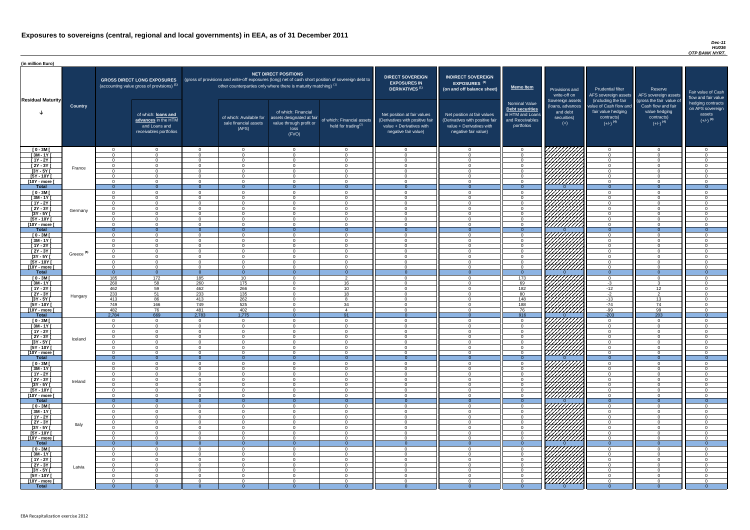#### *Dec-11 HU036 OTP BANK NYRT.*

| <b>DIRECT SOVEREIGN</b><br><b>EXPOSURES IN</b><br><b>DERIVATIVES</b> <sup>(1)</sup><br>Net position at fair values<br>(Derivatives with positive fair<br>value + Derivatives with<br>negative fair value) | <b>INDIRECT SOVEREIGN</b><br>EXPOSURES <sup>(3)</sup><br>(on and off balance sheet)<br>Net position at fair values<br>(Derivatives with positive fair<br>value + Derivatives with<br>negative fair value) | <b>Memo Item</b><br><b>Nominal Value</b><br><b>Debt securities</b><br>in HTM and Loans<br>and Receivables<br>portfolios | Provisions and<br>write-off on<br>Sovereign assets<br>(loans, advances<br>and debt<br>securities)<br>$(+)$ | <b>Prudential filter</b><br>AFS sovereign assets<br>(including the fair<br>value of Cash flow and<br>fair value hedging<br>contracts)<br>$(+/-)$ <sup>(4)</sup> | Reserve<br>AFS sovereign assets<br>(gross the fair value of<br>Cash flow and fair<br>value hedging<br>contracts)<br>$(+/-)$ <sup>(4)</sup> | Fair value of Cash<br>flow and fair value<br>hedging contracts<br>on AFS sovereign<br>assets<br>$(+/-)$ <sup>(4)</sup> |
|-----------------------------------------------------------------------------------------------------------------------------------------------------------------------------------------------------------|-----------------------------------------------------------------------------------------------------------------------------------------------------------------------------------------------------------|-------------------------------------------------------------------------------------------------------------------------|------------------------------------------------------------------------------------------------------------|-----------------------------------------------------------------------------------------------------------------------------------------------------------------|--------------------------------------------------------------------------------------------------------------------------------------------|------------------------------------------------------------------------------------------------------------------------|
| 0                                                                                                                                                                                                         | $\mathbf 0$                                                                                                                                                                                               | $\mathbf 0$                                                                                                             |                                                                                                            | $\mathbf 0$                                                                                                                                                     | 0                                                                                                                                          | $\mathbf 0$                                                                                                            |
| $\mathbf 0$                                                                                                                                                                                               | $\mathbf 0$                                                                                                                                                                                               | $\mathbf 0$                                                                                                             |                                                                                                            | $\mathbf 0$                                                                                                                                                     | $\mathbf 0$                                                                                                                                | $\mathbf 0$                                                                                                            |
| $\mathbf 0$                                                                                                                                                                                               | $\mathbf 0$                                                                                                                                                                                               | $\pmb{0}$                                                                                                               |                                                                                                            | $\mathbf 0$                                                                                                                                                     | $\mathbf 0$                                                                                                                                | $\mathbf 0$                                                                                                            |
| $\pmb{0}$                                                                                                                                                                                                 | $\pmb{0}$                                                                                                                                                                                                 | $\pmb{0}$                                                                                                               |                                                                                                            | $\mathbf 0$                                                                                                                                                     | $\mathbf 0$                                                                                                                                | $\mathbf 0$                                                                                                            |
| $\mathbf 0$                                                                                                                                                                                               | $\mathbf 0$                                                                                                                                                                                               | $\mathbf 0$                                                                                                             |                                                                                                            | $\mathbf 0$                                                                                                                                                     | $\mathbf 0$                                                                                                                                | $\mathbf 0$                                                                                                            |
| $\mathbf 0$                                                                                                                                                                                               | $\mathbf 0$                                                                                                                                                                                               | $\mathbf 0$                                                                                                             |                                                                                                            | $\mathbf 0$                                                                                                                                                     | $\mathbf 0$                                                                                                                                | $\mathbf 0$                                                                                                            |
| $\mathbf 0$                                                                                                                                                                                               | $\mathbf 0$                                                                                                                                                                                               | $\mathbf 0$                                                                                                             |                                                                                                            | $\mathbf 0$                                                                                                                                                     | $\mathbf 0$                                                                                                                                | $\mathbf 0$                                                                                                            |
| $\mathbf{0}$                                                                                                                                                                                              | $\overline{0}$                                                                                                                                                                                            | $\overline{0}$                                                                                                          | $\Omega$                                                                                                   | $\overline{0}$                                                                                                                                                  | $\overline{0}$                                                                                                                             | $\overline{0}$                                                                                                         |
| $\mathbf 0$<br>$\mathbf 0$                                                                                                                                                                                | $\mathbf 0$<br>$\mathbf 0$                                                                                                                                                                                | 0<br>$\pmb{0}$                                                                                                          |                                                                                                            | $\mathbf 0$<br>$\mathbf 0$                                                                                                                                      | $\mathbf 0$<br>$\mathbf 0$                                                                                                                 | $\mathbf 0$<br>$\mathbf 0$                                                                                             |
| $\mathbf 0$                                                                                                                                                                                               | $\mathbf 0$                                                                                                                                                                                               | 0                                                                                                                       |                                                                                                            | $\mathbf 0$                                                                                                                                                     | $\mathbf 0$                                                                                                                                | $\mathbf 0$                                                                                                            |
| $\mathbf 0$                                                                                                                                                                                               | $\mathbf 0$                                                                                                                                                                                               | 0                                                                                                                       |                                                                                                            | $\mathbf 0$                                                                                                                                                     | $\mathbf 0$                                                                                                                                | $\mathbf 0$                                                                                                            |
| $\mathbf 0$                                                                                                                                                                                               | $\mathbf 0$                                                                                                                                                                                               | $\mathbf 0$                                                                                                             |                                                                                                            | $\mathbf 0$                                                                                                                                                     | $\mathbf 0$                                                                                                                                | $\mathbf 0$                                                                                                            |
| $\mathbf 0$                                                                                                                                                                                               | $\mathbf 0$                                                                                                                                                                                               | 0                                                                                                                       |                                                                                                            | $\mathbf 0$                                                                                                                                                     | $\mathbf 0$                                                                                                                                | $\overline{0}$                                                                                                         |
| $\mathbf 0$                                                                                                                                                                                               | 0                                                                                                                                                                                                         | $\mathsf 0$                                                                                                             |                                                                                                            | $\mathbf 0$                                                                                                                                                     | $\mathbf 0$                                                                                                                                | $\mathbf 0$                                                                                                            |
| $\overline{0}$                                                                                                                                                                                            | $\overline{0}$                                                                                                                                                                                            | $\overline{0}$                                                                                                          | $\Omega$                                                                                                   | $\overline{0}$                                                                                                                                                  | $\overline{0}$                                                                                                                             | $\overline{0}$                                                                                                         |
| $\mathbf 0$                                                                                                                                                                                               | $\mathbf 0$                                                                                                                                                                                               | $\mathbf 0$                                                                                                             |                                                                                                            | $\mathbf 0$                                                                                                                                                     | 0                                                                                                                                          | $\mathbf 0$                                                                                                            |
| $\mathbf 0$                                                                                                                                                                                               | $\mathbf 0$                                                                                                                                                                                               | $\mathbf 0$                                                                                                             |                                                                                                            | $\mathbf 0$                                                                                                                                                     | $\mathbf 0$                                                                                                                                | $\mathbf 0$                                                                                                            |
| $\mathbf 0$                                                                                                                                                                                               | $\mathbf 0$                                                                                                                                                                                               | $\mathbf 0$                                                                                                             |                                                                                                            | $\mathbf 0$                                                                                                                                                     | $\mathbf 0$                                                                                                                                | $\overline{0}$                                                                                                         |
| $\mathbf 0$                                                                                                                                                                                               | $\mathbf 0$                                                                                                                                                                                               | $\mathbf 0$                                                                                                             |                                                                                                            | $\mathbf 0$                                                                                                                                                     | $\mathbf 0$                                                                                                                                | $\mathbf 0$                                                                                                            |
| $\mathbf 0$                                                                                                                                                                                               | $\Omega$                                                                                                                                                                                                  | $\overline{0}$                                                                                                          |                                                                                                            | $\Omega$                                                                                                                                                        | $\Omega$                                                                                                                                   | $\Omega$                                                                                                               |
| $\mathbf 0$<br>$\mathbf 0$                                                                                                                                                                                | $\mathbf 0$<br>$\mathbf 0$                                                                                                                                                                                | $\mathbf 0$<br>0                                                                                                        |                                                                                                            | $\mathbf 0$<br>$\mathbf 0$                                                                                                                                      | 0<br>$\mathbf 0$                                                                                                                           | $\mathbf 0$<br>0                                                                                                       |
| $\mathbf{0}$                                                                                                                                                                                              | $\overline{0}$                                                                                                                                                                                            | $\overline{0}$                                                                                                          | $\Omega$                                                                                                   | $\overline{0}$                                                                                                                                                  | $\mathbf{0}$                                                                                                                               | $\overline{0}$                                                                                                         |
| $\mathbf 0$                                                                                                                                                                                               | $\mathbf 0$                                                                                                                                                                                               | 173                                                                                                                     |                                                                                                            | $\mathbf 0$                                                                                                                                                     | $\mathbf 0$                                                                                                                                | $\mathbf 0$                                                                                                            |
| $\mathbf 0$                                                                                                                                                                                               | $\mathbf 0$                                                                                                                                                                                               | 69                                                                                                                      |                                                                                                            | $-3$                                                                                                                                                            | 3                                                                                                                                          | $\mathbf 0$                                                                                                            |
| $\pmb{0}$                                                                                                                                                                                                 | $\mathbf 0$                                                                                                                                                                                               | 182                                                                                                                     |                                                                                                            | $-12$                                                                                                                                                           | $\overline{12}$                                                                                                                            | $\mathbf 0$                                                                                                            |
| $\pmb{0}$                                                                                                                                                                                                 | $\mathbf 0$                                                                                                                                                                                               | 80                                                                                                                      |                                                                                                            | $-2$                                                                                                                                                            | $\overline{2}$                                                                                                                             | $\mathbf 0$                                                                                                            |
| $\pmb{0}$                                                                                                                                                                                                 | $\mathbf 0$                                                                                                                                                                                               | 148                                                                                                                     |                                                                                                            | $-13$                                                                                                                                                           | 13                                                                                                                                         | $\mathbf 0$                                                                                                            |
| $\pmb{0}$                                                                                                                                                                                                 | $\pmb{0}$                                                                                                                                                                                                 | 188                                                                                                                     |                                                                                                            | $-74$                                                                                                                                                           | 74                                                                                                                                         | 0                                                                                                                      |
| $\mathbf 0$                                                                                                                                                                                               | $\mathbf 0$<br>$\overline{0}$                                                                                                                                                                             | 76<br>916                                                                                                               |                                                                                                            | $-99$<br>$-203$                                                                                                                                                 | 99<br>203                                                                                                                                  | $\mathbf 0$                                                                                                            |
| $\overline{0}$<br>$\mathbf 0$                                                                                                                                                                             | $\mathbf 0$                                                                                                                                                                                               | 0                                                                                                                       | $\overline{0}$                                                                                             | $\mathbf 0$                                                                                                                                                     | 0                                                                                                                                          | $\overline{0}$<br>0                                                                                                    |
| $\pmb{0}$                                                                                                                                                                                                 | $\mathbf 0$                                                                                                                                                                                               | $\pmb{0}$                                                                                                               |                                                                                                            | $\mathbf 0$                                                                                                                                                     | $\mathbf 0$                                                                                                                                | 0                                                                                                                      |
| $\pmb{0}$                                                                                                                                                                                                 | $\mathbf 0$                                                                                                                                                                                               | $\pmb{0}$                                                                                                               |                                                                                                            | $\mathbf 0$                                                                                                                                                     | $\mathbf 0$                                                                                                                                | 0                                                                                                                      |
| $\boldsymbol{0}$                                                                                                                                                                                          | 0                                                                                                                                                                                                         | 0                                                                                                                       |                                                                                                            | $\mathbf 0$                                                                                                                                                     | 0                                                                                                                                          | 0                                                                                                                      |
| $\mathbf 0$                                                                                                                                                                                               | 0                                                                                                                                                                                                         | 0                                                                                                                       |                                                                                                            | $\mathbf 0$                                                                                                                                                     | 0                                                                                                                                          | 0                                                                                                                      |
| $\mathbf 0$                                                                                                                                                                                               | 0                                                                                                                                                                                                         | 0                                                                                                                       |                                                                                                            | $\mathbf 0$                                                                                                                                                     | $\mathbf 0$                                                                                                                                | $\mathbf 0$                                                                                                            |
| $\mathbf 0$                                                                                                                                                                                               | 0                                                                                                                                                                                                         | 0                                                                                                                       |                                                                                                            | $\mathbf 0$                                                                                                                                                     | 0                                                                                                                                          | $\Omega$                                                                                                               |
| $\overline{0}$                                                                                                                                                                                            | $\overline{0}$                                                                                                                                                                                            | $\overline{0}$                                                                                                          | $\Omega$                                                                                                   | $\overline{0}$                                                                                                                                                  | $\overline{0}$                                                                                                                             | $\overline{0}$                                                                                                         |
| $\boldsymbol{0}$                                                                                                                                                                                          | 0                                                                                                                                                                                                         | $\mathbf 0$                                                                                                             |                                                                                                            | $\mathbf 0$                                                                                                                                                     | 0                                                                                                                                          | 0                                                                                                                      |
| $\pmb{0}$                                                                                                                                                                                                 | 0                                                                                                                                                                                                         | $\mathsf 0$                                                                                                             |                                                                                                            | $\mathbf 0$                                                                                                                                                     | $\mathbf 0$                                                                                                                                | $\mathbf 0$                                                                                                            |
| $\mathbf 0$<br>$\mathbf 0$                                                                                                                                                                                | $\mathbf 0$<br>0                                                                                                                                                                                          | $\mathbf 0$<br>0                                                                                                        |                                                                                                            | $\mathbf 0$<br>$\mathbf 0$                                                                                                                                      | $\mathbf 0$<br>$\mathbf 0$                                                                                                                 | $\mathbf 0$<br>$\mathbf 0$                                                                                             |
| $\boldsymbol{0}$                                                                                                                                                                                          | 0                                                                                                                                                                                                         | 0                                                                                                                       |                                                                                                            | $\mathbf 0$                                                                                                                                                     | 0                                                                                                                                          | $\mathbf 0$                                                                                                            |
| $\pmb{0}$                                                                                                                                                                                                 | $\pmb{0}$                                                                                                                                                                                                 | $\pmb{0}$                                                                                                               |                                                                                                            | $\mathbf 0$                                                                                                                                                     | $\mathbf 0$                                                                                                                                | $\pmb{0}$                                                                                                              |
| $\pmb{0}$                                                                                                                                                                                                 | $\mathbf 0$                                                                                                                                                                                               | $\pmb{0}$                                                                                                               |                                                                                                            | $\mathbf 0$                                                                                                                                                     | $\mathbf 0$                                                                                                                                | 0                                                                                                                      |
| $\mathbf{0}$                                                                                                                                                                                              | $\overline{0}$                                                                                                                                                                                            | $\mathbf{0}$                                                                                                            | $\overline{0}$                                                                                             | $\overline{0}$                                                                                                                                                  | $\overline{0}$                                                                                                                             | $\overline{0}$                                                                                                         |
| $\mathbf 0$                                                                                                                                                                                               | $\mathbf 0$                                                                                                                                                                                               | $\mathsf 0$                                                                                                             |                                                                                                            | $\mathbf 0$                                                                                                                                                     | 0                                                                                                                                          | $\mathbf 0$                                                                                                            |
| $\mathbf 0$                                                                                                                                                                                               | $\mathbf 0$                                                                                                                                                                                               | $\mathsf 0$                                                                                                             |                                                                                                            | $\mathbf 0$                                                                                                                                                     | $\mathbf 0$                                                                                                                                | $\mathbf 0$                                                                                                            |
| $\pmb{0}$                                                                                                                                                                                                 | $\mathbf 0$                                                                                                                                                                                               | $\pmb{0}$                                                                                                               |                                                                                                            | $\mathbf 0$                                                                                                                                                     | $\mathbf 0$                                                                                                                                | $\mathbf 0$                                                                                                            |
| $\pmb{0}$                                                                                                                                                                                                 | $\mathbf 0$                                                                                                                                                                                               | $\pmb{0}$                                                                                                               |                                                                                                            | $\mathsf 0$                                                                                                                                                     | $\mathbf 0$                                                                                                                                | $\mathbf 0$                                                                                                            |
| $\pmb{0}$<br>$\pmb{0}$                                                                                                                                                                                    | $\pmb{0}$<br>$\pmb{0}$                                                                                                                                                                                    | $\pmb{0}$<br>$\pmb{0}$                                                                                                  |                                                                                                            | $\mathbf 0$<br>$\mathbf 0$                                                                                                                                      | 0<br>$\mathbf 0$                                                                                                                           | $\mathbf 0$<br>$\mathbf 0$                                                                                             |
| $\mathbf 0$                                                                                                                                                                                               | 0                                                                                                                                                                                                         | 0                                                                                                                       |                                                                                                            | $\mathbf 0$                                                                                                                                                     | 0                                                                                                                                          | $\mathbf 0$                                                                                                            |
| $\boldsymbol{0}$                                                                                                                                                                                          | $\overline{0}$                                                                                                                                                                                            | $\mathbf 0$                                                                                                             | $\Omega$                                                                                                   | $\overline{0}$                                                                                                                                                  | $\overline{0}$                                                                                                                             | $\overline{0}$                                                                                                         |
| $\mathbf 0$                                                                                                                                                                                               | 0                                                                                                                                                                                                         | 0                                                                                                                       |                                                                                                            | 0                                                                                                                                                               | 0                                                                                                                                          | 0                                                                                                                      |
| $\pmb{0}$                                                                                                                                                                                                 | 0                                                                                                                                                                                                         | $\mathsf 0$                                                                                                             |                                                                                                            | $\boldsymbol{0}$                                                                                                                                                | $\pmb{0}$                                                                                                                                  | $\mathbf 0$                                                                                                            |
| $\mathbf 0$                                                                                                                                                                                               | $\mathbf 0$                                                                                                                                                                                               | 0                                                                                                                       |                                                                                                            | $\mathbf 0$                                                                                                                                                     | $\mathbf 0$                                                                                                                                | $\mathbf 0$                                                                                                            |
| $\overline{0}$                                                                                                                                                                                            | $\mathbf 0$                                                                                                                                                                                               | $\mathbf 0$                                                                                                             |                                                                                                            | $\mathbf 0$                                                                                                                                                     | $\mathbf 0$                                                                                                                                | $\mathbf 0$                                                                                                            |
| $\mathbf 0$                                                                                                                                                                                               | $\overline{0}$                                                                                                                                                                                            | $\mathbf 0$                                                                                                             |                                                                                                            | $\overline{0}$                                                                                                                                                  | $\mathbf 0$                                                                                                                                | $\mathbf 0$                                                                                                            |
| $\overline{0}$                                                                                                                                                                                            | $\overline{0}$                                                                                                                                                                                            | $\mathbf 0$                                                                                                             |                                                                                                            | $\mathbf 0$                                                                                                                                                     | $\mathbf 0$                                                                                                                                | $\mathbf 0$                                                                                                            |
| $\mathbf 0$                                                                                                                                                                                               | $\mathbf 0$                                                                                                                                                                                               | $\mathbf 0$                                                                                                             |                                                                                                            | $\mathbf 0$                                                                                                                                                     | $\mathbf 0$                                                                                                                                | $\mathbf 0$                                                                                                            |
| $\overline{0}$                                                                                                                                                                                            | $\overline{0}$                                                                                                                                                                                            | $\overline{0}$                                                                                                          | $\overline{0}$                                                                                             | $\overline{0}$                                                                                                                                                  | $\overline{0}$                                                                                                                             | $\overline{0}$                                                                                                         |

| (in million Euro)                   |                       |                            |                                                                                             |                      |                                                                            |                                                                                              |                                                                                                     |                                                                                                                    |                                                                                                                    |                                                                                       |                                                                                          |                                                                                                                                     |                                                                                                                                 |                                                                               |
|-------------------------------------|-----------------------|----------------------------|---------------------------------------------------------------------------------------------|----------------------|----------------------------------------------------------------------------|----------------------------------------------------------------------------------------------|-----------------------------------------------------------------------------------------------------|--------------------------------------------------------------------------------------------------------------------|--------------------------------------------------------------------------------------------------------------------|---------------------------------------------------------------------------------------|------------------------------------------------------------------------------------------|-------------------------------------------------------------------------------------------------------------------------------------|---------------------------------------------------------------------------------------------------------------------------------|-------------------------------------------------------------------------------|
|                                     |                       |                            | <b>GROSS DIRECT LONG EXPOSURES</b><br>(accounting value gross of provisions) <sup>(1)</sup> |                      | other counterparties only where there is maturity matching) <sup>(1)</sup> | <b>NET DIRECT POSITIONS</b>                                                                  | (gross of provisions and write-off exposures (long) net of cash short position of sovereign debt to | <b>DIRECT SOVEREIGN</b><br><b>EXPOSURES IN</b><br>DERIVATIVES <sup>(1)</sup>                                       | <b>INDIRECT SOVEREIGN</b><br><b>EXPOSURES<sup>(3)</sup></b><br>(on and off balance sheet)                          | <b>Memo Item</b>                                                                      | Provisions and                                                                           | <b>Prudential filter</b>                                                                                                            | Reserve                                                                                                                         |                                                                               |
| <b>Residual Maturity</b>            | <b>Country</b>        |                            | of which: loans and<br>advances in the HTM<br>and Loans and<br>receivables portfolios       |                      | of which: Available for<br>sale financial assets<br>(AFS)                  | of which: Financial<br>assets designated at fair<br>value through profit or<br>loss<br>(FVO) | of which: Financial assets<br>held for trading <sup>(2)</sup>                                       | Net position at fair values<br>(Derivatives with positive fair<br>value + Derivatives with<br>negative fair value) | Net position at fair values<br>(Derivatives with positive fair<br>value + Derivatives with<br>negative fair value) | Nominal Value<br>Debt securities<br>in HTM and Loans<br>and Receivables<br>portfolios | write-off on<br>Sovereign assets<br>(loans, advances<br>and debt<br>securities)<br>$(+)$ | AFS sovereign assets<br>(including the fair<br>value of Cash flow and<br>fair value hedging<br>contracts)<br>$(+/-)$ <sup>(4)</sup> | AFS sovereign assets<br>(gross the fair value of<br>Cash flow and fair<br>value hedging<br>contracts)<br>$(+/-)$ <sup>(4)</sup> | Fair value<br>flow and f<br>hedging o<br>on AFS <sub>s</sub><br>ass<br>$(+/-$ |
| $[0 - 3M]$                          |                       | $\Omega$                   | $\Omega$                                                                                    | $\Omega$             | $\overline{0}$                                                             | $\Omega$                                                                                     | $\cap$                                                                                              | $\cap$                                                                                                             | $\Omega$                                                                                                           | $\Omega$                                                                              | 777777777                                                                                | $\Omega$                                                                                                                            | $\Omega$                                                                                                                        |                                                                               |
| $\sqrt{3M-1Y}$                      |                       | $\cap$                     | $\Omega$                                                                                    | $\Omega$             | $\Omega$                                                                   | $\Omega$                                                                                     | $\Omega$                                                                                            |                                                                                                                    | $\Omega$                                                                                                           | $\Omega$                                                                              |                                                                                          | $\Omega$                                                                                                                            | $\Omega$                                                                                                                        |                                                                               |
| $[1Y - 2Y]$<br>$[2Y - 3Y]$          |                       | $\Omega$<br>$\Omega$       | $\Omega$<br>$\Omega$                                                                        | $\Omega$<br>$\Omega$ | $\Omega$<br>$\Omega$                                                       | $\Omega$<br>$\Omega$                                                                         | $\Omega$<br>$\cap$                                                                                  | $\Omega$<br>$\Omega$                                                                                               | $\cap$<br>$\cap$                                                                                                   | $\Omega$<br>$\Omega$                                                                  |                                                                                          | $\overline{0}$<br>$\Omega$                                                                                                          | $\Omega$<br>$\Omega$                                                                                                            |                                                                               |
| $[3Y - 5Y]$                         | France                | $\Omega$                   | $\Omega$                                                                                    | $\Omega$             | $\Omega$                                                                   | $\Omega$                                                                                     | $\Omega$                                                                                            | $\Omega$                                                                                                           | $\cap$                                                                                                             | $\Omega$                                                                              | HAAA<br>HAAAA                                                                            | $\overline{0}$                                                                                                                      | $\Omega$                                                                                                                        |                                                                               |
| $[5Y - 10Y]$                        |                       | $\Omega$                   | $\Omega$                                                                                    | $\Omega$             | $\overline{0}$                                                             | $\Omega$                                                                                     | $\Omega$                                                                                            | $\Omega$                                                                                                           | $\Omega$                                                                                                           | $\Omega$                                                                              |                                                                                          | $\Omega$                                                                                                                            | $\Omega$                                                                                                                        |                                                                               |
| [10Y - more [                       |                       | $\Omega$<br>$\overline{0}$ | $\Omega$<br>$\Omega$                                                                        | $\Omega$<br>- 0      | $\overline{0}$<br>$\Omega$                                                 | $\Omega$<br>$\Omega$                                                                         | $\Omega$                                                                                            | $\Omega$                                                                                                           | $\Omega$                                                                                                           | $\Omega$<br>$\Omega$                                                                  | /////////                                                                                | $\overline{0}$<br>$\overline{0}$                                                                                                    | $\Omega$<br>$\Omega$                                                                                                            |                                                                               |
| <b>Total</b><br>$[0 - 3M]$          |                       | $\Omega$                   | $\Omega$                                                                                    | $\Omega$             | $\Omega$                                                                   | $\Omega$                                                                                     | $\Omega$<br>$\Omega$                                                                                | $\Omega$                                                                                                           | $\cap$                                                                                                             | $\Omega$                                                                              |                                                                                          | $\Omega$                                                                                                                            | $\Omega$                                                                                                                        |                                                                               |
| $[3M - 1Y]$                         |                       | $\Omega$                   | $\Omega$                                                                                    | $\Omega$             | $\Omega$                                                                   | $\Omega$                                                                                     | $\Omega$                                                                                            | $\cap$                                                                                                             | $\cap$                                                                                                             | $\Omega$                                                                              |                                                                                          | $\Omega$                                                                                                                            | $\Omega$                                                                                                                        |                                                                               |
| $[1Y - 2Y]$                         |                       | $\cap$                     | $\Omega$                                                                                    | $\Omega$             | $\Omega$                                                                   | $\Omega$                                                                                     |                                                                                                     |                                                                                                                    | $\Omega$                                                                                                           | $\Omega$                                                                              |                                                                                          | $\Omega$                                                                                                                            | $\Omega$                                                                                                                        |                                                                               |
| $[2Y - 3Y]$<br>$[3Y - 5Y]$          | Germany               | $\Omega$<br>$\Omega$       | $\Omega$<br>$\Omega$                                                                        | $\Omega$<br>$\Omega$ | $\Omega$<br>$\Omega$                                                       | $\Omega$<br>$\Omega$                                                                         | $\cap$                                                                                              | $\cap$                                                                                                             | $\cap$<br>$\Omega$                                                                                                 | $\Omega$<br>. വ                                                                       |                                                                                          | $\Omega$<br>$\Omega$                                                                                                                | $\Omega$<br>$\Omega$                                                                                                            |                                                                               |
| $[5Y - 10Y]$                        |                       | $\cap$                     | $\Omega$                                                                                    | $\Omega$             | $\Omega$                                                                   | $\Omega$                                                                                     |                                                                                                     | $\Omega$                                                                                                           | $\cap$                                                                                                             | $\Omega$                                                                              |                                                                                          | $\Omega$                                                                                                                            | $\Omega$                                                                                                                        |                                                                               |
| [10Y - more [                       |                       | $\cap$                     | $\Omega$                                                                                    | $\Omega$             | $\Omega$                                                                   | $\Omega$                                                                                     | $\Omega$                                                                                            | $\Omega$                                                                                                           | $\cap$                                                                                                             | $\Omega$                                                                              |                                                                                          | $\overline{0}$                                                                                                                      | $\Omega$                                                                                                                        |                                                                               |
| <b>Total</b>                        |                       | $\Omega$                   | - റ                                                                                         | - 0                  | $\Omega$                                                                   | $\Omega$                                                                                     | $\Omega$                                                                                            | $\Omega$                                                                                                           |                                                                                                                    | $\Omega$                                                                              | 77777777                                                                                 | $\Omega$                                                                                                                            | $\Omega$                                                                                                                        |                                                                               |
| $[0 - 3M]$<br>$[3M - 1Y]$           |                       | $\Omega$<br>$\Omega$       | $\Omega$<br>$\Omega$                                                                        | $\Omega$<br>$\Omega$ | $\Omega$<br>$\Omega$                                                       | $\Omega$<br>$\Omega$                                                                         | $\Omega$                                                                                            | $\Omega$                                                                                                           | $\Omega$<br>$\cap$                                                                                                 | . വ<br>$\Omega$                                                                       |                                                                                          | $\Omega$<br>$\Omega$                                                                                                                | $\Omega$<br>$\Omega$                                                                                                            |                                                                               |
| $[1Y - 2Y]$                         |                       | $\Omega$                   | $\Omega$                                                                                    | $\Omega$             | $\overline{0}$                                                             | $\Omega$                                                                                     | $\Omega$                                                                                            | $\Omega$                                                                                                           | $\Omega$                                                                                                           | $\Omega$                                                                              |                                                                                          | $\Omega$                                                                                                                            | $\overline{0}$                                                                                                                  |                                                                               |
| $[2Y - 3Y]$                         | Greece <sup>(5)</sup> | $\cap$                     | $\cap$                                                                                      | $\Omega$             | $\Omega$                                                                   | $\Omega$                                                                                     |                                                                                                     |                                                                                                                    | $\Omega$                                                                                                           | $\Omega$                                                                              | <i>VIIIII</i> IA                                                                         | $\Omega$                                                                                                                            | $\Omega$                                                                                                                        |                                                                               |
| $[3Y - 5Y]$<br>[5Y - 10Y [          |                       |                            | $\Omega$                                                                                    |                      |                                                                            |                                                                                              |                                                                                                     |                                                                                                                    | $\Omega$                                                                                                           | $\Omega$                                                                              | \ <i>\\\\\\\\\\\\</i> \                                                                  | $\Omega$                                                                                                                            | $\Omega$                                                                                                                        |                                                                               |
| [10Y - more [                       |                       | $\cap$                     | $\Omega$                                                                                    | - 0<br>$\Omega$      | $\overline{0}$<br>$\Omega$                                                 | $\overline{0}$<br>$\Omega$                                                                   |                                                                                                     |                                                                                                                    | $\Omega$                                                                                                           | റ                                                                                     | <u>VIIIIIIII</u>                                                                         | $\Omega$                                                                                                                            | $\Omega$                                                                                                                        |                                                                               |
| <b>Total</b>                        |                       | $\overline{0}$             | $\Omega$                                                                                    | $\Omega$             | $\Omega$                                                                   | - 0                                                                                          | $\overline{0}$                                                                                      |                                                                                                                    | $\Omega$                                                                                                           | $\Omega$                                                                              |                                                                                          | $\Omega$                                                                                                                            | $\Omega$                                                                                                                        |                                                                               |
| $[0 - 3M]$                          |                       | 185                        | 172                                                                                         | 185                  | 10 <sup>°</sup>                                                            | $\Omega$                                                                                     | $\overline{2}$                                                                                      | $\Omega$                                                                                                           | $\Omega$                                                                                                           | 173                                                                                   |                                                                                          | $\Omega$                                                                                                                            | $\Omega$                                                                                                                        |                                                                               |
| $[3M - 1Y]$<br>$[1Y - 2Y]$          |                       | 260<br>462                 | 58<br>59                                                                                    | 260<br>462           | 175<br>266                                                                 | $\Omega$<br>$\Omega$                                                                         | 16<br>10                                                                                            | $\cap$<br>$\cap$                                                                                                   | $\Omega$<br>$\Omega$                                                                                               | 69<br>182                                                                             | UMMA.                                                                                    | $-3$<br>$-12$                                                                                                                       | -3<br>12 <sup>2</sup>                                                                                                           |                                                                               |
| $\overline{[2Y-3Y]}$                |                       | 233                        | 51                                                                                          | 233                  | 135                                                                        | $\Omega$                                                                                     | 18                                                                                                  | $\Omega$                                                                                                           | $\Omega$                                                                                                           | 80                                                                                    |                                                                                          | $-2$                                                                                                                                | $\overline{2}$                                                                                                                  |                                                                               |
| $[3Y - 5Y]$                         | Hungary               | 413                        | 86                                                                                          | 413                  | 262                                                                        | $\Omega$                                                                                     | $\mathbf{R}$                                                                                        | $\Omega$                                                                                                           | $\Omega$                                                                                                           | 148                                                                                   | $\cancel{b}$                                                                             | $-13$                                                                                                                               | 13                                                                                                                              |                                                                               |
| $[5Y - 10Y]$                        |                       | 749<br>482                 | 166                                                                                         | 749                  | 525                                                                        | $\overline{0}$<br>$\Omega$                                                                   | 34<br>$\overline{4}$                                                                                | $\Omega$                                                                                                           | $\Omega$<br>$\Omega$                                                                                               | 188                                                                                   | <u>VIIIIIII</u> 1                                                                        | $-74$<br>$-99$                                                                                                                      | 74<br>99                                                                                                                        |                                                                               |
| [10Y - more [<br><b>Total</b>       |                       | 2,784                      | 76<br>669                                                                                   | 481<br>2,783         | 402<br>1,775                                                               | $\Omega$                                                                                     | 91                                                                                                  |                                                                                                                    | $\Omega$                                                                                                           | 76<br>916                                                                             |                                                                                          | $-203$                                                                                                                              | 203                                                                                                                             |                                                                               |
| $[0 - 3M]$                          |                       | $\Omega$                   | $\overline{0}$                                                                              | $\Omega$             | $\overline{0}$                                                             | $\Omega$                                                                                     | $\cap$                                                                                              | $\cap$                                                                                                             | $\Omega$                                                                                                           | $\Omega$                                                                              |                                                                                          | $\overline{0}$                                                                                                                      | $\Omega$                                                                                                                        |                                                                               |
| $\sqrt{3M-1Y}$                      |                       |                            | $\overline{0}$                                                                              | $\Omega$             | $\overline{0}$                                                             | $\Omega$                                                                                     |                                                                                                     |                                                                                                                    |                                                                                                                    | $\Omega$                                                                              |                                                                                          | $\Omega$                                                                                                                            | $\Omega$                                                                                                                        |                                                                               |
| $[1Y - 2Y]$<br>$[2Y - 3Y]$          |                       | $\Omega$                   | $\Omega$<br>$\Omega$                                                                        | - റ<br>$\Omega$      | $\Omega$<br>$\overline{0}$                                                 | $\Omega$<br>$\Omega$                                                                         | $\cap$                                                                                              |                                                                                                                    | $\Omega$<br>$\Omega$                                                                                               | $\Omega$<br>$\cap$                                                                    |                                                                                          | $\Omega$<br>$\Omega$                                                                                                                | $\Omega$<br>$\Omega$                                                                                                            |                                                                               |
| $[3Y - 5Y]$                         | Iceland               | $\cap$                     | $\Omega$                                                                                    | $\Omega$             | $\Omega$                                                                   | $\Omega$                                                                                     |                                                                                                     |                                                                                                                    | $\cap$                                                                                                             | $\Omega$                                                                              |                                                                                          | $\Omega$                                                                                                                            | $\Omega$                                                                                                                        |                                                                               |
| $[5Y - 10Y]$                        |                       | $\cap$                     | $\Omega$                                                                                    | $\Omega$             | $\Omega$                                                                   | $\Omega$                                                                                     | $\cap$                                                                                              |                                                                                                                    | $\Omega$                                                                                                           | $\Omega$                                                                              |                                                                                          | $\Omega$                                                                                                                            | $\Omega$                                                                                                                        |                                                                               |
| [10Y - more [<br><b>Total</b>       |                       | $\Omega$<br>$\overline{0}$ | $\Omega$<br>$\overline{0}$                                                                  | $\Omega$<br>- ೧      | $\Omega$<br>$\Omega$                                                       | $\Omega$<br>$\Omega$                                                                         | $\cap$<br>- 0                                                                                       | $\cap$                                                                                                             | $\cap$                                                                                                             | $\Omega$<br>$\overline{0}$                                                            |                                                                                          | $\overline{0}$<br>$\overline{0}$                                                                                                    | $\Omega$<br>$\Omega$                                                                                                            |                                                                               |
| $[0 - 3M]$                          |                       | $\Omega$                   | $\Omega$                                                                                    | $\Omega$             | $\overline{0}$                                                             | $\Omega$                                                                                     | $\Omega$                                                                                            | ∩                                                                                                                  | $\Omega$                                                                                                           | $\Omega$                                                                              |                                                                                          | $\Omega$                                                                                                                            | $\Omega$                                                                                                                        |                                                                               |
| $[3M - 1Y]$                         |                       | $\Omega$                   | $\Omega$                                                                                    | $\Omega$             | $\overline{0}$                                                             | $\Omega$                                                                                     | $\Omega$                                                                                            | $\Omega$                                                                                                           | $\Omega$                                                                                                           | $\Omega$                                                                              | 177772                                                                                   | $\overline{0}$                                                                                                                      | $\Omega$                                                                                                                        |                                                                               |
| $[1Y - 2Y]$                         |                       | $\Omega$<br>$\Omega$       | $\Omega$                                                                                    | $\Omega$             | $\Omega$                                                                   | $\Omega$<br>$\Omega$                                                                         | $\cap$                                                                                              | $\Omega$                                                                                                           | $\Omega$<br>$\Omega$                                                                                               | $\Omega$<br>$\overline{0}$                                                            |                                                                                          | $\Omega$<br>$\Omega$                                                                                                                | $\Omega$<br>$\Omega$                                                                                                            |                                                                               |
| $[2Y - 3Y]$<br>$\overline{3Y - 5Y}$ | Ireland               | $\Omega$                   | $\overline{0}$<br>$\Omega$                                                                  | - റ<br>- 0           | $\overline{0}$<br>$\Omega$                                                 | $\Omega$                                                                                     |                                                                                                     |                                                                                                                    | $\Omega$                                                                                                           | $\Omega$                                                                              |                                                                                          | $\Omega$                                                                                                                            | $\Omega$                                                                                                                        |                                                                               |
| $[5Y - 10Y]$                        |                       | $\Omega$                   | $\Omega$                                                                                    | $\Omega$             | $\Omega$                                                                   | $\Omega$                                                                                     |                                                                                                     |                                                                                                                    | $\Omega$                                                                                                           | $\cap$                                                                                | HHHA.                                                                                    | $\Omega$                                                                                                                            | $\Omega$                                                                                                                        |                                                                               |
| [10Y - more [                       |                       | $\Omega$                   | $\Omega$                                                                                    | - 0                  | $\Omega$                                                                   | $\Omega$                                                                                     |                                                                                                     |                                                                                                                    | $\Omega$                                                                                                           | $\cap$                                                                                |                                                                                          | $\Omega$                                                                                                                            | $\Omega$                                                                                                                        |                                                                               |
| <b>Total</b><br>$[0 - 3M]$          |                       | $\Omega$<br>$\cap$         | $\Omega$                                                                                    | $\Omega$             | $\Omega$<br>$\Omega$                                                       | $\Omega$                                                                                     | $\Omega$                                                                                            |                                                                                                                    | $\cap$                                                                                                             | റ                                                                                     |                                                                                          | $\overline{0}$<br>$\Omega$                                                                                                          | $\Omega$<br>$\Omega$                                                                                                            |                                                                               |
| $[3M - 1Y]$                         |                       | $\Omega$                   | $\Omega$                                                                                    | $\Omega$             | $\Omega$                                                                   | $\Omega$                                                                                     | $\Omega$                                                                                            |                                                                                                                    | $\Omega$                                                                                                           | $\Omega$                                                                              |                                                                                          | $\Omega$                                                                                                                            | $\Omega$                                                                                                                        |                                                                               |
| $[1Y - 2Y]$                         |                       | $\Omega$                   | $\Omega$                                                                                    | $\Omega$             | $\overline{0}$                                                             | $\Omega$                                                                                     | $\Omega$                                                                                            | $\cap$                                                                                                             | $\Omega$                                                                                                           | $\Omega$                                                                              | ⊬                                                                                        | $\overline{0}$                                                                                                                      | $\Omega$                                                                                                                        |                                                                               |
| $\overline{[2Y-3Y]}$                | Italy                 | $\Omega$<br>$\Omega$       | $\Omega$<br>$\Omega$                                                                        | $\Omega$<br>$\Omega$ | $\Omega$<br>$\Omega$                                                       | $\Omega$<br>$\Omega$                                                                         | $\cap$<br>$\Omega$                                                                                  | $\cap$                                                                                                             | $\Omega$<br>$\Omega$                                                                                               | $\Omega$<br>$\Omega$                                                                  |                                                                                          | $\overline{0}$<br>$\Omega$                                                                                                          | $\Omega$<br>$\Omega$                                                                                                            |                                                                               |
| $[3Y - 5Y]$<br>$[5Y - 10Y]$         |                       | $\Omega$                   | $\Omega$                                                                                    | $\Omega$             | $\overline{0}$                                                             | $\Omega$                                                                                     | $\Omega$                                                                                            | $\Omega$                                                                                                           | $\Omega$                                                                                                           | $\Omega$                                                                              |                                                                                          | $\Omega$                                                                                                                            | $\Omega$                                                                                                                        |                                                                               |
| [10Y - more [                       |                       | $\Omega$                   | $\Omega$                                                                                    | $\Omega$             | $\Omega$                                                                   | $\Omega$                                                                                     | $\cap$                                                                                              | $\Omega$                                                                                                           | $\cap$                                                                                                             | $\Omega$                                                                              | 7777777777                                                                               | $\Omega$                                                                                                                            | $\Omega$                                                                                                                        |                                                                               |
| <b>Total</b>                        |                       | $\overline{0}$             | $\Omega$                                                                                    | $\Omega$             | $\Omega$                                                                   | $\Omega$                                                                                     | $\Omega$                                                                                            |                                                                                                                    |                                                                                                                    | $\Omega$                                                                              |                                                                                          | $\overline{0}$                                                                                                                      | $\Omega$                                                                                                                        |                                                                               |
| $[0 - 3M]$<br>$[3M-1Y]$             |                       |                            | $\Omega$<br>$\overline{0}$                                                                  | $\Omega$<br>$\Omega$ | $\Omega$<br>$\Omega$                                                       | $\Omega$<br>$\overline{0}$                                                                   | $\Omega$                                                                                            | $\Omega$                                                                                                           | $\Omega$                                                                                                           | $\Omega$<br>$\Omega$                                                                  | <i>VIIIIIIII</i>                                                                         | $\Omega$<br>$\Omega$                                                                                                                | $\Omega$<br>$\Omega$                                                                                                            |                                                                               |
| $[1Y - 2Y]$                         |                       | $\cap$                     | $\overline{0}$                                                                              | $\Omega$             | $\overline{0}$                                                             | $\overline{0}$                                                                               |                                                                                                     | $\cap$                                                                                                             | $\Omega$                                                                                                           | $\Omega$                                                                              |                                                                                          | $\Omega$                                                                                                                            | $\Omega$                                                                                                                        |                                                                               |
| $[2Y - 3Y]$                         | Latvia                | $\Omega$                   | $\overline{0}$                                                                              | $\Omega$             | $\overline{0}$                                                             | $\overline{0}$                                                                               |                                                                                                     |                                                                                                                    | $\Omega$                                                                                                           | $\overline{0}$                                                                        |                                                                                          | $\overline{0}$                                                                                                                      | $\Omega$                                                                                                                        |                                                                               |
| $[3Y - 5Y]$                         |                       | $\Omega$                   | $\overline{0}$                                                                              | $\Omega$             | $\overline{0}$                                                             | $\overline{0}$                                                                               | $\cap$                                                                                              | $\Omega$                                                                                                           | $\Omega$                                                                                                           | $\Omega$                                                                              |                                                                                          | $\overline{0}$                                                                                                                      | $\Omega$                                                                                                                        | $\Omega$                                                                      |
| $[5Y - 10Y]$<br>[10Y - more [       |                       | $\cap$<br>$\Omega$         | $\Omega$<br>$\overline{0}$                                                                  | $\Omega$<br>$\Omega$ | $\Omega$<br>$\overline{0}$                                                 | $\Omega$<br>$\overline{0}$                                                                   | ∩                                                                                                   | $\cap$<br>$\Omega$                                                                                                 | $\Omega$<br>$\Omega$                                                                                               | $\Omega$<br>$\Omega$                                                                  | William                                                                                  | $\overline{0}$<br>$\overline{0}$                                                                                                    | $\Omega$<br>$\overline{0}$                                                                                                      | $\Omega$                                                                      |
| <b>Total</b>                        |                       | $\Omega$                   | റ                                                                                           | $\Omega$             | $\Omega$                                                                   | $\Omega$                                                                                     |                                                                                                     |                                                                                                                    |                                                                                                                    |                                                                                       |                                                                                          |                                                                                                                                     |                                                                                                                                 |                                                                               |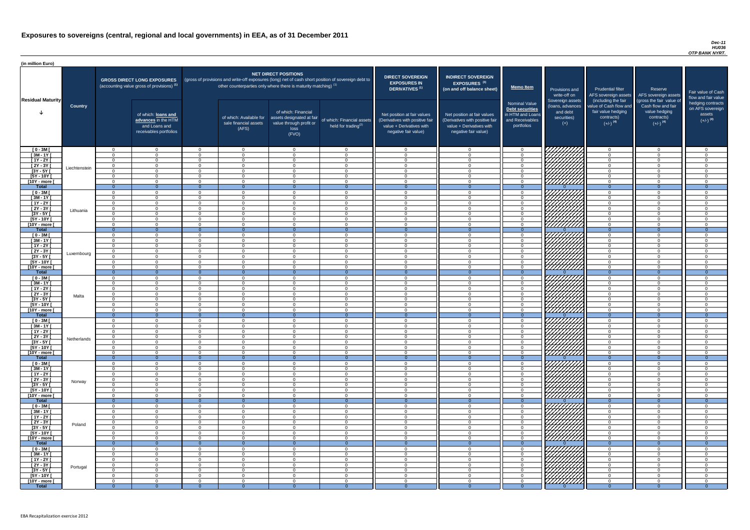#### *Dec-11 HU036 OTP BANK NYRT.*

| <b>DIRECT SOVEREIGN</b><br><b>EXPOSURES IN</b><br><b>DERIVATIVES</b> <sup>(1)</sup><br>Net position at fair values<br>(Derivatives with positive fair<br>value + Derivatives with<br>negative fair value) | <b>INDIRECT SOVEREIGN</b><br>EXPOSURES <sup>(3)</sup><br>(on and off balance sheet)<br>Net position at fair values<br>(Derivatives with positive fair<br>value + Derivatives with<br>negative fair value) | <b>Memo Item</b><br><b>Nominal Value</b><br><b>Debt securities</b><br>in HTM and Loans<br>and Receivables<br>portfolios | Provisions and<br>write-off on<br>Sovereign assets<br>(loans, advances<br>and debt<br>securities)<br>$(+)$ | <b>Prudential filter</b><br>AFS sovereign assets<br>(including the fair<br>value of Cash flow and<br>fair value hedging<br>contracts)<br>$(+/-)$ <sup>(4)</sup> | Reserve<br>AFS sovereign assets<br>(gross the fair value of<br>Cash flow and fair<br>value hedging<br>contracts)<br>$(+/-)$ <sup>(4)</sup> | Fair value of Cash<br>flow and fair value<br>hedging contracts<br>on AFS sovereign<br>assets<br>$(+/-)$ <sup>(4)</sup> |
|-----------------------------------------------------------------------------------------------------------------------------------------------------------------------------------------------------------|-----------------------------------------------------------------------------------------------------------------------------------------------------------------------------------------------------------|-------------------------------------------------------------------------------------------------------------------------|------------------------------------------------------------------------------------------------------------|-----------------------------------------------------------------------------------------------------------------------------------------------------------------|--------------------------------------------------------------------------------------------------------------------------------------------|------------------------------------------------------------------------------------------------------------------------|
|                                                                                                                                                                                                           |                                                                                                                                                                                                           |                                                                                                                         |                                                                                                            |                                                                                                                                                                 |                                                                                                                                            |                                                                                                                        |
| 0                                                                                                                                                                                                         | $\mathbf 0$                                                                                                                                                                                               | $\mathbf 0$                                                                                                             |                                                                                                            | $\mathbf 0$                                                                                                                                                     | 0                                                                                                                                          | $\mathbf 0$                                                                                                            |
| $\mathbf 0$<br>$\mathbf 0$                                                                                                                                                                                | $\mathbf 0$<br>$\mathbf 0$                                                                                                                                                                                | $\mathbf 0$<br>$\pmb{0}$                                                                                                |                                                                                                            | $\mathbf 0$<br>$\mathbf 0$                                                                                                                                      | $\mathbf 0$<br>$\mathbf 0$                                                                                                                 | $\mathbf 0$<br>$\mathbf 0$                                                                                             |
| $\pmb{0}$                                                                                                                                                                                                 | $\pmb{0}$                                                                                                                                                                                                 | $\pmb{0}$                                                                                                               |                                                                                                            | $\mathbf 0$                                                                                                                                                     | $\mathbf 0$                                                                                                                                | $\mathbf 0$                                                                                                            |
| $\mathbf 0$                                                                                                                                                                                               | $\mathbf 0$                                                                                                                                                                                               | $\mathbf 0$                                                                                                             |                                                                                                            | $\mathbf 0$                                                                                                                                                     | $\mathbf 0$                                                                                                                                | $\mathbf 0$                                                                                                            |
| $\mathbf 0$                                                                                                                                                                                               | $\mathbf 0$                                                                                                                                                                                               | $\mathbf 0$                                                                                                             |                                                                                                            | $\mathbf 0$                                                                                                                                                     | $\mathbf 0$                                                                                                                                | $\mathbf 0$                                                                                                            |
| $\mathbf 0$                                                                                                                                                                                               | $\mathbf 0$                                                                                                                                                                                               | $\mathbf 0$                                                                                                             |                                                                                                            | $\mathbf 0$                                                                                                                                                     | $\mathbf 0$                                                                                                                                | $\mathbf 0$                                                                                                            |
| $\mathbf{0}$                                                                                                                                                                                              | $\overline{0}$                                                                                                                                                                                            | $\overline{0}$                                                                                                          | $\Omega$                                                                                                   | $\overline{0}$                                                                                                                                                  | $\overline{0}$                                                                                                                             | $\overline{0}$                                                                                                         |
| $\mathbf 0$                                                                                                                                                                                               | $\mathbf 0$                                                                                                                                                                                               | 0                                                                                                                       |                                                                                                            | $\mathbf 0$                                                                                                                                                     | $\mathbf 0$                                                                                                                                | $\mathbf 0$                                                                                                            |
| $\mathbf 0$                                                                                                                                                                                               | $\mathbf 0$                                                                                                                                                                                               | $\pmb{0}$                                                                                                               |                                                                                                            | $\mathbf 0$                                                                                                                                                     | $\mathbf 0$                                                                                                                                | $\mathbf 0$                                                                                                            |
| $\mathbf 0$                                                                                                                                                                                               | $\mathbf 0$                                                                                                                                                                                               | 0                                                                                                                       |                                                                                                            | $\mathbf 0$                                                                                                                                                     | $\mathbf 0$                                                                                                                                | $\mathbf 0$                                                                                                            |
| $\mathbf 0$                                                                                                                                                                                               | $\mathbf 0$                                                                                                                                                                                               | 0                                                                                                                       |                                                                                                            | $\mathbf 0$                                                                                                                                                     | $\mathbf 0$                                                                                                                                | $\mathbf 0$                                                                                                            |
| $\mathbf 0$<br>$\mathbf 0$                                                                                                                                                                                | $\mathbf 0$<br>$\mathbf 0$                                                                                                                                                                                | $\mathbf 0$<br>0                                                                                                        |                                                                                                            | $\mathbf 0$<br>$\mathbf 0$                                                                                                                                      | $\mathbf 0$<br>$\mathbf 0$                                                                                                                 | $\mathbf 0$<br>$\overline{0}$                                                                                          |
| $\mathbf 0$                                                                                                                                                                                               | 0                                                                                                                                                                                                         | $\mathsf 0$                                                                                                             |                                                                                                            | $\mathbf 0$                                                                                                                                                     | $\mathbf 0$                                                                                                                                | $\mathbf 0$                                                                                                            |
| $\overline{0}$                                                                                                                                                                                            | $\overline{0}$                                                                                                                                                                                            | $\overline{0}$                                                                                                          | $\Omega$                                                                                                   | $\overline{0}$                                                                                                                                                  | $\overline{0}$                                                                                                                             | $\overline{0}$                                                                                                         |
| $\mathbf 0$                                                                                                                                                                                               | $\mathbf 0$                                                                                                                                                                                               | $\mathbf 0$                                                                                                             |                                                                                                            | $\mathbf 0$                                                                                                                                                     | 0                                                                                                                                          | $\mathbf 0$                                                                                                            |
| $\mathbf 0$                                                                                                                                                                                               | $\mathbf 0$                                                                                                                                                                                               | $\mathbf 0$                                                                                                             |                                                                                                            | $\mathbf 0$                                                                                                                                                     | $\mathbf 0$                                                                                                                                | $\mathbf 0$                                                                                                            |
| $\mathbf 0$                                                                                                                                                                                               | $\mathbf 0$                                                                                                                                                                                               | $\mathbf 0$                                                                                                             |                                                                                                            | $\mathbf 0$                                                                                                                                                     | $\mathbf 0$                                                                                                                                | $\overline{0}$                                                                                                         |
| $\mathbf 0$                                                                                                                                                                                               | $\mathbf 0$                                                                                                                                                                                               | $\mathbf 0$                                                                                                             |                                                                                                            | $\mathbf 0$                                                                                                                                                     | $\mathbf 0$                                                                                                                                | $\mathbf 0$                                                                                                            |
| $\mathbf 0$                                                                                                                                                                                               | $\Omega$                                                                                                                                                                                                  | $\overline{0}$                                                                                                          |                                                                                                            | $\Omega$                                                                                                                                                        | $\Omega$                                                                                                                                   | $\Omega$                                                                                                               |
| 0                                                                                                                                                                                                         | $\overline{0}$                                                                                                                                                                                            | 0                                                                                                                       |                                                                                                            | 0                                                                                                                                                               | $\mathbf 0$                                                                                                                                | 0                                                                                                                      |
| 0                                                                                                                                                                                                         | $\mathbf 0$                                                                                                                                                                                               | 0                                                                                                                       |                                                                                                            | 0                                                                                                                                                               | $\Omega$                                                                                                                                   | $\Omega$                                                                                                               |
| $\overline{0}$                                                                                                                                                                                            | $\overline{0}$                                                                                                                                                                                            | $\mathbf 0$                                                                                                             | $\overline{0}$                                                                                             | $\mathbf{0}$                                                                                                                                                    | $\overline{0}$                                                                                                                             | $\overline{0}$                                                                                                         |
| 0                                                                                                                                                                                                         | $\mathbf 0$<br>0                                                                                                                                                                                          | $\mathbf 0$<br>0                                                                                                        |                                                                                                            | $\mathbf 0$<br>$\mathbf 0$                                                                                                                                      | 0<br>$\mathbf 0$                                                                                                                           | 0<br>$\Omega$                                                                                                          |
| 0<br>0                                                                                                                                                                                                    | $\mathbf 0$                                                                                                                                                                                               | $\mathsf 0$                                                                                                             |                                                                                                            | $\mathbf 0$                                                                                                                                                     | $\mathbf 0$                                                                                                                                | $\Omega$                                                                                                               |
| $\mathbf 0$                                                                                                                                                                                               | $\mathbf 0$                                                                                                                                                                                               | $\pmb{0}$                                                                                                               |                                                                                                            | $\mathbf 0$                                                                                                                                                     | 0                                                                                                                                          | 0                                                                                                                      |
| $\mathbf 0$                                                                                                                                                                                               | 0                                                                                                                                                                                                         | $\mathsf 0$                                                                                                             |                                                                                                            | $\mathbf 0$                                                                                                                                                     | $\mathbf 0$                                                                                                                                | 0                                                                                                                      |
| $\mathbf 0$                                                                                                                                                                                               | $\mathbf 0$                                                                                                                                                                                               | $\mathsf 0$                                                                                                             |                                                                                                            | $\mathbf 0$                                                                                                                                                     | 0                                                                                                                                          | 0                                                                                                                      |
| $\mathbf 0$                                                                                                                                                                                               | $\mathbf 0$                                                                                                                                                                                               | 0                                                                                                                       |                                                                                                            | $\mathbf 0$                                                                                                                                                     | 0                                                                                                                                          | 0                                                                                                                      |
| $\mathbf{0}$                                                                                                                                                                                              | $\mathbf{0}$                                                                                                                                                                                              | $\mathbf 0$                                                                                                             | $\overline{0}$                                                                                             | $\overline{0}$                                                                                                                                                  | $\overline{0}$                                                                                                                             | $\overline{0}$                                                                                                         |
| 0                                                                                                                                                                                                         | $\mathbf 0$                                                                                                                                                                                               | 0                                                                                                                       |                                                                                                            | $\mathbf 0$                                                                                                                                                     | 0                                                                                                                                          | 0                                                                                                                      |
| $\mathbf 0$                                                                                                                                                                                               | $\mathbf 0$                                                                                                                                                                                               | $\pmb{0}$                                                                                                               |                                                                                                            | $\mathbf 0$                                                                                                                                                     | 0                                                                                                                                          | 0                                                                                                                      |
| 0                                                                                                                                                                                                         | $\mathbf 0$                                                                                                                                                                                               | 0                                                                                                                       |                                                                                                            | $\mathbf 0$                                                                                                                                                     | 0                                                                                                                                          | 0                                                                                                                      |
| 0<br>0                                                                                                                                                                                                    | 0<br>0                                                                                                                                                                                                    | 0<br>0                                                                                                                  |                                                                                                            | 0<br>$\mathbf 0$                                                                                                                                                | 0<br>0                                                                                                                                     | 0<br>$\Omega$                                                                                                          |
| 0                                                                                                                                                                                                         | 0                                                                                                                                                                                                         | 0                                                                                                                       |                                                                                                            | $\mathbf 0$                                                                                                                                                     | 0                                                                                                                                          | $\Omega$                                                                                                               |
| $\mathbf 0$                                                                                                                                                                                               | 0                                                                                                                                                                                                         | 0                                                                                                                       |                                                                                                            | $\mathbf 0$                                                                                                                                                     | $\mathbf 0$                                                                                                                                | $\Omega$                                                                                                               |
| $\theta$                                                                                                                                                                                                  | $\mathbf{0}$                                                                                                                                                                                              | $\mathbf 0$                                                                                                             | $\overline{0}$                                                                                             | $\overline{0}$                                                                                                                                                  | $\overline{0}$                                                                                                                             | $\overline{0}$                                                                                                         |
| $\mathbf 0$                                                                                                                                                                                               | 0                                                                                                                                                                                                         | $\mathbf 0$                                                                                                             |                                                                                                            | $\mathbf 0$                                                                                                                                                     | 0                                                                                                                                          | 0                                                                                                                      |
| $\mathbf 0$                                                                                                                                                                                               | 0                                                                                                                                                                                                         | $\mathsf 0$                                                                                                             |                                                                                                            | $\mathbf 0$                                                                                                                                                     | 0                                                                                                                                          | $\mathbf 0$                                                                                                            |
| $\mathbf 0$                                                                                                                                                                                               | $\mathbf 0$                                                                                                                                                                                               | 0                                                                                                                       |                                                                                                            | $\mathbf 0$                                                                                                                                                     | 0                                                                                                                                          | $\mathbf 0$                                                                                                            |
| $\mathbf 0$                                                                                                                                                                                               | 0                                                                                                                                                                                                         | 0                                                                                                                       |                                                                                                            | $\mathbf 0$                                                                                                                                                     | 0                                                                                                                                          | $\mathbf 0$                                                                                                            |
| $\mathbf 0$                                                                                                                                                                                               | 0                                                                                                                                                                                                         | 0                                                                                                                       |                                                                                                            | $\mathbf 0$                                                                                                                                                     | 0                                                                                                                                          | $\Omega$                                                                                                               |
| $\boldsymbol{0}$                                                                                                                                                                                          | $\mathbf 0$                                                                                                                                                                                               | $\pmb{0}$                                                                                                               |                                                                                                            | $\mathbf 0$                                                                                                                                                     | $\mathbf 0$                                                                                                                                | $\mathbf 0$                                                                                                            |
| $\mathbf 0$<br>$\mathbf{0}$                                                                                                                                                                               | $\mathbf 0$<br>$\overline{0}$                                                                                                                                                                             | 0<br>$\mathbf 0$                                                                                                        | $\overline{0}$                                                                                             | $\mathbf 0$<br>$\overline{0}$                                                                                                                                   | 0<br>$\overline{0}$                                                                                                                        | 0<br>$\mathbf{0}$                                                                                                      |
| 0                                                                                                                                                                                                         | 0                                                                                                                                                                                                         | $\mathbf 0$                                                                                                             |                                                                                                            | $\mathbf 0$                                                                                                                                                     | $\mathbf 0$                                                                                                                                | 0                                                                                                                      |
| $\mathbf 0$                                                                                                                                                                                               | 0                                                                                                                                                                                                         | $\mathsf 0$                                                                                                             |                                                                                                            | $\mathbf 0$                                                                                                                                                     | $\mathbf 0$                                                                                                                                | $\Omega$                                                                                                               |
| $\mathbf 0$                                                                                                                                                                                               | 0                                                                                                                                                                                                         | $\pmb{0}$                                                                                                               |                                                                                                            | $\mathbf 0$                                                                                                                                                     | $\mathbf 0$                                                                                                                                | 0                                                                                                                      |
| $\mathbf 0$                                                                                                                                                                                               | $\mathbf 0$                                                                                                                                                                                               | $\pmb{0}$                                                                                                               |                                                                                                            | $\mathbf 0$                                                                                                                                                     | 0                                                                                                                                          | 0                                                                                                                      |
| $\mathbf 0$                                                                                                                                                                                               | $\mathbf 0$                                                                                                                                                                                               | $\mathsf 0$                                                                                                             |                                                                                                            | $\mathbf 0$                                                                                                                                                     | $\mathbf 0$                                                                                                                                | 0                                                                                                                      |
| $\mathbf 0$                                                                                                                                                                                               | $\mathbf 0$                                                                                                                                                                                               | $\mathsf 0$                                                                                                             |                                                                                                            | $\mathbf 0$                                                                                                                                                     | 0                                                                                                                                          | 0                                                                                                                      |
| 0                                                                                                                                                                                                         | 0                                                                                                                                                                                                         | 0                                                                                                                       |                                                                                                            | 0                                                                                                                                                               | 0                                                                                                                                          | 0                                                                                                                      |
| $\mathbf{0}$                                                                                                                                                                                              | $\mathbf 0$                                                                                                                                                                                               | $\mathbf 0$                                                                                                             | $\mathbf{0}$                                                                                               | $\overline{0}$                                                                                                                                                  | $\mathbf 0$                                                                                                                                | $\overline{0}$                                                                                                         |
| $\mathbf 0$                                                                                                                                                                                               | 0                                                                                                                                                                                                         | 0<br>$\boldsymbol{0}$                                                                                                   |                                                                                                            | 0<br>$\pmb{0}$                                                                                                                                                  | 0<br>$\mathbf 0$                                                                                                                           | 0<br>$\mathbf 0$                                                                                                       |
| $\pmb{0}$<br>$\mathbf 0$                                                                                                                                                                                  | 0<br>$\mathbf 0$                                                                                                                                                                                          | 0                                                                                                                       |                                                                                                            | $\mathbf 0$                                                                                                                                                     | $\mathbf 0$                                                                                                                                | $\mathbf 0$                                                                                                            |
| $\overline{0}$                                                                                                                                                                                            | $\mathbf 0$                                                                                                                                                                                               | $\mathbf 0$                                                                                                             |                                                                                                            | $\mathbf 0$                                                                                                                                                     | $\mathbf 0$                                                                                                                                | $\mathbf 0$                                                                                                            |
| $\mathbf 0$                                                                                                                                                                                               | $\overline{0}$                                                                                                                                                                                            | $\mathbf 0$                                                                                                             |                                                                                                            | $\mathbf 0$                                                                                                                                                     | $\mathbf 0$                                                                                                                                | $\mathbf 0$                                                                                                            |
| $\overline{0}$                                                                                                                                                                                            | $\overline{0}$                                                                                                                                                                                            | $\mathbf 0$                                                                                                             |                                                                                                            | $\mathbf 0$                                                                                                                                                     | $\mathbf 0$                                                                                                                                | $\mathbf 0$                                                                                                            |
| $\mathbf 0$                                                                                                                                                                                               | $\mathbf 0$                                                                                                                                                                                               | $\mathbf 0$                                                                                                             |                                                                                                            | $\mathbf 0$                                                                                                                                                     | $\mathbf 0$                                                                                                                                | $\mathbf 0$                                                                                                            |
| $\overline{0}$                                                                                                                                                                                            | $\overline{0}$                                                                                                                                                                                            | $\overline{0}$                                                                                                          | $\overline{0}$                                                                                             | $\overline{0}$                                                                                                                                                  | $\overline{0}$                                                                                                                             | $\overline{0}$                                                                                                         |

| (in million Euro)                   |                |                            |                                                                                             |                      |                                                                   |                                                                                              |                                                                                                     |                                                                                                                    |                                                                                                                    |                                                                                       |                                                                                          |                                                                                                                                     |                                                                                                                                 |                                                                                      |
|-------------------------------------|----------------|----------------------------|---------------------------------------------------------------------------------------------|----------------------|-------------------------------------------------------------------|----------------------------------------------------------------------------------------------|-----------------------------------------------------------------------------------------------------|--------------------------------------------------------------------------------------------------------------------|--------------------------------------------------------------------------------------------------------------------|---------------------------------------------------------------------------------------|------------------------------------------------------------------------------------------|-------------------------------------------------------------------------------------------------------------------------------------|---------------------------------------------------------------------------------------------------------------------------------|--------------------------------------------------------------------------------------|
|                                     |                |                            | <b>GROSS DIRECT LONG EXPOSURES</b><br>(accounting value gross of provisions) <sup>(1)</sup> |                      | other counterparties only where there is maturity matching) $(1)$ | <b>NET DIRECT POSITIONS</b>                                                                  | (gross of provisions and write-off exposures (long) net of cash short position of sovereign debt to | <b>DIRECT SOVEREIGN</b><br><b>EXPOSURES IN</b><br><b>DERIVATIVES<sup>(1)</sup></b>                                 | <b>INDIRECT SOVEREIGN</b><br><b>EXPOSURES<sup>(3)</sup></b><br>(on and off balance sheet)                          | <b>Memo Item</b>                                                                      | Provisions and                                                                           | <b>Prudential filter</b>                                                                                                            | Reserve                                                                                                                         |                                                                                      |
| <b>Residual Maturity</b>            | <b>Country</b> |                            | of which: loans and<br>advances in the HTM<br>and Loans and<br>receivables portfolios       |                      | of which: Available for<br>sale financial assets<br>(AFS)         | of which: Financial<br>assets designated at fair<br>value through profit or<br>loss<br>(FVO) | of which: Financial assets<br>held for trading <sup>(2)</sup>                                       | Net position at fair values<br>(Derivatives with positive fair<br>value + Derivatives with<br>negative fair value) | Net position at fair values<br>(Derivatives with positive fair<br>value + Derivatives with<br>negative fair value) | Nominal Value<br>Debt securities<br>in HTM and Loans<br>and Receivables<br>portfolios | write-off on<br>Sovereign assets<br>(loans, advances<br>and debt<br>securities)<br>$(+)$ | AFS sovereign assets<br>(including the fair<br>value of Cash flow and<br>fair value hedging<br>contracts)<br>$(+/-)$ <sup>(4)</sup> | AFS sovereign assets<br>(gross the fair value of<br>Cash flow and fair<br>value hedging<br>contracts)<br>$(+/-)$ <sup>(4)</sup> | <b>Fair value</b><br>flow and f<br>hedging o<br>on AFS <sub>s</sub><br>ass<br>$(+/-$ |
| $[0 - 3M]$                          |                | $\Omega$                   | $\Omega$                                                                                    | $\Omega$             | $\overline{0}$                                                    | $\Omega$                                                                                     | $\cap$                                                                                              | $\cap$                                                                                                             | $\Omega$                                                                                                           | $\overline{0}$                                                                        | 777777777                                                                                | $\Omega$                                                                                                                            | $\Omega$                                                                                                                        |                                                                                      |
| $\sqrt{3M-1Y}$                      |                | $\cap$                     | $\Omega$                                                                                    | $\Omega$             | $\Omega$                                                          | $\Omega$                                                                                     | $\Omega$                                                                                            |                                                                                                                    | $\Omega$                                                                                                           | $\Omega$                                                                              |                                                                                          | $\Omega$                                                                                                                            | $\Omega$                                                                                                                        |                                                                                      |
| $[1Y - 2Y]$<br>$[2Y - 3Y]$          |                | $\Omega$<br>$\Omega$       | $\Omega$<br>$\Omega$                                                                        | $\Omega$<br>$\Omega$ | $\Omega$<br>$\Omega$                                              | $\Omega$<br>$\Omega$                                                                         | $\Omega$<br>$\cap$                                                                                  | $\Omega$<br>$\Omega$                                                                                               | $\cap$<br>$\cap$                                                                                                   | $\Omega$<br>$\Omega$                                                                  |                                                                                          | $\overline{0}$<br>$\Omega$                                                                                                          | $\Omega$<br>$\Omega$                                                                                                            |                                                                                      |
| $[3Y - 5Y]$                         | Liechtenstein  | $\Omega$                   | $\Omega$                                                                                    | $\Omega$             | $\Omega$                                                          | $\Omega$                                                                                     | $\Omega$                                                                                            | $\Omega$                                                                                                           | $\cap$                                                                                                             | $\Omega$                                                                              | WITH THE                                                                                 | $\overline{0}$                                                                                                                      | $\Omega$                                                                                                                        |                                                                                      |
| $[5Y - 10Y]$                        |                | $\Omega$                   | $\Omega$                                                                                    | $\Omega$             | $\overline{0}$                                                    | $\Omega$                                                                                     | $\Omega$                                                                                            | $\Omega$                                                                                                           | $\Omega$                                                                                                           | $\overline{0}$                                                                        |                                                                                          | $\Omega$                                                                                                                            | $\Omega$                                                                                                                        |                                                                                      |
| [10Y - more [                       |                | $\Omega$<br>$\overline{0}$ | $\Omega$<br>$\Omega$                                                                        | $\Omega$<br>- 0      | $\overline{0}$<br>$\Omega$                                        | $\Omega$<br>$\Omega$                                                                         | $\Omega$                                                                                            | $\Omega$                                                                                                           | $\Omega$                                                                                                           | $\Omega$<br>$\Omega$                                                                  | /////////                                                                                | $\overline{0}$<br>$\overline{0}$                                                                                                    | $\Omega$<br>$\Omega$                                                                                                            |                                                                                      |
| <b>Total</b><br>$[0 - 3M]$          |                | $\Omega$                   | $\Omega$                                                                                    | $\Omega$             | $\Omega$                                                          | $\Omega$                                                                                     | $\Omega$<br>$\Omega$                                                                                | $\Omega$                                                                                                           | $\cap$                                                                                                             | $\Omega$                                                                              |                                                                                          | $\overline{0}$                                                                                                                      | $\Omega$                                                                                                                        |                                                                                      |
| $[3M - 1Y]$                         |                | $\Omega$                   | $\Omega$                                                                                    | $\Omega$             | $\Omega$                                                          | $\Omega$                                                                                     | $\Omega$                                                                                            | $\cap$                                                                                                             | $\cap$                                                                                                             | $\Omega$                                                                              |                                                                                          | $\Omega$                                                                                                                            | $\Omega$                                                                                                                        |                                                                                      |
| $[1Y - 2Y]$                         |                | $\cap$                     | $\Omega$                                                                                    | $\Omega$             | $\Omega$                                                          | $\Omega$                                                                                     |                                                                                                     |                                                                                                                    | $\Omega$                                                                                                           | $\Omega$                                                                              |                                                                                          | $\Omega$                                                                                                                            | $\Omega$                                                                                                                        |                                                                                      |
| $[2Y - 3Y]$                         | Lithuania      | $\Omega$<br>$\Omega$       | $\Omega$<br>$\Omega$                                                                        | $\Omega$<br>$\Omega$ | $\Omega$<br>$\Omega$                                              | $\Omega$<br>$\Omega$                                                                         | $\cap$                                                                                              | $\cap$                                                                                                             | $\cap$<br>$\Omega$                                                                                                 | $\Omega$<br>$\Omega$                                                                  |                                                                                          | $\Omega$<br>$\Omega$                                                                                                                | $\Omega$<br>$\Omega$                                                                                                            |                                                                                      |
| $[3Y - 5Y]$<br>$[5Y - 10Y]$         |                | $\cap$                     | $\Omega$                                                                                    | $\Omega$             | $\Omega$                                                          | $\Omega$                                                                                     |                                                                                                     | $\Omega$                                                                                                           | $\cap$                                                                                                             | $\Omega$                                                                              |                                                                                          | $\Omega$                                                                                                                            | $\Omega$                                                                                                                        |                                                                                      |
| [10Y - more [                       |                | $\cap$                     | $\Omega$                                                                                    | $\Omega$             | $\Omega$                                                          | $\Omega$                                                                                     | $\Omega$                                                                                            | $\Omega$                                                                                                           | $\cap$                                                                                                             | $\Omega$                                                                              | 7777777777                                                                               | $\overline{0}$                                                                                                                      | $\Omega$                                                                                                                        |                                                                                      |
| <b>Total</b>                        |                | $\overline{0}$             | - റ                                                                                         | - 0                  | $\Omega$                                                          | $\Omega$                                                                                     | $\Omega$<br>$\Omega$                                                                                | $\Omega$                                                                                                           |                                                                                                                    | $\Omega$                                                                              | 77777777                                                                                 | $\Omega$                                                                                                                            | $\Omega$                                                                                                                        |                                                                                      |
| $[0 - 3M]$<br>$[3M - 1Y]$           |                | $\Omega$<br>$\Omega$       | $\Omega$<br>$\Omega$                                                                        | $\Omega$<br>$\Omega$ | $\Omega$<br>$\Omega$                                              | $\Omega$<br>$\Omega$                                                                         | $\Omega$                                                                                            | $\Omega$                                                                                                           | $\Omega$<br>$\cap$                                                                                                 | . വ<br>$\Omega$                                                                       |                                                                                          | $\Omega$<br>$\Omega$                                                                                                                | $\Omega$<br>$\Omega$                                                                                                            |                                                                                      |
| $[1Y - 2Y]$                         |                | $\Omega$                   | $\Omega$                                                                                    | $\Omega$             | $\overline{0}$                                                    | $\Omega$                                                                                     | $\Omega$                                                                                            | $\Omega$                                                                                                           | $\Omega$                                                                                                           | $\Omega$                                                                              |                                                                                          | $\overline{0}$                                                                                                                      | $\overline{0}$                                                                                                                  |                                                                                      |
| $\boxed{2Y - 3Y}$                   | Luxembourg     | $\Omega$                   | $\cap$                                                                                      | $\Omega$             | $\Omega$                                                          | $\Omega$                                                                                     |                                                                                                     |                                                                                                                    | $\cap$                                                                                                             | $\Omega$                                                                              | <i>VIIIII</i> IA                                                                         | $\Omega$                                                                                                                            | $\Omega$                                                                                                                        |                                                                                      |
| $[3Y - 5Y]$                         |                | $\Omega$                   |                                                                                             |                      |                                                                   |                                                                                              |                                                                                                     |                                                                                                                    | $\Omega$                                                                                                           |                                                                                       | .<br>V <i>HHHH</i> ]                                                                     | $\Omega$                                                                                                                            | $\Omega$                                                                                                                        |                                                                                      |
| [5Y - 10Y [<br>[10Y - more [        |                | $\cap$                     | $\overline{0}$<br>$\Omega$                                                                  | - 0<br>$\Omega$      | $\overline{0}$<br>$\Omega$                                        | $\overline{0}$<br>$\Omega$                                                                   |                                                                                                     |                                                                                                                    | $\Omega$                                                                                                           | $\Omega$<br>$\cap$                                                                    | <u>777777777</u>                                                                         | $\Omega$                                                                                                                            | $\Omega$                                                                                                                        |                                                                                      |
| <b>Total</b>                        |                | $\Omega$                   | $\Omega$                                                                                    | $\Omega$             | $\Omega$                                                          | - 0                                                                                          | $\Omega$                                                                                            |                                                                                                                    | $\Omega$                                                                                                           | $\Omega$                                                                              |                                                                                          | $\Omega$                                                                                                                            | $\Omega$                                                                                                                        |                                                                                      |
| $[0 - 3M]$                          |                | $\Omega$                   | $\Omega$                                                                                    | $\Omega$             | $\overline{0}$                                                    | - 0                                                                                          | $\Omega$                                                                                            | $\Omega$                                                                                                           | $\Omega$                                                                                                           | $\Omega$                                                                              |                                                                                          | $\Omega$                                                                                                                            | $\Omega$                                                                                                                        |                                                                                      |
| $[3M - 1Y]$<br>$[1Y - 2Y]$          |                | $\cap$<br>$\cap$           | $\Omega$<br>$\Omega$                                                                        | $\Omega$<br>$\Omega$ | $\Omega$<br>$\overline{0}$                                        | $\Omega$<br>$\Omega$                                                                         | $\cap$<br>$\Omega$                                                                                  | $\cap$<br>$\cap$                                                                                                   | $\Omega$<br>$\Omega$                                                                                               | $\Omega$<br>$\Omega$                                                                  | Н                                                                                        | $\Omega$<br>$\overline{0}$                                                                                                          | $\Omega$<br>$\Omega$                                                                                                            |                                                                                      |
| $[2Y - 3Y]$                         |                | $\cap$                     | $\Omega$                                                                                    | $\Omega$             | $\overline{0}$                                                    | $\Omega$                                                                                     | $\Omega$                                                                                            | $\Omega$                                                                                                           | $\Omega$                                                                                                           | $\Omega$                                                                              | HAAA                                                                                     | $\Omega$                                                                                                                            | $\Omega$                                                                                                                        |                                                                                      |
| $[3Y - 5Y]$                         | Malta          | $\Omega$                   | $\Omega$                                                                                    | $\Omega$             | $\overline{0}$                                                    | $\Omega$                                                                                     | $\Omega$                                                                                            | $\Omega$                                                                                                           | $\Omega$                                                                                                           | $\Omega$                                                                              |                                                                                          | $\overline{0}$                                                                                                                      | $\Omega$                                                                                                                        |                                                                                      |
| $[5Y - 10Y]$                        |                | $\Omega$                   | $\overline{0}$                                                                              | $\Omega$             | $\overline{0}$                                                    | $\Omega$                                                                                     | $\Omega$                                                                                            | $\Omega$                                                                                                           | $\Omega$                                                                                                           | $\Omega$                                                                              |                                                                                          | $\overline{0}$                                                                                                                      | $\Omega$                                                                                                                        |                                                                                      |
| [10Y - more [<br><b>Total</b>       |                | $\Omega$<br>$\overline{0}$ | $\Omega$<br>$\Omega$                                                                        | $\Omega$<br>$\Omega$ | $\Omega$<br>$\Omega$                                              | $\Omega$<br>$\Omega$                                                                         | $\Omega$<br>$\overline{0}$                                                                          |                                                                                                                    | $\Omega$<br>$\Omega$                                                                                               | $\Omega$<br>$\Omega$                                                                  | ////////////                                                                             | $\Omega$<br>$\overline{0}$                                                                                                          | $\Omega$<br>$\Omega$                                                                                                            |                                                                                      |
| $[0 - 3M]$                          |                | $\Omega$                   | $\Omega$                                                                                    | $\Omega$             | $\overline{0}$                                                    | $\Omega$                                                                                     | $\Omega$                                                                                            | $\cap$                                                                                                             | $\Omega$                                                                                                           | $\Omega$                                                                              |                                                                                          | $\Omega$                                                                                                                            | $\Omega$                                                                                                                        |                                                                                      |
| $\sqrt{3M-1Y}$                      |                |                            | $\Omega$                                                                                    | $\Omega$             | $\Omega$                                                          | $\Omega$                                                                                     |                                                                                                     |                                                                                                                    |                                                                                                                    | $\Omega$                                                                              |                                                                                          | $\Omega$                                                                                                                            | $\Omega$                                                                                                                        |                                                                                      |
| $[1Y - 2Y]$<br>$[2Y - 3Y]$          |                | $\Omega$                   | $\overline{0}$<br>$\overline{0}$                                                            | - റ<br>$\Omega$      | $\Omega$<br>$\overline{0}$                                        | $\Omega$<br>$\Omega$                                                                         |                                                                                                     |                                                                                                                    | $\Omega$<br>$\Omega$                                                                                               | $\Omega$<br>റ                                                                         |                                                                                          | $\Omega$<br>$\Omega$                                                                                                                | $\Omega$<br>$\Omega$                                                                                                            |                                                                                      |
| $\overline{[3Y - 5Y]}$              | Netherlands    | $\cap$                     | $\Omega$                                                                                    | $\Omega$             | $\Omega$                                                          | $\Omega$                                                                                     |                                                                                                     |                                                                                                                    | $\cap$                                                                                                             | $\Omega$                                                                              |                                                                                          | $\Omega$                                                                                                                            | $\Omega$                                                                                                                        |                                                                                      |
| $[5Y - 10Y]$                        |                | $\cap$                     | $\Omega$                                                                                    | $\Omega$             | $\Omega$                                                          | $\Omega$                                                                                     | $\cap$                                                                                              |                                                                                                                    | $\cap$                                                                                                             | $\Omega$                                                                              |                                                                                          | $\Omega$                                                                                                                            | $\Omega$                                                                                                                        |                                                                                      |
| [10Y - more [                       |                | $\Omega$                   | $\Omega$                                                                                    | - 0                  | $\Omega$                                                          | $\Omega$                                                                                     | ∩                                                                                                   | $\cap$                                                                                                             | $\cap$                                                                                                             | $\Omega$                                                                              | /////////                                                                                | $\overline{0}$                                                                                                                      | $\Omega$                                                                                                                        |                                                                                      |
| <b>Total</b><br>$[0 - 3M]$          |                | $\overline{0}$<br>$\cap$   | $\overline{0}$<br>$\Omega$                                                                  | - ೧<br>- റ           | $\Omega$<br>$\overline{0}$                                        | $\Omega$<br>$\Omega$                                                                         | - 0<br>$\Omega$                                                                                     | $\cap$                                                                                                             | $\Omega$                                                                                                           | $\Omega$<br>$\Omega$                                                                  |                                                                                          | $\overline{0}$<br>$\Omega$                                                                                                          | $\Omega$<br>$\Omega$                                                                                                            |                                                                                      |
| $[3M - 1Y]$                         |                | $\Omega$                   | $\Omega$                                                                                    | $\Omega$             | $\overline{0}$                                                    | $\Omega$                                                                                     | $\Omega$                                                                                            | $\Omega$                                                                                                           | $\Omega$                                                                                                           | $\Omega$                                                                              | 777777                                                                                   | $\overline{0}$                                                                                                                      | $\Omega$                                                                                                                        |                                                                                      |
| $[1Y - 2Y]$                         |                | $\Omega$                   | $\Omega$                                                                                    | $\Omega$             | $\Omega$                                                          | $\Omega$                                                                                     | $\Omega$                                                                                            | $\Omega$                                                                                                           | $\Omega$                                                                                                           | $\Omega$                                                                              |                                                                                          | $\Omega$                                                                                                                            | $\Omega$                                                                                                                        |                                                                                      |
| $[2Y - 3Y]$<br>$\overline{3Y - 5Y}$ | Norway         | $\cap$<br>$\cap$           | $\overline{0}$<br>$\Omega$                                                                  | - റ<br>- 0           | $\overline{0}$<br>$\Omega$                                        | $\Omega$<br>$\Omega$                                                                         |                                                                                                     |                                                                                                                    | $\Omega$<br>$\Omega$                                                                                               | $\overline{0}$<br>$\Omega$                                                            |                                                                                          | $\Omega$<br>$\Omega$                                                                                                                | $\Omega$<br>$\Omega$                                                                                                            |                                                                                      |
| $[5Y - 10Y]$                        |                | $\cap$                     | $\Omega$                                                                                    | $\Omega$             | $\Omega$                                                          | $\Omega$                                                                                     |                                                                                                     |                                                                                                                    | $\Omega$                                                                                                           | $\cap$                                                                                |                                                                                          | $\Omega$                                                                                                                            | $\Omega$                                                                                                                        |                                                                                      |
| [10Y - more ]                       |                | $\Omega$                   | $\Omega$                                                                                    | $\Omega$             | $\Omega$                                                          | $\Omega$                                                                                     |                                                                                                     |                                                                                                                    | $\Omega$                                                                                                           | $\Omega$                                                                              | HHHA.                                                                                    | $\Omega$                                                                                                                            | $\Omega$                                                                                                                        |                                                                                      |
| <b>Total</b>                        |                | $\Omega$                   |                                                                                             |                      | $\Omega$                                                          |                                                                                              |                                                                                                     |                                                                                                                    |                                                                                                                    |                                                                                       |                                                                                          | $\overline{0}$                                                                                                                      | -0                                                                                                                              |                                                                                      |
| $[0 - 3M]$<br>$[3M - 1Y]$           |                | $\cap$<br>$\cap$           | $\Omega$<br>$\Omega$                                                                        | $\Omega$<br>$\Omega$ | $\Omega$<br>$\Omega$                                              | $\Omega$<br>$\Omega$                                                                         | $\cap$<br>$\cap$                                                                                    |                                                                                                                    | $\cap$<br>$\Omega$                                                                                                 | റ<br>$\Omega$                                                                         | <u>TIIIIIII</u> N                                                                        | $\Omega$<br>$\overline{0}$                                                                                                          | $\Omega$<br>$\Omega$                                                                                                            |                                                                                      |
| $[1Y - 2Y]$                         |                | $\Omega$                   | $\Omega$                                                                                    | $\Omega$             | $\overline{0}$                                                    | $\Omega$                                                                                     | $\Omega$                                                                                            | $\Omega$                                                                                                           | $\Omega$                                                                                                           | $\Omega$                                                                              |                                                                                          | $\overline{0}$                                                                                                                      | $\Omega$                                                                                                                        |                                                                                      |
| $[2Y - 3Y]$                         | Poland         | $\Omega$                   | $\Omega$                                                                                    | $\Omega$             | $\Omega$                                                          | $\Omega$                                                                                     | $\cap$                                                                                              | $\cap$                                                                                                             | $\Omega$                                                                                                           | $\Omega$                                                                              | ⊬                                                                                        | $\overline{0}$                                                                                                                      | $\Omega$                                                                                                                        |                                                                                      |
| $[3Y - 5Y]$                         |                | $\Omega$                   | $\Omega$                                                                                    | $\Omega$             | $\Omega$                                                          | $\Omega$                                                                                     | $\Omega$<br>$\Omega$                                                                                | $\Omega$                                                                                                           | $\Omega$                                                                                                           | $\Omega$                                                                              | HAAAA                                                                                    | $\Omega$                                                                                                                            | $\Omega$                                                                                                                        |                                                                                      |
| $[5Y - 10Y]$<br>[10Y - more [       |                | $\Omega$<br>$\Omega$       | $\Omega$<br>$\Omega$                                                                        | $\Omega$<br>$\Omega$ | $\overline{0}$<br>$\Omega$                                        | $\Omega$<br>$\Omega$                                                                         | $\Omega$                                                                                            | $\cap$                                                                                                             | $\Omega$<br>$\cap$                                                                                                 | $\Omega$<br>$\Omega$                                                                  | 7777777777                                                                               | $\Omega$<br>$\Omega$                                                                                                                | $\Omega$<br>$\Omega$                                                                                                            |                                                                                      |
| <b>Total</b>                        |                | $\overline{0}$             | $\Omega$                                                                                    | $\Omega$             | $\Omega$                                                          | - 0                                                                                          | $\overline{0}$                                                                                      |                                                                                                                    |                                                                                                                    | $\Omega$                                                                              |                                                                                          | $\overline{0}$                                                                                                                      | - 0                                                                                                                             |                                                                                      |
| $[0 - 3M]$                          |                | $\Omega$                   | $\Omega$                                                                                    | $\Omega$             | $\Omega$                                                          | $\Omega$                                                                                     |                                                                                                     |                                                                                                                    |                                                                                                                    | $\Omega$                                                                              | 1 <i>77777777</i> 7                                                                      | $\Omega$                                                                                                                            | $\Omega$                                                                                                                        |                                                                                      |
| $[3M-1Y]$                           |                | $\cap$                     | $\overline{0}$                                                                              | $\Omega$             | $\Omega$                                                          | $\overline{0}$                                                                               | റ                                                                                                   | $\Omega$<br>$\Omega$                                                                                               | $\Omega$                                                                                                           | $\Omega$<br>$\Omega$                                                                  |                                                                                          | $\overline{0}$                                                                                                                      | $\Omega$<br>$\Omega$                                                                                                            | $\cap$<br>$\Omega$                                                                   |
| $[1Y - 2Y]$<br>$[2Y - 3Y]$          |                | $\Omega$                   | $\overline{0}$<br>$\overline{0}$                                                            | $\Omega$<br>$\Omega$ | $\overline{0}$<br>$\overline{0}$                                  | $\overline{0}$<br>$\overline{0}$                                                             |                                                                                                     | 0                                                                                                                  | $\Omega$<br>$\Omega$                                                                                               | $\overline{0}$                                                                        |                                                                                          | $\Omega$<br>$\overline{0}$                                                                                                          | $\Omega$                                                                                                                        |                                                                                      |
| $[3Y - 5Y]$                         | Portugal       | $\Omega$                   | $\overline{0}$                                                                              | $\Omega$             | $\overline{0}$                                                    | $\overline{0}$                                                                               | $\Omega$                                                                                            | $\Omega$                                                                                                           | $\overline{0}$                                                                                                     | $\Omega$                                                                              |                                                                                          | $\overline{0}$                                                                                                                      | $\Omega$                                                                                                                        |                                                                                      |
| [5Y - 10Y [                         |                | $\cap$                     | $\Omega$                                                                                    | $\Omega$             | $\Omega$                                                          | $\Omega$                                                                                     |                                                                                                     | $\cap$                                                                                                             | $\Omega$                                                                                                           | $\Omega$                                                                              | HAAAA K                                                                                  | $\overline{0}$                                                                                                                      | $\Omega$                                                                                                                        | $\Omega$<br>$\Omega$                                                                 |
| [10Y - more [<br><b>Total</b>       |                | $\Omega$<br>$\Omega$       | $\overline{0}$<br>റ                                                                         | $\Omega$<br>$\Omega$ | $\overline{0}$<br>$\Omega$                                        | $\overline{0}$<br>$\Omega$                                                                   | $\Omega$                                                                                            | $\Omega$                                                                                                           | $\Omega$                                                                                                           | $\Omega$                                                                              |                                                                                          | $\overline{0}$                                                                                                                      | $\overline{0}$                                                                                                                  |                                                                                      |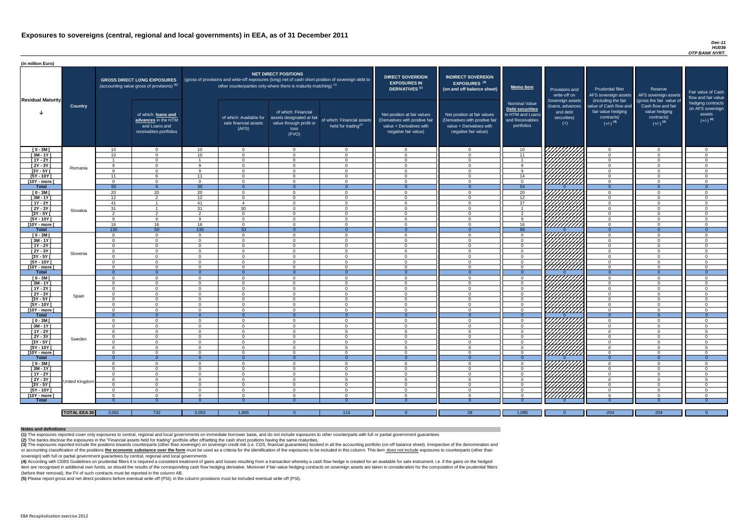#### *Dec-11 HU036 OTP BANK NYRT.*

(4) According with CEBS Guidelines on prudential filters it is required a consistent treatment of gains and losses resulting from a transaction whereby a cash flow hedge is created for an available for sale instrument: i.e item are recognised in additional own funds, so should the results of the corresponding cash flow hedging derivative. Moreover if fair-value hedging contracts on sovereign assets are taken in consideration for the computat (before their removal), the FV of such contracts must be reported in the column AB.

| (in million Euro)          |                     |                            |                                                                                             |                       |                                                                            |                                                                                              |                                                                                                     |                                                                                                                    |                                                                                                                    |                                                                                              |                                                                                                                            |                                                                                      |                                                                             |                                                                           |
|----------------------------|---------------------|----------------------------|---------------------------------------------------------------------------------------------|-----------------------|----------------------------------------------------------------------------|----------------------------------------------------------------------------------------------|-----------------------------------------------------------------------------------------------------|--------------------------------------------------------------------------------------------------------------------|--------------------------------------------------------------------------------------------------------------------|----------------------------------------------------------------------------------------------|----------------------------------------------------------------------------------------------------------------------------|--------------------------------------------------------------------------------------|-----------------------------------------------------------------------------|---------------------------------------------------------------------------|
| <b>Residual Maturity</b>   |                     |                            | <b>GROSS DIRECT LONG EXPOSURES</b><br>(accounting value gross of provisions) <sup>(1)</sup> |                       | other counterparties only where there is maturity matching) <sup>(1)</sup> | <b>NET DIRECT POSITIONS</b>                                                                  | (gross of provisions and write-off exposures (long) net of cash short position of sovereign debt to | <b>DIRECT SOVEREIGN</b><br><b>EXPOSURES IN</b><br>DERIVATIVES <sup>(1)</sup>                                       | <b>INDIRECT SOVEREIGN</b><br>EXPOSURES <sup>(3)</sup><br>(on and off balance sheet)                                | <b>Memo Item</b>                                                                             | Provisions and<br>write-off on<br>Sovereign assets                                                                         | <b>Prudential filter</b><br>AFS sovereign assets<br>(including the fair              | Reserve<br>AFS sovereign assets<br>(gross the fair value of                 | Fair value of Cash<br>flow and fair value                                 |
|                            | <b>Country</b>      |                            | of which: loans and<br>advances in the HTM<br>and Loans and<br>receivables portfolios       |                       | of which: Available for<br>sale financial assets<br>(AFS)                  | of which: Financial<br>assets designated at fair<br>value through profit or<br>loss<br>(FVO) | of which: Financial assets<br>held for trading $(2)$                                                | Net position at fair values<br>(Derivatives with positive fair<br>value + Derivatives with<br>negative fair value) | Net position at fair values<br>(Derivatives with positive fair<br>value + Derivatives with<br>negative fair value) | <b>Nominal Value</b><br>Debt securities<br>in HTM and Loans<br>and Receivables<br>portfolios | (loans, advances<br>and debt<br>securities)<br>$(+)$                                                                       | value of Cash flow and<br>fair value hedging<br>contracts)<br>$(+/-)$ <sup>(4)</sup> | Cash flow and fair<br>value hedging<br>contracts)<br>$(+/-)$ <sup>(4)</sup> | hedging contracts<br>on AFS sovereign<br>assets<br>$(+/-)$ <sup>(4)</sup> |
| $[0 - 3M]$                 |                     | $10^{-}$                   | $\Omega$                                                                                    | 10                    | $\Omega$                                                                   | $\Omega$                                                                                     | $\Omega$                                                                                            | $\Omega$                                                                                                           | $\overline{0}$                                                                                                     | 10                                                                                           | THE STATES                                                                                                                 | $\Omega$                                                                             | $\Omega$                                                                    | $\overline{0}$                                                            |
| $[3M - 1Y]$                |                     | 10 <sup>1</sup>            | $\Omega$                                                                                    | 10 <sup>1</sup>       | $\Omega$                                                                   | $\Omega$                                                                                     | $\overline{0}$                                                                                      | $\Omega$                                                                                                           | $\Omega$                                                                                                           | 11                                                                                           |                                                                                                                            | $\Omega$                                                                             | $\Omega$                                                                    | $\overline{0}$                                                            |
| $[1Y - 2Y]$                |                     | <b>Q</b>                   | $\cap$<br>$\cap$                                                                            | $\alpha$              | $\Omega$<br>$\Omega$                                                       | $\cap$<br>$\cap$                                                                             | $\Omega$                                                                                            | $\Omega$                                                                                                           | $\Omega$<br>$\Omega$                                                                                               |                                                                                              |                                                                                                                            | $\Omega$<br>$\Omega$                                                                 | $\Omega$<br>$\Omega$                                                        | $\Omega$                                                                  |
| [2Y - 3Y]<br>$[3Y - 5Y]$   | Romania             | $\Omega$                   |                                                                                             | $\Omega$              | $\cap$                                                                     | $\Omega$                                                                                     | $\overline{0}$<br>$\Omega$                                                                          | $\Omega$<br>- 0                                                                                                    | $\Omega$                                                                                                           |                                                                                              |                                                                                                                            |                                                                                      | $\Omega$                                                                    | $\mathbf{0}$<br>$\Omega$                                                  |
| $[5Y - 10Y]$               |                     | 11                         |                                                                                             | 11                    | $\cap$                                                                     | ∩                                                                                            | $\Omega$                                                                                            | $\Omega$                                                                                                           | $\Omega$                                                                                                           | 14                                                                                           |                                                                                                                            | $\Omega$                                                                             | $\Omega$                                                                    | $\overline{0}$                                                            |
| [10Y - more [              |                     | $\Omega$                   | റ                                                                                           | $\Omega$              | $\Omega$                                                                   | $\Omega$                                                                                     | $\Omega$                                                                                            | $\Omega$                                                                                                           | $\Omega$                                                                                                           |                                                                                              |                                                                                                                            | $\Omega$                                                                             | $\Omega$                                                                    | $\overline{0}$                                                            |
| Total                      |                     | 50                         | -6                                                                                          | 50                    | $\Omega$                                                                   |                                                                                              | $\Omega$                                                                                            | $\Omega$                                                                                                           | $\Omega$                                                                                                           | 54                                                                                           |                                                                                                                            | $\Omega$                                                                             | $\Omega$                                                                    | $\overline{0}$                                                            |
| $[0 - 3M]$                 |                     | 20                         | 20                                                                                          | 20                    | $\Omega$                                                                   | $\Omega$                                                                                     | $\Omega$                                                                                            | $\Omega$                                                                                                           | $\Omega$                                                                                                           | 20                                                                                           | .<br>Millitti                                                                                                              | $\Omega$                                                                             | $\Omega$                                                                    | $\Omega$                                                                  |
| $[3M-1Y]$<br>$[1Y - 2Y]$   |                     | 12<br>41                   | $\mathcal{D}$<br>$\overline{1}$                                                             | 12 <sup>7</sup><br>41 | $\Omega$<br>$\boldsymbol{\Lambda}$                                         | $\Omega$<br>$\cap$                                                                           | $\overline{0}$<br>$\Omega$                                                                          | $\Omega$<br>$\Omega$                                                                                               | $\Omega$<br>$\Omega$                                                                                               | $\overline{12}$<br>37                                                                        |                                                                                                                            | $\Omega$<br>$\Omega$                                                                 | $\Omega$<br>$\Omega$                                                        | $\overline{0}$<br>$\Omega$                                                |
| $[2Y - 3Y]$                |                     | 31                         | $\overline{1}$                                                                              | 31                    | 30                                                                         | $\Omega$                                                                                     | $\overline{0}$                                                                                      | $\overline{0}$                                                                                                     | $\Omega$                                                                                                           |                                                                                              |                                                                                                                            | $\overline{0}$                                                                       | $\Omega$                                                                    | $\overline{0}$                                                            |
| $[3Y - 5Y]$                | Slovakia            | $\overline{2}$             | $\overline{2}$                                                                              | $\overline{2}$        | $\Omega$                                                                   | $\Omega$                                                                                     | $\overline{0}$                                                                                      | $\overline{0}$                                                                                                     | $\Omega$                                                                                                           | $\overline{2}$                                                                               |                                                                                                                            | $\overline{0}$                                                                       | $\Omega$                                                                    | $\overline{0}$                                                            |
| $[5Y - 10Y]$               |                     | $\mathsf{Q}$               | <b>Q</b>                                                                                    | <b>Q</b>              | $\Omega$                                                                   | $\Omega$                                                                                     | $\Omega$                                                                                            | $\overline{0}$                                                                                                     | $\overline{0}$                                                                                                     | $\alpha$                                                                                     |                                                                                                                            | $\Omega$                                                                             | $\Omega$                                                                    | $\overline{0}$                                                            |
| [10Y - more [              |                     | 16                         | 16                                                                                          | 16                    | $\Omega$                                                                   | $\Omega$                                                                                     | $\Omega$                                                                                            | $\Omega$                                                                                                           | $\Omega$                                                                                                           | 16                                                                                           |                                                                                                                            | $\overline{0}$                                                                       | $\Omega$                                                                    | $\overline{0}$                                                            |
| <b>Total</b>               |                     | 130                        | 50                                                                                          | 130                   | 33                                                                         |                                                                                              | $\Omega$                                                                                            | $\Omega$                                                                                                           |                                                                                                                    | 96                                                                                           |                                                                                                                            | $\Omega$                                                                             | $\Omega$                                                                    | $\overline{0}$                                                            |
| $[0 - 3M]$                 |                     | $\Omega$                   | $\Omega$                                                                                    | $\Omega$              | $\Omega$                                                                   | $\Omega$                                                                                     | $\overline{0}$                                                                                      | $\Omega$                                                                                                           | $\Omega$                                                                                                           | $\cap$                                                                                       | 777777777                                                                                                                  | $\Omega$                                                                             | $\Omega$                                                                    | $\overline{0}$                                                            |
| $[3M - 1Y]$                |                     | $\Omega$                   | $\Omega$                                                                                    | $\Omega$              | $\Omega$                                                                   | $\Omega$                                                                                     | $\Omega$                                                                                            | $\Omega$                                                                                                           | $\Omega$                                                                                                           | $\Omega$<br>$\cap$                                                                           | 77777777                                                                                                                   | $\Omega$                                                                             | $\Omega$                                                                    | $\overline{0}$                                                            |
| $[1Y - 2Y]$<br>$[2Y - 3Y]$ |                     | $\Omega$<br>$\Omega$       | $\Omega$<br>$\Omega$                                                                        | $\Omega$<br>$\Omega$  | $\Omega$<br>$\Omega$                                                       | $\Omega$<br>$\Omega$                                                                         | $\overline{0}$<br>$\Omega$                                                                          | $\overline{0}$<br>$\Omega$                                                                                         | $\overline{0}$<br>$\overline{0}$                                                                                   | $\cap$                                                                                       |                                                                                                                            | $\Omega$<br>$\Omega$                                                                 | $\Omega$<br>$\Omega$                                                        | $\overline{0}$<br>$\overline{0}$                                          |
| [3Y - 5Y [                 | Slovenia            |                            |                                                                                             |                       | - ( )                                                                      |                                                                                              | -0                                                                                                  | - ( )                                                                                                              | - 0                                                                                                                |                                                                                              |                                                                                                                            |                                                                                      | O                                                                           | -0                                                                        |
| $[5Y - 10Y]$               |                     | $\Omega$                   | $\Omega$                                                                                    | - റ                   | $\Omega$                                                                   | $\Omega$                                                                                     | $\Omega$                                                                                            | $\Omega$                                                                                                           | $\Omega$                                                                                                           | റ                                                                                            |                                                                                                                            | $\Omega$                                                                             | $\overline{0}$                                                              | $\overline{0}$                                                            |
| [10Y - more [              |                     | $\Omega$                   | - റ                                                                                         | - റ                   | $\Omega$                                                                   | $\Omega$                                                                                     | $\overline{0}$                                                                                      | - റ                                                                                                                | $\Omega$                                                                                                           | $\cap$                                                                                       | UMMA.                                                                                                                      | $\Omega$                                                                             | $\Omega$                                                                    | $\overline{0}$                                                            |
| <b>Total</b>               |                     | - 0                        | $\overline{0}$                                                                              | $\Omega$              | - ೧                                                                        | $\Omega$                                                                                     | $\overline{0}$                                                                                      | - 0                                                                                                                |                                                                                                                    | $\Omega$                                                                                     |                                                                                                                            | $\Omega$                                                                             | $\Omega$                                                                    | $\overline{0}$                                                            |
| $[0 - 3M]$                 |                     | $\Omega$                   | $\Omega$                                                                                    | $\Omega$              | $\Omega$                                                                   | $\Omega$                                                                                     | $\overline{0}$                                                                                      | $\overline{0}$                                                                                                     | $\overline{0}$                                                                                                     | $\cap$                                                                                       | TIJITID<br>HIJITID<br>HIIITID                                                                                              | $\Omega$                                                                             | $\Omega$                                                                    | $\overline{0}$                                                            |
| $[3M - 1Y]$                |                     | $\Omega$                   | $\Omega$                                                                                    | $\Omega$              | $\Omega$                                                                   | $\Omega$                                                                                     | $\Omega$                                                                                            | $\Omega$                                                                                                           | $\Omega$                                                                                                           | $\Omega$                                                                                     |                                                                                                                            | $\Omega$                                                                             | $\Omega$                                                                    | $\overline{0}$                                                            |
| $[1Y - 2Y]$<br>$[2Y - 3Y]$ |                     | $\Omega$<br>$\Omega$       | $\Omega$<br>$\Omega$                                                                        | $\Omega$<br>$\Omega$  | $\Omega$<br>$\Omega$                                                       | $\Omega$<br>$\Omega$                                                                         | $\Omega$<br>$\Omega$                                                                                | $\overline{0}$<br>$\Omega$                                                                                         | $\overline{0}$<br>$\Omega$                                                                                         |                                                                                              |                                                                                                                            | $\Omega$<br>$\Omega$                                                                 | $\Omega$<br>$\Omega$                                                        | $\Omega$<br>$\overline{0}$                                                |
| $[3Y - 5Y]$                | Spain               | $\Omega$                   | $\cap$                                                                                      | $\Omega$              | - 0                                                                        | $\Omega$                                                                                     | $\Omega$                                                                                            | $\cap$                                                                                                             | $\Omega$                                                                                                           |                                                                                              |                                                                                                                            | $\cap$                                                                               | $\Omega$                                                                    | $\Omega$                                                                  |
| $[5Y - 10Y]$               |                     | $\Omega$                   | റ                                                                                           | $\Omega$              | $\Omega$                                                                   | $\Omega$                                                                                     | $\Omega$                                                                                            | $\Omega$                                                                                                           | $\Omega$                                                                                                           |                                                                                              |                                                                                                                            | $\Omega$                                                                             | $\Omega$                                                                    | $\overline{0}$                                                            |
| [10Y - more [              |                     | $\Omega$                   | $\cap$                                                                                      | $\Omega$              | $\Omega$                                                                   | $\cap$                                                                                       | $\Omega$                                                                                            | $\cap$                                                                                                             | $\Omega$                                                                                                           |                                                                                              |                                                                                                                            | $\Omega$                                                                             | $\Omega$                                                                    | $\Omega$                                                                  |
| Total                      |                     | $\Omega$                   | $\overline{0}$                                                                              | $\Omega$              | $\Omega$                                                                   | $\Omega$                                                                                     | $\Omega$                                                                                            | $\Omega$                                                                                                           | $\Omega$                                                                                                           | $\Omega$                                                                                     |                                                                                                                            | $\Omega$                                                                             | $\Omega$                                                                    | $\overline{0}$                                                            |
| $[0 - 3M]$                 |                     | $\Omega$                   | $\Omega$                                                                                    | $\Omega$              | $\Omega$                                                                   | $\Omega$                                                                                     | $\overline{0}$                                                                                      | $\overline{0}$                                                                                                     | $\overline{0}$                                                                                                     | $\Omega$                                                                                     | TIJJIT<br>HATIJIT                                                                                                          | $\Omega$                                                                             | $\Omega$                                                                    | $\Omega$                                                                  |
| $[3M - 1Y]$                |                     | $\Omega$                   | $\cap$<br>$\Omega$                                                                          | $\Omega$<br>$\Omega$  | $\Omega$<br>$\Omega$                                                       | $\Omega$<br>$\Omega$                                                                         | $\Omega$                                                                                            | $\Omega$<br>$\Omega$                                                                                               | $\Omega$<br>$\Omega$                                                                                               | $\Omega$                                                                                     |                                                                                                                            | $\Omega$<br>$\Omega$                                                                 | $\Omega$<br>$\Omega$                                                        | $\Omega$                                                                  |
| $[1Y - 2Y]$<br>[2Y - 3Y]   |                     | $\Omega$<br>$\overline{0}$ | $\Omega$                                                                                    | $\Omega$              | $\Omega$                                                                   | $\Omega$                                                                                     | $\overline{0}$<br>$\overline{0}$                                                                    | $\Omega$                                                                                                           | $\Omega$                                                                                                           | $\Omega$                                                                                     |                                                                                                                            | $\overline{0}$                                                                       | $\Omega$                                                                    | $\overline{0}$<br>$\overline{0}$                                          |
| $[3Y - 5Y]$                | Sweden              | $\Omega$                   | $\Omega$                                                                                    | $\Omega$              | $\Omega$                                                                   | $\Omega$                                                                                     | $\overline{0}$                                                                                      | $\overline{0}$                                                                                                     | $\Omega$                                                                                                           | $\Omega$                                                                                     |                                                                                                                            | $\Omega$                                                                             | $\Omega$                                                                    | $\Omega$                                                                  |
| $[5Y - 10Y]$               |                     | $\Omega$                   | $\Omega$                                                                                    | $\Omega$              | $\Omega$                                                                   | $\Omega$                                                                                     | $\overline{0}$                                                                                      | $\overline{0}$                                                                                                     | $\Omega$                                                                                                           | $\Omega$                                                                                     |                                                                                                                            | $\overline{0}$                                                                       | $\Omega$                                                                    | $\overline{0}$                                                            |
| [10Y - more                |                     | $\Omega$                   | $\Omega$                                                                                    | $\Omega$              | $\Omega$                                                                   | $\Omega$                                                                                     | $\overline{0}$                                                                                      | $\overline{0}$                                                                                                     | $\overline{0}$                                                                                                     | $\Omega$                                                                                     |                                                                                                                            | $\overline{0}$                                                                       | $\Omega$                                                                    | $\overline{0}$                                                            |
| <b>Total</b>               |                     | $\Omega$                   | $\overline{0}$                                                                              | $\Omega$              | $\Omega$                                                                   |                                                                                              | $\overline{0}$                                                                                      | $\Omega$                                                                                                           | $\Omega$                                                                                                           |                                                                                              |                                                                                                                            | $\overline{0}$                                                                       | $\Omega$                                                                    | $\overline{0}$                                                            |
| $[0 - 3M]$                 |                     | $\Omega$                   | $\Omega$                                                                                    | $\Omega$              | $\Omega$                                                                   | $\Omega$                                                                                     | $\overline{0}$                                                                                      | $\overline{0}$                                                                                                     | $\Omega$                                                                                                           | $\Omega$                                                                                     | <i>VIIIIIIII</i>                                                                                                           | $\Omega$                                                                             | $\Omega$                                                                    | $\overline{0}$                                                            |
| $[3M - 1Y]$                |                     | - 0                        | $\Omega$                                                                                    | $\Omega$              | $\Omega$                                                                   | $\overline{0}$                                                                               | $\overline{0}$                                                                                      | $\overline{0}$                                                                                                     | $\overline{0}$                                                                                                     | $\Omega$                                                                                     | ШШ.                                                                                                                        | $\overline{0}$                                                                       | $\Omega$                                                                    | $\overline{0}$                                                            |
| $[1Y - 2Y]$<br>$[2Y - 3Y]$ |                     | - 0<br>$\Omega$            | $\Omega$<br>$\Omega$                                                                        | $\Omega$<br>$\Omega$  | - 0<br>- 0                                                                 | $\Omega$<br>$\Omega$                                                                         | $\overline{0}$<br>$\overline{0}$                                                                    | $\overline{0}$<br>$\overline{0}$                                                                                   | $\overline{0}$<br>$\overline{0}$                                                                                   | $\Omega$<br>$\Omega$                                                                         |                                                                                                                            | $\Omega$<br>$\Omega$                                                                 | $\Omega$<br>$\Omega$                                                        | $\overline{0}$<br>$\Omega$                                                |
| $[3Y - 5Y]$                | United Kingdom      | $\Omega$                   | $\Omega$                                                                                    | $\Omega$              | $\Omega$                                                                   | $\Omega$                                                                                     | $\overline{0}$                                                                                      | $\overline{0}$                                                                                                     | $\overline{0}$                                                                                                     | . റ                                                                                          | HAHAHA KABUPATÈN YANG MANGGUNAK KABUPATÈN JANG MANGGUNAK KABUPATÈN JARAWANG PANGGUNAK KANG MANGGUNAK KARAWANG<br>KALIMATÈN | $\overline{0}$                                                                       | $\overline{0}$                                                              | $\overline{0}$                                                            |
| $[5Y - 10Y]$               |                     | $\Omega$                   | - റ                                                                                         | - റ                   | $\Omega$                                                                   | $\Omega$                                                                                     | $\Omega$                                                                                            | $\Omega$                                                                                                           | $\Omega$                                                                                                           | $\cap$                                                                                       |                                                                                                                            | $\Omega$                                                                             | $\Omega$                                                                    | $\overline{0}$                                                            |
| [10Y - more [              |                     | റ                          | $\cap$                                                                                      | റ                     | $\cap$                                                                     | $\Omega$                                                                                     | $\Omega$                                                                                            | $\cap$                                                                                                             | $\Omega$                                                                                                           | $\Omega$                                                                                     | <u>VIIIIIII</u>                                                                                                            | $\cap$                                                                               | $\cap$                                                                      | $\Omega$                                                                  |
| <b>Total</b>               |                     |                            |                                                                                             |                       |                                                                            |                                                                                              |                                                                                                     |                                                                                                                    |                                                                                                                    |                                                                                              |                                                                                                                            |                                                                                      |                                                                             |                                                                           |
|                            |                     |                            |                                                                                             |                       |                                                                            |                                                                                              |                                                                                                     |                                                                                                                    |                                                                                                                    |                                                                                              |                                                                                                                            |                                                                                      |                                                                             |                                                                           |
|                            | <b>TOTAL EEA 30</b> | 3,061                      | 732                                                                                         | 3,053                 | 1,865                                                                      |                                                                                              | 114                                                                                                 | $\Omega$                                                                                                           | 28                                                                                                                 | 1,085                                                                                        | $\Omega$                                                                                                                   | $-204$                                                                               | 204                                                                         | $\overline{0}$ and $\overline{0}$                                         |

(3) The exposures reported include the positions towards counterparts (other than sovereign) on sovereign credit risk (i.e. CDS, financial guarantees) booked in all the accounting portfolio (on-off balance sheet). Irrespec or accounting classification of the positions the economic substance over the form must be used as a criteria for the identification of the exposures to be included in this column. This item does not include exposures to c sovereign) with full or partial government guarantees by central, regional and local governments

**(5)** Please report gross and net direct positions before eventual write-off (PSI); in the column provisions must be included eventual write-off (PSI).

#### **Notes and definitions**

**(1)** The exposures reported cover only exposures to central, regional and local governments on immediate borrower basis, and do not include exposures to other counterparts with full or partial government guarantees **(2)** The banks disclose the exposures in the "Financial assets held for trading" portfolio after offsetting the cash short positions having the same maturities.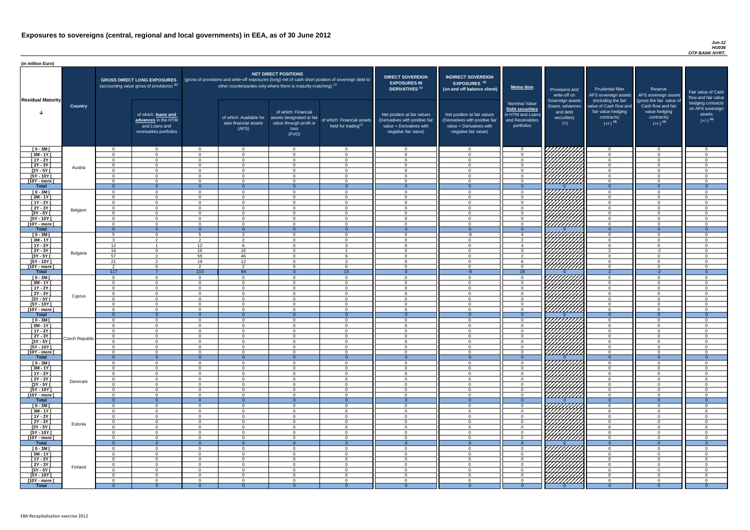| (in million Euro)                              |                |                      |                                                                                       |                      |                                                                   |                                                                                              |                                                                                                     |                                                                                                                    |                                                                                                                    |                                                                                              |                                                                          |                                                                                                             |                                                                                                         |                                                   |
|------------------------------------------------|----------------|----------------------|---------------------------------------------------------------------------------------|----------------------|-------------------------------------------------------------------|----------------------------------------------------------------------------------------------|-----------------------------------------------------------------------------------------------------|--------------------------------------------------------------------------------------------------------------------|--------------------------------------------------------------------------------------------------------------------|----------------------------------------------------------------------------------------------|--------------------------------------------------------------------------|-------------------------------------------------------------------------------------------------------------|---------------------------------------------------------------------------------------------------------|---------------------------------------------------|
|                                                |                |                      | <b>GROSS DIRECT LONG EXPOSURES</b><br>(accounting value gross of provisions) (1)      |                      | other counterparties only where there is maturity matching) $(1)$ | <b>NET DIRECT POSITIONS</b>                                                                  | (gross of provisions and write-off exposures (long) net of cash short position of sovereign debt to | <b>DIRECT SOVEREIGN</b><br><b>EXPOSURES IN</b><br><b>DERIVATIVES<sup>(1)</sup></b>                                 | <b>INDIRECT SOVEREIGN</b><br><b>EXPOSURES<sup>(3)</sup></b><br>(on and off balance sheet)                          | <b>Memo Item</b>                                                                             | Provisions and<br>write-off on                                           | <b>Prudential filter</b><br>AFS sovereign assets                                                            | Reserve<br>AFS sovereign assets                                                                         | Fair value<br>flow and t                          |
| <b>Residual Maturity</b>                       | <b>Country</b> |                      | of which: loans and<br>advances in the HTM<br>and Loans and<br>receivables portfolios |                      | of which: Available for<br>sale financial assets<br>(AFS)         | of which: Financial<br>assets designated at fair<br>value through profit or<br>loss<br>(FVO) | of which: Financial assets<br>held for trading <sup>(2)</sup>                                       | Net position at fair values<br>(Derivatives with positive fair<br>value + Derivatives with<br>negative fair value) | Net position at fair values<br>(Derivatives with positive fair<br>value + Derivatives with<br>negative fair value) | <b>Nominal Value</b><br>Debt securities<br>in HTM and Loans<br>and Receivables<br>portfolios | Sovereign assets<br>(loans, advances<br>and debt<br>securities)<br>$(+)$ | (including the fair<br>value of Cash flow and<br>fair value hedging<br>contracts)<br>$(+/-)$ <sup>(4)</sup> | (gross the fair value of<br>Cash flow and fair<br>value hedging<br>contracts)<br>$(+/-)$ <sup>(4)</sup> | hedging o<br>on AFS <sub>s</sub><br>ass<br>$(+/-$ |
| $[0 - 3M]$                                     |                | $\cap$               | $\Omega$                                                                              | $\Omega$             | $\Omega$                                                          | $\Omega$                                                                                     |                                                                                                     | $\Omega$                                                                                                           | $\Omega$                                                                                                           | - റ                                                                                          | 77777777                                                                 | - റ                                                                                                         | $\Omega$                                                                                                |                                                   |
| $[3M-1Y]$                                      |                | $\Omega$<br>$\cap$   | $\Omega$                                                                              | $\Omega$             | $\overline{0}$                                                    | $\Omega$                                                                                     | $\cap$                                                                                              | $\Omega$                                                                                                           | $\Omega$<br>$\Omega$                                                                                               | $\overline{0}$                                                                               |                                                                          | $\Omega$<br>$\Omega$                                                                                        | $\overline{0}$                                                                                          |                                                   |
| $[1Y - 2Y]$<br>$[2Y - 3Y]$                     |                | $\cap$               | $\Omega$<br>$\Omega$                                                                  | $\Omega$<br>$\Omega$ | $\Omega$<br>$\Omega$                                              | $\Omega$<br>$\Omega$                                                                         | $\Omega$                                                                                            | $\Omega$                                                                                                           | $\cap$                                                                                                             | $\Omega$<br>$\Omega$                                                                         |                                                                          | $\Omega$                                                                                                    | $\Omega$<br>$\Omega$                                                                                    |                                                   |
| $[3Y - 5Y]$                                    | Austria        | $\Omega$             | $\overline{0}$                                                                        | $\Omega$             | $\overline{0}$                                                    | $\Omega$                                                                                     |                                                                                                     |                                                                                                                    | $\Omega$                                                                                                           | $\overline{0}$                                                                               | 44448                                                                    | $\Omega$                                                                                                    | $\Omega$                                                                                                |                                                   |
| $[5Y - 10Y]$                                   |                | $\cap$               | $\Omega$                                                                              | $\Omega$             | $\Omega$                                                          | $\Omega$                                                                                     | $\Omega$                                                                                            | $\Omega$                                                                                                           | $\cap$                                                                                                             | $\Omega$                                                                                     | 11/////////////////////                                                  | $\Omega$                                                                                                    | $\Omega$                                                                                                |                                                   |
| <u>[10Y - more [</u><br><b>Total</b>           |                | $\cap$<br>$\Omega$   | $\Omega$<br>റ                                                                         | $\cap$<br>- 0        | $\Omega$<br>$\Omega$                                              | $\Omega$<br>$\Omega$                                                                         | $\Omega$                                                                                            | $\Omega$                                                                                                           | $\cap$                                                                                                             | $\Omega$<br>- 0                                                                              | <u>VIIIIIIII</u>                                                         | $\Omega$<br>$\Omega$                                                                                        | $\Omega$<br>$\Omega$                                                                                    |                                                   |
| $[0 - 3M]$                                     |                | $\Omega$             | $\Omega$                                                                              | $\Omega$             | $\Omega$                                                          | $\Omega$                                                                                     | $\cap$                                                                                              | $\cap$                                                                                                             | $\cap$                                                                                                             | $\Omega$                                                                                     | <i>VHHHH</i> A                                                           | $\Omega$                                                                                                    | $\Omega$                                                                                                |                                                   |
| $[3M - 1Y]$                                    |                | $\Omega$             | $\Omega$                                                                              | $\Omega$             | $\Omega$                                                          | $\Omega$                                                                                     | $\cap$                                                                                              | $\cap$                                                                                                             | $\Omega$                                                                                                           | $\Omega$                                                                                     |                                                                          | $\overline{0}$                                                                                              | $\Omega$                                                                                                |                                                   |
| $[1Y - 2Y]$                                    |                | $\Omega$             | $\Omega$                                                                              | $\overline{0}$       | $\overline{0}$                                                    | $\overline{0}$                                                                               | $\cap$                                                                                              | $\Omega$                                                                                                           | $\Omega$                                                                                                           | $\overline{0}$                                                                               |                                                                          | $\overline{0}$                                                                                              | $\overline{0}$                                                                                          |                                                   |
| $[2Y - 3Y]$<br>$[3Y - 5Y]$                     | Belgium        | $\Omega$<br>$\Omega$ | $\Omega$<br>$\Omega$                                                                  | $\Omega$<br>$\Omega$ | $\Omega$<br>$\overline{0}$                                        | $\Omega$<br>$\Omega$                                                                         | $\cap$<br>$\Omega$                                                                                  | $\Omega$<br>$\Omega$                                                                                               | $\Omega$<br>$\Omega$                                                                                               | $\Omega$<br>$\Omega$                                                                         |                                                                          | $\overline{0}$<br>$\overline{0}$                                                                            | $\Omega$<br>$\Omega$                                                                                    |                                                   |
| $[5Y - 10Y]$                                   |                | $\Omega$             | $\Omega$                                                                              | $\Omega$             | $\overline{0}$                                                    | $\Omega$                                                                                     |                                                                                                     | $\Omega$                                                                                                           | $\Omega$                                                                                                           | $\Omega$                                                                                     |                                                                          | $\overline{0}$                                                                                              | $\Omega$                                                                                                |                                                   |
| [10Y - more [                                  |                |                      | $\Omega$                                                                              | $\Omega$             | $\overline{0}$                                                    | $\Omega$                                                                                     |                                                                                                     |                                                                                                                    | $\Omega$                                                                                                           | $\Omega$                                                                                     | ////////////                                                             | $\Omega$                                                                                                    | $\Omega$                                                                                                |                                                   |
| <b>Total</b>                                   |                | $\overline{0}$       | $\Omega$                                                                              | $\Omega$             | $\Omega$                                                          | $\Omega$                                                                                     | $\Omega$                                                                                            |                                                                                                                    | $\Omega$                                                                                                           | $\Omega$                                                                                     |                                                                          | $\overline{0}$                                                                                              | $\Omega$                                                                                                |                                                   |
| $[0 - 3M]$<br>$[3M - 1Y]$                      |                | $\mathbf{r}$         | $\Omega$<br>ົດ                                                                        | -5<br>$\mathcal{P}$  | $\mathcal{P}$<br>$\mathcal{D}$                                    | $\Omega$<br>$\Omega$                                                                         |                                                                                                     |                                                                                                                    | -8<br>$\cap$                                                                                                       | $\boldsymbol{\Lambda}$<br>$\mathcal{D}$                                                      |                                                                          | $\Omega$<br>$\Omega$                                                                                        | $\Omega$<br>$\Omega$                                                                                    |                                                   |
| $[1Y - 2Y]$                                    |                | 12 <sup>12</sup>     |                                                                                       | 12                   | 6                                                                 | $\Omega$                                                                                     | વ                                                                                                   | $\Omega$                                                                                                           | $\cap$                                                                                                             | $\boldsymbol{\Lambda}$                                                                       |                                                                          | $\Omega$                                                                                                    | $\Omega$                                                                                                |                                                   |
| $[2Y - 3Y]$                                    | Bulgaria       | 16                   | $\Omega$                                                                              | 16                   | 16                                                                | $\Omega$                                                                                     |                                                                                                     | $\cap$                                                                                                             | റ                                                                                                                  | $\Omega$                                                                                     | <i>WAAAA</i>                                                             | $\overline{2}$                                                                                              | $-2$                                                                                                    |                                                   |
| [3Y - 5Y ]                                     |                | 57                   |                                                                                       | 55                   | 46                                                                |                                                                                              |                                                                                                     |                                                                                                                    |                                                                                                                    |                                                                                              | V <i>UUUU</i>                                                            |                                                                                                             |                                                                                                         |                                                   |
| [5Y - 10Y [<br>[10Y - more [                   |                | 21<br>$\overline{2}$ | ົາ<br>$\Omega$                                                                        | 19<br>$\overline{2}$ | 12<br>2                                                           | $\Omega$<br>$\Omega$                                                                         | 3<br>$\cap$                                                                                         | $\Omega$<br>$\cap$                                                                                                 | $\Omega$<br>$\cap$                                                                                                 | -6<br>$\Omega$                                                                               | <u>VIIIIIII</u>                                                          | $\Omega$<br>$\Omega$                                                                                        | $\Omega$<br>$\Omega$                                                                                    |                                                   |
| <b>Total</b>                                   |                | 117                  |                                                                                       | 110                  | 84                                                                | - 0                                                                                          | 15                                                                                                  |                                                                                                                    | -8                                                                                                                 | $\overline{18}$                                                                              |                                                                          | $\overline{2}$                                                                                              | $-2$                                                                                                    |                                                   |
| $[0 - 3M]$                                     |                | $\Omega$             | $\Omega$                                                                              | $\Omega$             | $\overline{0}$                                                    | $\Omega$                                                                                     | $\Omega$                                                                                            | $\Omega$                                                                                                           | $\Omega$                                                                                                           | $\Omega$                                                                                     |                                                                          | $\Omega$                                                                                                    | $\Omega$                                                                                                |                                                   |
| $[3M - 1Y]$                                    |                | $\Omega$             | $\Omega$                                                                              | $\Omega$             | $\Omega$                                                          | $\Omega$                                                                                     | $\cap$                                                                                              | $\cap$                                                                                                             | $\Omega$                                                                                                           | $\Omega$                                                                                     |                                                                          | $\Omega$                                                                                                    | $\Omega$                                                                                                |                                                   |
| [ 1Y - 2Y [<br>$\overline{[2Y-3Y]}$            |                | $\cap$               | $\Omega$<br>$\overline{0}$                                                            | - ೧<br>$\Omega$      | $\Omega$<br>$\mathbf 0$                                           | $\Omega$<br>$\Omega$                                                                         |                                                                                                     |                                                                                                                    | $\Omega$                                                                                                           | $\cap$<br>$\overline{0}$                                                                     | VIIIIIA                                                                  | $\Omega$<br>$\Omega$                                                                                        | $\Omega$<br>$\Omega$                                                                                    |                                                   |
| $\overline{3Y - 5Y}$                           | Cyprus         |                      | $\Omega$                                                                              | $\Omega$             | $\overline{0}$                                                    | - 0                                                                                          | $\cap$                                                                                              |                                                                                                                    | $\Omega$                                                                                                           | - 0                                                                                          | <b>177777</b>                                                            | $\Omega$                                                                                                    | $\Omega$                                                                                                |                                                   |
| $[5Y - 10Y]$                                   |                |                      | $\Omega$                                                                              | $\Omega$             | $\Omega$                                                          | $\Omega$                                                                                     | $\Omega$                                                                                            | $\Omega$                                                                                                           | $\Omega$                                                                                                           | $\Omega$                                                                                     | HHHH                                                                     | $\Omega$                                                                                                    | $\Omega$                                                                                                |                                                   |
| [10Y - more [                                  |                | $\cap$               | $\Omega$                                                                              | $\Omega$             | $\Omega$                                                          | $\Omega$                                                                                     | $\Omega$                                                                                            | ∩                                                                                                                  | $\Omega$                                                                                                           | $\Omega$                                                                                     |                                                                          | $\Omega$                                                                                                    | $\Omega$                                                                                                |                                                   |
| <b>Total</b><br>$[0 - 3M]$                     |                | $\Omega$<br>$\cap$   | - 0 -<br>$\Omega$                                                                     | -C<br>$\Omega$       | $\Omega$<br>$\Omega$                                              | $\Omega$                                                                                     | $\Omega$                                                                                            | $\cap$                                                                                                             | $\Omega$                                                                                                           | $\Omega$<br>$\Omega$                                                                         |                                                                          | $\Omega$<br>$\Omega$                                                                                        | $\Omega$<br>$\Omega$                                                                                    |                                                   |
| $[3M - 1Y]$                                    |                | $\cap$               | $\Omega$                                                                              | $\Omega$             | $\Omega$                                                          | $\Omega$                                                                                     | $\Omega$                                                                                            | $\Omega$                                                                                                           | $\Omega$                                                                                                           | $\Omega$                                                                                     | N <i>HIIIII.Q</i>                                                        | $\Omega$                                                                                                    | $\Omega$                                                                                                |                                                   |
| $[1Y - 2Y]$                                    |                | $\Omega$             | $\Omega$                                                                              | $\Omega$             | $\overline{0}$                                                    | $\Omega$                                                                                     | $\Omega$                                                                                            | $\Omega$                                                                                                           | $\Omega$                                                                                                           | $\overline{0}$                                                                               | V <i>UHUH</i> A                                                          | $\overline{0}$                                                                                              | $\Omega$                                                                                                |                                                   |
| $[2Y - 3Y]$                                    | Czech Republic | $\Omega$             | $\Omega$                                                                              | $\Omega$             | $\overline{0}$                                                    | $\Omega$                                                                                     | $\Omega$                                                                                            | $\Omega$                                                                                                           | $\Omega$                                                                                                           | $\Omega$                                                                                     |                                                                          | $\overline{0}$                                                                                              | $\overline{0}$                                                                                          |                                                   |
| $[3Y - 5Y]$<br>$[5Y - 10Y]$                    |                | $\Omega$             | $\overline{0}$<br>$\Omega$                                                            | $\Omega$<br>$\Omega$ | $\overline{0}$<br>$\mathbf 0$                                     | $\Omega$<br>$\Omega$                                                                         |                                                                                                     |                                                                                                                    | $\Omega$                                                                                                           | $\overline{0}$<br>$\Omega$                                                                   | <u>VIIIIIIII</u>                                                         | $\overline{0}$<br>$\Omega$                                                                                  | $\overline{0}$<br>$\Omega$                                                                              |                                                   |
| [10Y - more [                                  |                |                      | $\Omega$                                                                              | $\Omega$             | $\Omega$                                                          | $\Omega$                                                                                     |                                                                                                     |                                                                                                                    | $\Omega$                                                                                                           | $\Omega$                                                                                     | 77777777                                                                 | $\Omega$                                                                                                    | $\Omega$                                                                                                |                                                   |
| <b>Total</b>                                   |                | $\overline{0}$       | $\Omega$                                                                              | $\Omega$             | $\Omega$                                                          | $\Omega$                                                                                     | $\Omega$                                                                                            |                                                                                                                    | $\Omega$                                                                                                           | $\Omega$                                                                                     |                                                                          | $\overline{0}$                                                                                              | - 0                                                                                                     |                                                   |
| $[0 - 3M]$                                     |                |                      | $\overline{0}$                                                                        | - റ                  | $\Omega$                                                          | $\Omega$                                                                                     |                                                                                                     | $\cap$                                                                                                             | $\Omega$                                                                                                           | $\Omega$                                                                                     | 777777777<br>7777777777                                                  | $\Omega$                                                                                                    | $\Omega$                                                                                                |                                                   |
| $[3M - 1Y]$<br>$[1Y - 2Y]$                     |                | $\cap$<br>$\cap$     | $\Omega$<br>$\Omega$                                                                  | $\Omega$<br>$\Omega$ | $\Omega$<br>$\overline{0}$                                        | $\Omega$<br>$\Omega$                                                                         | ∩<br>∩                                                                                              | $\cap$                                                                                                             | $\cap$<br>$\cap$                                                                                                   | $\Omega$<br>$\Omega$                                                                         |                                                                          | $\Omega$<br>$\Omega$                                                                                        | $\Omega$<br>$\Omega$                                                                                    |                                                   |
| $\overline{[2Y-3Y]}$                           |                | $\cap$               | $\Omega$                                                                              | $\Omega$             | $\overline{0}$                                                    | $\Omega$                                                                                     |                                                                                                     |                                                                                                                    | $\cap$                                                                                                             | $\Omega$                                                                                     |                                                                          | $\overline{0}$                                                                                              | $\Omega$                                                                                                |                                                   |
| $[3Y - 5Y]$                                    | Denmark        | $\Omega$             | $\Omega$                                                                              | $\Omega$             | $\overline{0}$                                                    | $\Omega$                                                                                     | $\Omega$                                                                                            | $\Omega$                                                                                                           | $\Omega$                                                                                                           | $\Omega$                                                                                     |                                                                          | $\overline{0}$                                                                                              | $\Omega$                                                                                                |                                                   |
| $[5Y - 10Y]$                                   |                | $\Omega$<br>$\Omega$ | $\Omega$<br>$\Omega$                                                                  | $\Omega$<br>$\Omega$ | $\Omega$                                                          | $\Omega$<br>$\Omega$                                                                         | $\Omega$<br>$\Omega$                                                                                | $\Omega$<br>$\Omega$                                                                                               | $\cap$<br>$\Omega$                                                                                                 | $\Omega$<br>$\Omega$                                                                         |                                                                          | $\overline{0}$<br>$\overline{0}$                                                                            | $\Omega$<br>$\Omega$                                                                                    |                                                   |
| [10Y - more [<br><b>Total</b>                  |                | $\overline{0}$       | $\overline{0}$                                                                        | $\Omega$             | $\overline{0}$<br>$\Omega$                                        | - റ                                                                                          | $\Omega$                                                                                            | $\cap$                                                                                                             | $\Omega$                                                                                                           | $\Omega$                                                                                     | 777777777                                                                | $\overline{0}$                                                                                              | $\Omega$                                                                                                |                                                   |
| $[0 - 3M]$                                     |                | $\Omega$             | $\Omega$                                                                              | $\Omega$             | $\Omega$                                                          | $\Omega$                                                                                     | $\cap$                                                                                              | $\cap$                                                                                                             | $\Omega$                                                                                                           | $\Omega$                                                                                     |                                                                          | $\Omega$                                                                                                    | $\Omega$                                                                                                |                                                   |
| $[3M - 1Y]$                                    |                | $\cap$               | $\Omega$                                                                              | - ೧                  | $\Omega$                                                          | $\Omega$                                                                                     |                                                                                                     |                                                                                                                    | $\Omega$                                                                                                           | $\Omega$                                                                                     |                                                                          | $\Omega$                                                                                                    | $\Omega$                                                                                                |                                                   |
| $[1Y - 2Y]$                                    |                | $\Omega$             | $\Omega$                                                                              | $\Omega$             | $\Omega$                                                          | $\Omega$                                                                                     |                                                                                                     |                                                                                                                    | $\Omega$                                                                                                           | $\Omega$                                                                                     |                                                                          | $\Omega$                                                                                                    | $\Omega$                                                                                                |                                                   |
| $\overline{[2Y-3Y]}$<br>$\overline{[3Y - 5Y]}$ | Estonia        | $\Omega$             | $\Omega$<br>$\Omega$                                                                  | $\Omega$<br>$\Omega$ | $\Omega$<br>$\Omega$                                              | $\Omega$<br>$\Omega$                                                                         | $\cap$                                                                                              | $\cap$                                                                                                             | $\Omega$<br>$\Omega$                                                                                               | $\Omega$<br>$\cap$                                                                           |                                                                          | $\Omega$<br>$\Omega$                                                                                        | $\Omega$<br>$\Omega$                                                                                    |                                                   |
| $[5Y - 10Y]$                                   |                |                      | $\Omega$                                                                              | - ೧                  | $\Omega$                                                          | - റ                                                                                          | $\cap$                                                                                              |                                                                                                                    | $\Omega$                                                                                                           | $\Omega$                                                                                     |                                                                          | $\Omega$                                                                                                    | $\Omega$                                                                                                |                                                   |
| [10Y - more [                                  |                | $\cap$               | $\Omega$                                                                              | - വ                  | $\Omega$                                                          | - റ                                                                                          | $\cap$                                                                                              |                                                                                                                    | $\Omega$                                                                                                           | $\cap$                                                                                       |                                                                          | $\Omega$                                                                                                    | $\Omega$                                                                                                |                                                   |
| <b>Total</b>                                   |                |                      |                                                                                       |                      | $\Omega$                                                          |                                                                                              |                                                                                                     |                                                                                                                    |                                                                                                                    |                                                                                              |                                                                          | $\Omega$                                                                                                    |                                                                                                         |                                                   |
| $[0 - 3M]$<br>$[3M - 1Y]$                      |                | $\Omega$             | $\Omega$<br>$\overline{0}$                                                            | $\Omega$<br>$\Omega$ | $\Omega$<br>$\overline{0}$                                        | $\Omega$<br>$\overline{0}$                                                                   | $\Omega$                                                                                            | $\Omega$                                                                                                           | $\Omega$                                                                                                           | $\Omega$<br>$\overline{0}$                                                                   | WIIIIIII                                                                 | $\Omega$<br>$\overline{0}$                                                                                  | $\Omega$<br>$\Omega$                                                                                    |                                                   |
| $[1Y - 2Y]$                                    |                | $\overline{0}$       | $\Omega$                                                                              | $\overline{0}$       | $\Omega$                                                          | $\Omega$                                                                                     | $\Omega$                                                                                            | $\Omega$                                                                                                           | $\Omega$                                                                                                           | $\overline{0}$                                                                               | WAHA SAHARA                                                              | $\overline{0}$                                                                                              | $\overline{0}$                                                                                          |                                                   |
| $[2Y - 3Y]$                                    | Finland        | $\Omega$             | $\overline{0}$                                                                        | $\Omega$             | $\overline{0}$                                                    | $\overline{0}$                                                                               | $\Omega$                                                                                            | $\Omega$                                                                                                           | $\Omega$                                                                                                           | $\overline{0}$                                                                               |                                                                          | $\overline{0}$                                                                                              | $\overline{0}$                                                                                          |                                                   |
| $[3Y - 5Y]$                                    |                | $\Omega$             | $\overline{0}$                                                                        | $\Omega$             | $\overline{0}$                                                    | $\overline{0}$                                                                               | $\Omega$                                                                                            | $\Omega$                                                                                                           | $\overline{0}$                                                                                                     | $\overline{0}$                                                                               |                                                                          | $\overline{0}$                                                                                              | $\overline{0}$                                                                                          |                                                   |
| [5Y - 10Y [<br>[10Y - more [                   |                | - റ                  | $\Omega$<br>$\overline{0}$                                                            | $\Omega$<br>$\Omega$ | $\overline{0}$<br>$\Omega$                                        | $\Omega$<br>$\overline{0}$                                                                   | $\Omega$                                                                                            | $\cap$                                                                                                             | $\Omega$                                                                                                           | $\overline{0}$<br>$\cap$                                                                     | <i>WHHA</i><br>7777777                                                   | $\overline{0}$<br>$\Omega$                                                                                  | $\Omega$<br>$\Omega$                                                                                    |                                                   |
| <b>Total</b>                                   |                | $\Omega$             |                                                                                       | $\Omega$             | $\Omega$                                                          |                                                                                              |                                                                                                     |                                                                                                                    |                                                                                                                    |                                                                                              |                                                                          | $\Omega$                                                                                                    | $\Omega$                                                                                                |                                                   |

#### *Jun-12 HU036 OTP BANK NYRT.*

| <b>DIRECT SOVEREIGN</b><br><b>EXPOSURES IN</b><br>DERIVATIVES <sup>(1)</sup><br>Net position at fair values<br>(Derivatives with positive fair<br>value + Derivatives with<br>negative fair value) | <b>INDIRECT SOVEREIGN</b><br><b>EXPOSURES<sup>(3)</sup></b><br>(on and off balance sheet)<br>Net position at fair values<br>(Derivatives with positive fair<br>value + Derivatives with<br>negative fair value) | <b>Memo Item</b><br><b>Nominal Value</b><br>Debt securities<br>in HTM and Loans<br>and Receivables<br>portfolios | Provisions and<br>write-off on<br>Sovereign assets<br>(loans, advances<br>and debt<br>securities)<br>$(+)$ | <b>Prudential filter</b><br>AFS sovereign assets<br>(including the fair<br>value of Cash flow and<br>fair value hedging<br>contracts)<br>$(+/-)$ <sup>(4)</sup> | Reserve<br>AFS sovereign assets<br>(gross the fair value of<br>Cash flow and fair<br>value hedging<br>contracts)<br>$(+/-)$ <sup>(4)</sup> | Fair value of Cash<br>flow and fair value<br>hedging contracts<br>on AFS sovereign<br>assets<br>$(+/-)$ <sup>(4)</sup> |
|----------------------------------------------------------------------------------------------------------------------------------------------------------------------------------------------------|-----------------------------------------------------------------------------------------------------------------------------------------------------------------------------------------------------------------|------------------------------------------------------------------------------------------------------------------|------------------------------------------------------------------------------------------------------------|-----------------------------------------------------------------------------------------------------------------------------------------------------------------|--------------------------------------------------------------------------------------------------------------------------------------------|------------------------------------------------------------------------------------------------------------------------|
| $\mathbf 0$                                                                                                                                                                                        | $\overline{0}$                                                                                                                                                                                                  | $\mathbf 0$                                                                                                      |                                                                                                            | $\overline{0}$                                                                                                                                                  | $\overline{0}$                                                                                                                             | $\mathbf 0$                                                                                                            |
| $\mathbf 0$                                                                                                                                                                                        | $\mathbf 0$                                                                                                                                                                                                     | $\mathbf 0$                                                                                                      |                                                                                                            | $\mathbf 0$                                                                                                                                                     | $\overline{0}$                                                                                                                             | $\overline{0}$                                                                                                         |
| $\mathbf 0$                                                                                                                                                                                        | $\mathbf 0$                                                                                                                                                                                                     | $\mathbf 0$                                                                                                      |                                                                                                            | $\mathbf 0$                                                                                                                                                     | $\overline{0}$                                                                                                                             | $\mathbf 0$                                                                                                            |
| $\mathbf 0$<br>$\mathbf 0$                                                                                                                                                                         | $\mathbf 0$<br>$\mathbf 0$                                                                                                                                                                                      | $\pmb{0}$<br>$\mathbf 0$                                                                                         |                                                                                                            | $\mathbf 0$<br>$\mathbf 0$                                                                                                                                      | $\overline{0}$<br>$\overline{0}$                                                                                                           | $\pmb{0}$<br>$\mathbf 0$                                                                                               |
| $\mathbf 0$                                                                                                                                                                                        | $\mathbf 0$                                                                                                                                                                                                     | $\mathbf 0$                                                                                                      |                                                                                                            | $\mathbf 0$                                                                                                                                                     | $\overline{0}$                                                                                                                             | $\mathbf 0$                                                                                                            |
| $\mathbf 0$                                                                                                                                                                                        | $\mathbf 0$                                                                                                                                                                                                     | $\pmb{0}$                                                                                                        |                                                                                                            | $\mathbf 0$                                                                                                                                                     | $\mathbf 0$                                                                                                                                | $\mathbf 0$                                                                                                            |
| $\overline{0}$                                                                                                                                                                                     | $\overline{0}$                                                                                                                                                                                                  | $\overline{0}$                                                                                                   | $\Omega$                                                                                                   | $\overline{0}$                                                                                                                                                  | $\overline{0}$                                                                                                                             | $\overline{0}$                                                                                                         |
| $\mathbf 0$                                                                                                                                                                                        | $\mathbf 0$                                                                                                                                                                                                     | $\mathbf 0$                                                                                                      |                                                                                                            | $\mathbf 0$                                                                                                                                                     | $\mathbf 0$                                                                                                                                | $\mathbf 0$                                                                                                            |
| $\mathbf 0$                                                                                                                                                                                        | $\mathbf 0$                                                                                                                                                                                                     | $\mathbf 0$                                                                                                      |                                                                                                            | $\mathbf 0$                                                                                                                                                     | $\mathbf 0$                                                                                                                                | $\pmb{0}$                                                                                                              |
| $\mathbf 0$                                                                                                                                                                                        | $\mathbf 0$                                                                                                                                                                                                     | $\mathbf 0$                                                                                                      |                                                                                                            | $\mathbf 0$                                                                                                                                                     | $\overline{0}$                                                                                                                             | $\pmb{0}$                                                                                                              |
| $\mathbf 0$                                                                                                                                                                                        | $\mathbf 0$                                                                                                                                                                                                     | $\mathbf 0$                                                                                                      |                                                                                                            | $\overline{0}$                                                                                                                                                  | $\overline{0}$                                                                                                                             | $\mathbf 0$                                                                                                            |
| $\mathbf 0$                                                                                                                                                                                        | $\mathbf 0$                                                                                                                                                                                                     | 0                                                                                                                |                                                                                                            | $\mathbf 0$                                                                                                                                                     | $\mathbf 0$                                                                                                                                | 0                                                                                                                      |
| $\mathbf 0$                                                                                                                                                                                        | $\mathbf 0$                                                                                                                                                                                                     | $\mathbf 0$                                                                                                      |                                                                                                            | $\mathbf 0$                                                                                                                                                     | $\mathbf 0$                                                                                                                                | $\pmb{0}$                                                                                                              |
| $\mathbf 0$<br>$\mathbf{0}$                                                                                                                                                                        | $\mathbf 0$<br>$\overline{0}$                                                                                                                                                                                   | 0<br>$\overline{0}$                                                                                              | $\Omega$                                                                                                   | $\mathbf 0$<br>$\overline{0}$                                                                                                                                   | $\mathbf 0$<br>$\overline{0}$                                                                                                              | $\mathbf 0$<br>$\overline{0}$                                                                                          |
| $\mathbf 0$                                                                                                                                                                                        | $-8$                                                                                                                                                                                                            | 4                                                                                                                |                                                                                                            | $\mathbf 0$                                                                                                                                                     | $\overline{0}$                                                                                                                             | $\mathbf 0$                                                                                                            |
| $\mathbf 0$                                                                                                                                                                                        | $\mathbf 0$                                                                                                                                                                                                     | $\sqrt{2}$                                                                                                       |                                                                                                            | $\mathbf 0$                                                                                                                                                     | $\mathbf 0$                                                                                                                                | $\mathbf 0$                                                                                                            |
| $\mathbf 0$                                                                                                                                                                                        | $\mathbf 0$                                                                                                                                                                                                     | $\overline{\mathbf{4}}$                                                                                          |                                                                                                            | 0                                                                                                                                                               | $\mathbf 0$                                                                                                                                | $\mathbf 0$                                                                                                            |
| $\pmb{0}$                                                                                                                                                                                          | $\mathbf 0$                                                                                                                                                                                                     | $\pmb{0}$                                                                                                        |                                                                                                            | $\overline{2}$                                                                                                                                                  | $-2$                                                                                                                                       | $\mathbf 0$                                                                                                            |
| $\mathbf 0$                                                                                                                                                                                        | $\mathbf 0$                                                                                                                                                                                                     | $\overline{2}$                                                                                                   |                                                                                                            | $\mathbf{0}$                                                                                                                                                    | $\overline{0}$                                                                                                                             | $\mathbf 0$                                                                                                            |
| 0                                                                                                                                                                                                  | $\mathbf 0$                                                                                                                                                                                                     | 6                                                                                                                |                                                                                                            | 0                                                                                                                                                               | 0                                                                                                                                          | 0                                                                                                                      |
| $\mathbf 0$                                                                                                                                                                                        | $\mathbf 0$                                                                                                                                                                                                     | $\mathbf 0$                                                                                                      |                                                                                                            | $\mathbf 0$                                                                                                                                                     | $\overline{0}$                                                                                                                             | $\mathbf 0$                                                                                                            |
| $\mathbf{0}$                                                                                                                                                                                       | $-8$                                                                                                                                                                                                            | $\overline{18}$                                                                                                  | $\overline{0}$                                                                                             | $\overline{2}$                                                                                                                                                  | $-2$                                                                                                                                       | $\overline{0}$                                                                                                         |
| $\mathbf 0$<br>$\mathbf 0$                                                                                                                                                                         | $\mathbf 0$<br>$\mathbf 0$                                                                                                                                                                                      | $\boldsymbol{0}$<br>$\mathbf 0$                                                                                  |                                                                                                            | $\overline{0}$<br>$\mathbf 0$                                                                                                                                   | $\mathbf 0$<br>$\mathbf 0$                                                                                                                 | $\mathbf 0$<br>$\pmb{0}$                                                                                               |
| $\mathbf 0$                                                                                                                                                                                        | $\mathbf 0$                                                                                                                                                                                                     | $\pmb{0}$                                                                                                        |                                                                                                            | $\mathbf 0$                                                                                                                                                     | $\mathbf 0$                                                                                                                                | $\mathbf 0$                                                                                                            |
| $\mathbf 0$                                                                                                                                                                                        | $\mathbf 0$                                                                                                                                                                                                     | $\pmb{0}$                                                                                                        |                                                                                                            | $\mathbf 0$                                                                                                                                                     | $\mathbf 0$                                                                                                                                | $\mathbf 0$                                                                                                            |
| 0                                                                                                                                                                                                  | 0                                                                                                                                                                                                               | $\boldsymbol{0}$                                                                                                 |                                                                                                            | $\mathbf 0$                                                                                                                                                     | 0                                                                                                                                          | $\mathbf 0$                                                                                                            |
| 0                                                                                                                                                                                                  | 0                                                                                                                                                                                                               | $\boldsymbol{0}$                                                                                                 |                                                                                                            | $\mathbf 0$                                                                                                                                                     | 0                                                                                                                                          | $\mathbf 0$                                                                                                            |
| 0                                                                                                                                                                                                  | 0                                                                                                                                                                                                               | $\,0\,$                                                                                                          |                                                                                                            | $\mathbf 0$                                                                                                                                                     | 0                                                                                                                                          | $\mathbf 0$                                                                                                            |
| $\mathbf{0}$                                                                                                                                                                                       | $\overline{0}$                                                                                                                                                                                                  | $\overline{0}$                                                                                                   | $\overline{0}$                                                                                             | $\overline{0}$                                                                                                                                                  | $\overline{0}$                                                                                                                             | $\overline{0}$                                                                                                         |
| 0                                                                                                                                                                                                  | 0                                                                                                                                                                                                               | $\boldsymbol{0}$                                                                                                 |                                                                                                            | $\mathbf 0$                                                                                                                                                     | 0                                                                                                                                          | 0                                                                                                                      |
| $\mathbf 0$<br>$\mathbf 0$                                                                                                                                                                         | $\mathbf 0$<br>$\mathbf 0$                                                                                                                                                                                      | $\pmb{0}$<br>$\boldsymbol{0}$                                                                                    |                                                                                                            | $\mathbf 0$<br>$\mathbf 0$                                                                                                                                      | $\mathbf 0$<br>$\mathbf 0$                                                                                                                 | $\mathbf 0$<br>$\mathbf 0$                                                                                             |
| $\mathbf 0$                                                                                                                                                                                        | 0                                                                                                                                                                                                               | $\mathbf 0$                                                                                                      |                                                                                                            | $\mathbf 0$                                                                                                                                                     | 0                                                                                                                                          | 0                                                                                                                      |
| $\mathbf 0$                                                                                                                                                                                        | 0                                                                                                                                                                                                               | $\boldsymbol{0}$                                                                                                 |                                                                                                            | $\mathbf 0$                                                                                                                                                     | 0                                                                                                                                          | 0                                                                                                                      |
| $\mathbf 0$                                                                                                                                                                                        | $\mathbf 0$                                                                                                                                                                                                     | $\pmb{0}$                                                                                                        |                                                                                                            | 0                                                                                                                                                               | $\mathbf 0$                                                                                                                                | 0                                                                                                                      |
| 0                                                                                                                                                                                                  | $\mathbf 0$                                                                                                                                                                                                     | 0                                                                                                                |                                                                                                            | 0                                                                                                                                                               | $\mathbf 0$                                                                                                                                | 0                                                                                                                      |
| $\mathbf{0}$                                                                                                                                                                                       | $\overline{0}$                                                                                                                                                                                                  | $\overline{0}$                                                                                                   | $\mathbf{0}$                                                                                               | $\overline{0}$                                                                                                                                                  | $\overline{0}$                                                                                                                             | $\overline{0}$                                                                                                         |
| 0                                                                                                                                                                                                  | 0                                                                                                                                                                                                               | 0                                                                                                                |                                                                                                            | 0                                                                                                                                                               | 0                                                                                                                                          | 0                                                                                                                      |
| 0                                                                                                                                                                                                  | 0                                                                                                                                                                                                               | $\mathbf 0$<br>$\mathbf 0$                                                                                       |                                                                                                            | $\mathbf 0$                                                                                                                                                     | $\Omega$                                                                                                                                   | 0<br>$\mathbf 0$                                                                                                       |
| 0<br>$\mathbf 0$                                                                                                                                                                                   | 0<br>$\mathbf 0$                                                                                                                                                                                                | $\pmb{0}$                                                                                                        |                                                                                                            | $\mathbf 0$<br>$\mathbf 0$                                                                                                                                      | 0<br>$\mathbf 0$                                                                                                                           | $\mathbf 0$                                                                                                            |
| $\mathbf 0$                                                                                                                                                                                        | $\mathbf 0$                                                                                                                                                                                                     | $\mathbf 0$                                                                                                      |                                                                                                            | $\mathbf 0$                                                                                                                                                     | $\mathbf 0$                                                                                                                                | $\mathbf 0$                                                                                                            |
| $\mathbf 0$                                                                                                                                                                                        | $\mathbf 0$                                                                                                                                                                                                     | $\pmb{0}$                                                                                                        |                                                                                                            | $\mathbf 0$                                                                                                                                                     | $\mathbf 0$                                                                                                                                | $\mathbf 0$                                                                                                            |
| $\mathbf 0$                                                                                                                                                                                        | $\mathbf 0$                                                                                                                                                                                                     | $\pmb{0}$                                                                                                        |                                                                                                            | $\overline{0}$                                                                                                                                                  | $\pmb{0}$                                                                                                                                  | $\mathbf 0$                                                                                                            |
| $\mathbf{0}$                                                                                                                                                                                       | $\overline{0}$                                                                                                                                                                                                  | $\mathbf 0$                                                                                                      | $\pmb{0}$                                                                                                  | $\overline{0}$                                                                                                                                                  | $\overline{0}$                                                                                                                             | $\overline{0}$                                                                                                         |
| $\mathbf 0$                                                                                                                                                                                        | 0                                                                                                                                                                                                               | 0                                                                                                                |                                                                                                            | $\mathbf 0$                                                                                                                                                     | 0                                                                                                                                          | 0                                                                                                                      |
| $\mathbf 0$                                                                                                                                                                                        | $\pmb{0}$                                                                                                                                                                                                       | $\pmb{0}$                                                                                                        |                                                                                                            | $\mathbf 0$                                                                                                                                                     | $\mathbf 0$                                                                                                                                | $\pmb{0}$                                                                                                              |
| $\mathbf 0$<br>$\mathbf 0$                                                                                                                                                                         | $\pmb{0}$<br>$\mathbf 0$                                                                                                                                                                                        | $\pmb{0}$<br>$\pmb{0}$                                                                                           |                                                                                                            | $\mathbf 0$<br>$\mathbf 0$                                                                                                                                      | $\mathbf 0$<br>0                                                                                                                           | $\pmb{0}$<br>$\mathbf 0$                                                                                               |
| $\mathbf 0$                                                                                                                                                                                        | $\mathbf 0$                                                                                                                                                                                                     | $\pmb{0}$                                                                                                        |                                                                                                            | $\mathbf 0$                                                                                                                                                     | 0                                                                                                                                          | $\mathbf 0$                                                                                                            |
| $\mathbf 0$                                                                                                                                                                                        | $\mathbf 0$                                                                                                                                                                                                     | $\mathbf 0$                                                                                                      |                                                                                                            | $\mathbf 0$                                                                                                                                                     | 0                                                                                                                                          | $\mathbf 0$                                                                                                            |
| 0                                                                                                                                                                                                  | 0                                                                                                                                                                                                               | $\pmb{0}$                                                                                                        |                                                                                                            | $\mathbf 0$                                                                                                                                                     | 0                                                                                                                                          | 0                                                                                                                      |
| $\mathbf{0}$                                                                                                                                                                                       | $\overline{0}$                                                                                                                                                                                                  | $\overline{0}$                                                                                                   | $\overline{0}$                                                                                             | $\overline{0}$                                                                                                                                                  | $\overline{0}$                                                                                                                             | $\overline{0}$                                                                                                         |
| 0                                                                                                                                                                                                  | 0                                                                                                                                                                                                               | 0                                                                                                                |                                                                                                            | $\mathbf 0$                                                                                                                                                     | 0                                                                                                                                          | $\mathbf 0$                                                                                                            |
| $\Omega$                                                                                                                                                                                           | $\Omega$                                                                                                                                                                                                        | $\Omega$                                                                                                         |                                                                                                            | $\Omega$                                                                                                                                                        | $\overline{0}$                                                                                                                             | $\overline{0}$                                                                                                         |
| $\mathbf 0$                                                                                                                                                                                        | $\overline{0}$                                                                                                                                                                                                  | $\mathbf 0$                                                                                                      |                                                                                                            | $\overline{0}$                                                                                                                                                  | $\overline{0}$                                                                                                                             | $\mathbf 0$                                                                                                            |
| $\mathbf 0$                                                                                                                                                                                        | $\overline{0}$                                                                                                                                                                                                  | $\mathbf 0$                                                                                                      |                                                                                                            | $\overline{0}$                                                                                                                                                  | $\overline{0}$                                                                                                                             | $\mathbf 0$                                                                                                            |
| $\mathbf 0$<br>$\mathbf 0$                                                                                                                                                                         | $\mathbf 0$<br>$\overline{0}$                                                                                                                                                                                   | $\mathbf 0$<br>$\mathbf 0$                                                                                       |                                                                                                            | $\overline{0}$<br>$\overline{0}$                                                                                                                                | $\mathbf 0$<br>$\mathbf 0$                                                                                                                 | $\mathbf 0$<br>$\mathbf 0$                                                                                             |
| $\mathsf 0$                                                                                                                                                                                        | $\overline{0}$                                                                                                                                                                                                  | $\pmb{0}$                                                                                                        |                                                                                                            | $\overline{0}$                                                                                                                                                  | $\mathbf 0$                                                                                                                                | $\mathbf 0$                                                                                                            |
| $\overline{0}$                                                                                                                                                                                     | $\overline{0}$                                                                                                                                                                                                  | $\overline{0}$                                                                                                   | $\Omega$                                                                                                   | $\overline{0}$                                                                                                                                                  | $\overline{0}$                                                                                                                             | $\overline{0}$                                                                                                         |
|                                                                                                                                                                                                    |                                                                                                                                                                                                                 |                                                                                                                  |                                                                                                            |                                                                                                                                                                 |                                                                                                                                            |                                                                                                                        |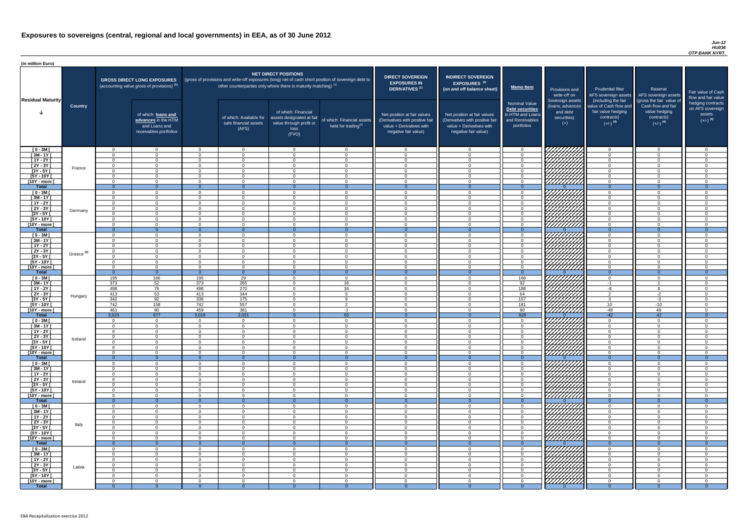#### *Jun-12 HU036 OTP BANK NYRT.*

| <b>DIRECT SOVEREIGN</b><br><b>EXPOSURES IN</b><br><b>DERIVATIVES<sup>(1)</sup></b><br>Net position at fair values<br>(Derivatives with positive fair<br>value + Derivatives with<br>negative fair value) | <b>INDIRECT SOVEREIGN</b><br><b>EXPOSURES<sup>(3)</sup></b><br>(on and off balance sheet)<br>Net position at fair values<br>(Derivatives with positive fair<br>value + Derivatives with<br>negative fair value) | <b>Memo Item</b><br><b>Nominal Value</b><br>Debt securities<br>in HTM and Loans<br>and Receivables<br>portfolios | Provisions and<br>write-off on<br>Sovereign assets<br>(loans, advances<br>and debt<br>securities)<br>$(+)$ | <b>Prudential filter</b><br>AFS sovereign assets<br>(including the fair<br>value of Cash flow and<br>fair value hedging<br>contracts)<br>$(+/-)$ <sup>(4)</sup> | Reserve<br>AFS sovereign assets<br>(gross the fair value of<br>Cash flow and fair<br>value hedging<br>contracts)<br>$(+/-)$ <sup>(4)</sup> | Fair value of Cash<br>flow and fair value<br>hedging contracts<br>on AFS sovereign<br>assets<br>$(+/-)$ <sup>(4)</sup> |
|----------------------------------------------------------------------------------------------------------------------------------------------------------------------------------------------------------|-----------------------------------------------------------------------------------------------------------------------------------------------------------------------------------------------------------------|------------------------------------------------------------------------------------------------------------------|------------------------------------------------------------------------------------------------------------|-----------------------------------------------------------------------------------------------------------------------------------------------------------------|--------------------------------------------------------------------------------------------------------------------------------------------|------------------------------------------------------------------------------------------------------------------------|
| 0                                                                                                                                                                                                        | $\mathbf 0$                                                                                                                                                                                                     | $\mathbf 0$                                                                                                      |                                                                                                            | $\mathbf 0$                                                                                                                                                     | $\mathbf 0$                                                                                                                                | $\mathbf 0$                                                                                                            |
| $\mathbf 0$                                                                                                                                                                                              | $\mathbf 0$                                                                                                                                                                                                     | $\mathbf 0$                                                                                                      |                                                                                                            | $\mathbf 0$                                                                                                                                                     | $\Omega$                                                                                                                                   | $\mathbf 0$                                                                                                            |
| $\mathbf 0$                                                                                                                                                                                              | $\mathbf 0$                                                                                                                                                                                                     | $\pmb{0}$<br>$\boldsymbol{0}$                                                                                    |                                                                                                            | $\mathbf 0$<br>$\mathbf 0$                                                                                                                                      | $\mathbf 0$<br>$\mathbf 0$                                                                                                                 | $\mathbf 0$<br>$\mathbf 0$                                                                                             |
| $\mathbf 0$<br>$\mathbf 0$                                                                                                                                                                               | $\mathbf 0$<br>$\mathbf 0$                                                                                                                                                                                      | $\mathbf 0$                                                                                                      |                                                                                                            | $\mathbf 0$                                                                                                                                                     | $\mathbf 0$                                                                                                                                | $\mathbf 0$                                                                                                            |
| $\mathbf 0$                                                                                                                                                                                              | $\mathbf 0$                                                                                                                                                                                                     | $\mathbf 0$                                                                                                      |                                                                                                            | $\mathbf 0$                                                                                                                                                     | $\overline{0}$                                                                                                                             | $\mathbf 0$                                                                                                            |
| $\mathbf 0$                                                                                                                                                                                              | $\mathbf 0$                                                                                                                                                                                                     | $\mathbf 0$                                                                                                      |                                                                                                            | $\mathbf 0$                                                                                                                                                     | $\mathbf 0$                                                                                                                                | $\pmb{0}$                                                                                                              |
| $\mathbf{0}$                                                                                                                                                                                             | $\overline{0}$                                                                                                                                                                                                  | $\overline{0}$                                                                                                   | $\Omega$                                                                                                   | $\overline{0}$                                                                                                                                                  | $\overline{0}$                                                                                                                             | $\overline{0}$                                                                                                         |
| $\mathbf 0$                                                                                                                                                                                              | $\mathbf 0$                                                                                                                                                                                                     | 0                                                                                                                |                                                                                                            | $\mathbf 0$                                                                                                                                                     | $\mathbf 0$                                                                                                                                | $\mathbf 0$                                                                                                            |
| $\mathbf 0$                                                                                                                                                                                              | $\mathbf 0$                                                                                                                                                                                                     | $\mathbf 0$                                                                                                      |                                                                                                            | $\mathbf 0$                                                                                                                                                     | $\mathbf 0$                                                                                                                                | $\mathbf 0$                                                                                                            |
| $\mathbf 0$                                                                                                                                                                                              | $\mathbf 0$                                                                                                                                                                                                     | $\mathbf 0$                                                                                                      |                                                                                                            | $\mathbf 0$                                                                                                                                                     | $\mathbf 0$                                                                                                                                | $\mathbf 0$                                                                                                            |
| $\mathbf 0$                                                                                                                                                                                              | $\mathbf 0$                                                                                                                                                                                                     | $\mathbf 0$                                                                                                      |                                                                                                            | $\mathbf 0$                                                                                                                                                     | $\mathbf 0$                                                                                                                                | $\mathbf 0$                                                                                                            |
| $\mathbf 0$<br>$\mathbf 0$                                                                                                                                                                               | $\mathbf 0$<br>0                                                                                                                                                                                                | $\mathbf 0$<br>$\mathbf 0$                                                                                       |                                                                                                            | $\mathbf 0$<br>$\mathbf 0$                                                                                                                                      | $\mathbf 0$<br>$\overline{0}$                                                                                                              | $\mathbf 0$<br>$\mathbf 0$                                                                                             |
| $\mathbf 0$                                                                                                                                                                                              | $\mathbf 0$                                                                                                                                                                                                     | $\pmb{0}$                                                                                                        |                                                                                                            | 0                                                                                                                                                               | $\mathbf 0$                                                                                                                                | $\mathbf 0$                                                                                                            |
| $\overline{0}$                                                                                                                                                                                           | $\overline{0}$                                                                                                                                                                                                  | $\overline{0}$                                                                                                   | $\Omega$                                                                                                   | $\overline{0}$                                                                                                                                                  | $\overline{0}$                                                                                                                             | $\overline{0}$                                                                                                         |
| $\mathbf 0$                                                                                                                                                                                              | $\mathbf 0$                                                                                                                                                                                                     | $\pmb{0}$                                                                                                        |                                                                                                            | $\mathbf 0$                                                                                                                                                     | $\mathbf 0$                                                                                                                                | $\mathbf 0$                                                                                                            |
| $\mathbf 0$                                                                                                                                                                                              | $\mathbf 0$                                                                                                                                                                                                     | $\mathbf 0$                                                                                                      |                                                                                                            | $\mathbf 0$                                                                                                                                                     | $\mathbf 0$                                                                                                                                | $\mathbf 0$                                                                                                            |
| $\mathbf 0$                                                                                                                                                                                              | $\mathbf 0$                                                                                                                                                                                                     | $\mathbf 0$                                                                                                      |                                                                                                            | $\mathbf 0$                                                                                                                                                     | $\overline{0}$                                                                                                                             | $\mathbf 0$                                                                                                            |
| $\mathbf 0$                                                                                                                                                                                              | $\mathbf 0$                                                                                                                                                                                                     | $\mathbf 0$                                                                                                      |                                                                                                            | $\mathbf 0$                                                                                                                                                     | $\overline{0}$                                                                                                                             | $\mathbf 0$                                                                                                            |
| $\mathbf 0$                                                                                                                                                                                              | $\Omega$                                                                                                                                                                                                        | $\Omega$                                                                                                         |                                                                                                            | $\Omega$                                                                                                                                                        | $\Omega$                                                                                                                                   | $\overline{0}$                                                                                                         |
| $\mathbf 0$                                                                                                                                                                                              | $\mathbf 0$                                                                                                                                                                                                     | 0                                                                                                                |                                                                                                            | $\mathbf 0$                                                                                                                                                     | $\mathbf 0$                                                                                                                                | 0                                                                                                                      |
| $\mathbf 0$<br>$\mathbf{0}$                                                                                                                                                                              | $\mathbf 0$<br>$\overline{0}$                                                                                                                                                                                   | $\mathbf 0$<br>$\overline{0}$                                                                                    | $\overline{0}$                                                                                             | $\mathbf 0$<br>$\overline{0}$                                                                                                                                   | $\mathbf 0$<br>$\overline{0}$                                                                                                              | 0<br>$\overline{0}$                                                                                                    |
| $\mathbf 0$                                                                                                                                                                                              | $\mathbf 0$                                                                                                                                                                                                     | 166                                                                                                              |                                                                                                            | $\overline{0}$                                                                                                                                                  | $\overline{0}$                                                                                                                             | $\mathbf 0$                                                                                                            |
| $\mathbf 0$                                                                                                                                                                                              | 0                                                                                                                                                                                                               | 92                                                                                                               |                                                                                                            | $-1$                                                                                                                                                            | 1                                                                                                                                          | 0                                                                                                                      |
| $\mathbf 0$                                                                                                                                                                                              | 0                                                                                                                                                                                                               | 188                                                                                                              |                                                                                                            | $-8$                                                                                                                                                            | 8                                                                                                                                          | 0                                                                                                                      |
| $\mathbf 0$                                                                                                                                                                                              | $\mathbf 0$                                                                                                                                                                                                     | 64                                                                                                               |                                                                                                            | $\overline{2}$                                                                                                                                                  | $-2$                                                                                                                                       | 0                                                                                                                      |
| $\mathbf 0$                                                                                                                                                                                              | $\mathbf 0$                                                                                                                                                                                                     | 157                                                                                                              |                                                                                                            | $\mathbf{3}$                                                                                                                                                    | $-3$                                                                                                                                       | 0                                                                                                                      |
| $\mathbf 0$                                                                                                                                                                                              | $\mathbf 0$                                                                                                                                                                                                     | 181                                                                                                              |                                                                                                            | 10                                                                                                                                                              | $-10$                                                                                                                                      | 0                                                                                                                      |
| $\mathbf 0$                                                                                                                                                                                              | $\mathbf 0$                                                                                                                                                                                                     | 80                                                                                                               |                                                                                                            | $-48$                                                                                                                                                           | 48                                                                                                                                         | 0                                                                                                                      |
| $\mathbf{0}$                                                                                                                                                                                             | $\overline{0}$                                                                                                                                                                                                  | 928                                                                                                              | $\overline{0}$                                                                                             | $-42$                                                                                                                                                           | 42                                                                                                                                         | $\mathbf 0$                                                                                                            |
| $\mathbf 0$<br>$\mathbf 0$                                                                                                                                                                               | 0<br>$\mathbf 0$                                                                                                                                                                                                | 0<br>$\pmb{0}$                                                                                                   |                                                                                                            | $\overline{0}$<br>$\overline{0}$                                                                                                                                | 0<br>$\mathbf 0$                                                                                                                           | 0<br>0                                                                                                                 |
| $\mathbf 0$                                                                                                                                                                                              | $\mathbf 0$                                                                                                                                                                                                     | 0                                                                                                                |                                                                                                            | $\mathbf 0$                                                                                                                                                     | $\mathbf 0$                                                                                                                                | 0                                                                                                                      |
| $\mathbf 0$                                                                                                                                                                                              | 0                                                                                                                                                                                                               | 0                                                                                                                |                                                                                                            | 0                                                                                                                                                               | $\mathbf 0$                                                                                                                                | 0                                                                                                                      |
| $\mathbf 0$                                                                                                                                                                                              | 0                                                                                                                                                                                                               | 0                                                                                                                |                                                                                                            | 0                                                                                                                                                               | 0                                                                                                                                          | 0                                                                                                                      |
| $\mathbf 0$                                                                                                                                                                                              | 0                                                                                                                                                                                                               | 0                                                                                                                |                                                                                                            | $\mathbf 0$                                                                                                                                                     | 0                                                                                                                                          | 0                                                                                                                      |
| $\mathbf 0$                                                                                                                                                                                              | 0                                                                                                                                                                                                               | 0                                                                                                                |                                                                                                            | $\mathbf 0$                                                                                                                                                     | 0                                                                                                                                          | 0                                                                                                                      |
| $\mathbf{0}$                                                                                                                                                                                             | $\overline{0}$                                                                                                                                                                                                  | $\overline{0}$                                                                                                   | $\Omega$                                                                                                   | $\overline{0}$                                                                                                                                                  | $\overline{0}$                                                                                                                             | $\overline{0}$                                                                                                         |
| $\mathbf 0$<br>$\pmb{0}$                                                                                                                                                                                 | 0<br>$\mathbf 0$                                                                                                                                                                                                | $\mathbf 0$<br>0                                                                                                 |                                                                                                            | 0<br>$\mathbf 0$                                                                                                                                                | 0<br>0                                                                                                                                     | 0<br>0                                                                                                                 |
| $\mathbf 0$                                                                                                                                                                                              | $\mathbf 0$                                                                                                                                                                                                     | $\mathbf 0$                                                                                                      |                                                                                                            | $\overline{0}$                                                                                                                                                  | 0                                                                                                                                          | $\mathbf 0$                                                                                                            |
| $\mathbf 0$                                                                                                                                                                                              | $\mathbf 0$                                                                                                                                                                                                     | 0                                                                                                                |                                                                                                            | $\overline{0}$                                                                                                                                                  | 0                                                                                                                                          | 0                                                                                                                      |
| $\boldsymbol{0}$                                                                                                                                                                                         | $\mathbf 0$                                                                                                                                                                                                     | $\pmb{0}$                                                                                                        |                                                                                                            | $\overline{0}$                                                                                                                                                  | $\mathbf 0$                                                                                                                                | 0                                                                                                                      |
| $\boldsymbol{0}$                                                                                                                                                                                         | $\mathbf 0$                                                                                                                                                                                                     | $\pmb{0}$                                                                                                        |                                                                                                            | $\mathbf 0$                                                                                                                                                     | $\mathbf 0$                                                                                                                                | 0                                                                                                                      |
| $\pmb{0}$                                                                                                                                                                                                | $\pmb{0}$                                                                                                                                                                                                       | 0                                                                                                                |                                                                                                            | $\mathbf 0$                                                                                                                                                     | $\mathbf 0$                                                                                                                                | 0                                                                                                                      |
| $\mathbf{0}$                                                                                                                                                                                             | $\overline{0}$                                                                                                                                                                                                  | $\overline{0}$                                                                                                   | $\overline{0}$                                                                                             | $\overline{0}$                                                                                                                                                  | $\overline{0}$                                                                                                                             | $\overline{0}$                                                                                                         |
| $\mathbf 0$                                                                                                                                                                                              | 0                                                                                                                                                                                                               | 0                                                                                                                |                                                                                                            | $\mathbf 0$                                                                                                                                                     | 0                                                                                                                                          | $\mathbf 0$                                                                                                            |
| $\boldsymbol{0}$<br>$\mathbf 0$                                                                                                                                                                          | 0<br>0                                                                                                                                                                                                          | $\pmb{0}$<br>$\,0\,$                                                                                             |                                                                                                            | $\mathbf 0$<br>$\mathbf 0$                                                                                                                                      | 0<br>0                                                                                                                                     | $\pmb{0}$<br>$\mathbf 0$                                                                                               |
| $\mathbf 0$                                                                                                                                                                                              | $\mathbf 0$                                                                                                                                                                                                     | $\mathbf 0$                                                                                                      |                                                                                                            | $\mathbf 0$                                                                                                                                                     | $\mathbf 0$                                                                                                                                | $\mathbf 0$                                                                                                            |
| $\mathbf 0$                                                                                                                                                                                              | $\mathbf 0$                                                                                                                                                                                                     | $\pmb{0}$                                                                                                        |                                                                                                            | $\mathbf 0$                                                                                                                                                     | $\mathbf 0$                                                                                                                                | $\mathbf 0$                                                                                                            |
| $\pmb{0}$                                                                                                                                                                                                | $\pmb{0}$                                                                                                                                                                                                       | $\pmb{0}$                                                                                                        |                                                                                                            | $\mathbf 0$                                                                                                                                                     | $\pmb{0}$                                                                                                                                  | 0                                                                                                                      |
| $\mathbf 0$                                                                                                                                                                                              | 0                                                                                                                                                                                                               | $\pmb{0}$                                                                                                        |                                                                                                            | 0                                                                                                                                                               | $\mathbf 0$                                                                                                                                | 0                                                                                                                      |
| $\mathbf{0}$                                                                                                                                                                                             | $\overline{0}$                                                                                                                                                                                                  | $\mathbf 0$                                                                                                      | $\Omega$                                                                                                   | $\overline{0}$                                                                                                                                                  | $\overline{0}$                                                                                                                             | $\overline{0}$                                                                                                         |
| 0                                                                                                                                                                                                        | 0                                                                                                                                                                                                               | 0                                                                                                                |                                                                                                            | 0                                                                                                                                                               | 0                                                                                                                                          | 0                                                                                                                      |
| $\pmb{0}$<br>$\mathbf 0$                                                                                                                                                                                 | $\pmb{0}$<br>$\mathbf 0$                                                                                                                                                                                        | 0<br>$\mathbf 0$                                                                                                 |                                                                                                            | $\mathbf 0$                                                                                                                                                     | $\mathbf 0$<br>$\mathbf 0$                                                                                                                 | $\mathbf 0$<br>$\mathbf 0$                                                                                             |
| $\mathbf 0$                                                                                                                                                                                              | $\overline{0}$                                                                                                                                                                                                  | $\mathbf 0$                                                                                                      |                                                                                                            | $\overline{0}$<br>$\overline{0}$                                                                                                                                | $\mathbf 0$                                                                                                                                | $\overline{0}$                                                                                                         |
| $\mathbf 0$                                                                                                                                                                                              | $\mathbf 0$                                                                                                                                                                                                     | $\pmb{0}$                                                                                                        |                                                                                                            | $\overline{0}$                                                                                                                                                  | $\overline{0}$                                                                                                                             | $\mathbf 0$                                                                                                            |
| $\mathbf 0$                                                                                                                                                                                              | $\mathbf 0$                                                                                                                                                                                                     | $\mathbf 0$                                                                                                      |                                                                                                            | $\overline{0}$                                                                                                                                                  | $\overline{0}$                                                                                                                             | $\mathbf 0$                                                                                                            |
| $\mathbf 0$                                                                                                                                                                                              | $\mathbf 0$                                                                                                                                                                                                     | 0                                                                                                                |                                                                                                            | $\overline{0}$                                                                                                                                                  | $\overline{0}$                                                                                                                             | $\mathbf 0$                                                                                                            |
| $\overline{0}$                                                                                                                                                                                           | $\overline{0}$                                                                                                                                                                                                  | $\overline{0}$                                                                                                   | $\overline{0}$                                                                                             | $\overline{0}$                                                                                                                                                  | $\overline{0}$                                                                                                                             | $\overline{0}$                                                                                                         |

| (in million Euro)                |                       |                            |                                                                                             |                         |                                                                      |                                                                                              |                                                                                                     |                                                                                                                    |                                                                                                                    |                                                                                                     |                                                                          |                                                                                                             |                                                                                                         |                                                   |
|----------------------------------|-----------------------|----------------------------|---------------------------------------------------------------------------------------------|-------------------------|----------------------------------------------------------------------|----------------------------------------------------------------------------------------------|-----------------------------------------------------------------------------------------------------|--------------------------------------------------------------------------------------------------------------------|--------------------------------------------------------------------------------------------------------------------|-----------------------------------------------------------------------------------------------------|--------------------------------------------------------------------------|-------------------------------------------------------------------------------------------------------------|---------------------------------------------------------------------------------------------------------|---------------------------------------------------|
| <b>Residual Maturity</b>         | <b>Country</b>        |                            | <b>GROSS DIRECT LONG EXPOSURES</b><br>(accounting value gross of provisions) <sup>(1)</sup> |                         | other counterparties only where there is maturity matching) $^{(1)}$ | <b>NET DIRECT POSITIONS</b>                                                                  | (gross of provisions and write-off exposures (long) net of cash short position of sovereign debt to | <b>DIRECT SOVEREIGN</b><br><b>EXPOSURES IN</b><br>DERIVATIVES <sup>(1)</sup>                                       | <b>INDIRECT SOVEREIGN</b><br><b>EXPOSURES<sup>(3)</sup></b><br>(on and off balance sheet)                          | <b>Memo Item</b>                                                                                    | Provisions and<br>write-off on                                           | <b>Prudential filter</b><br>AFS sovereign assets                                                            | Reserve<br>AFS sovereign assets                                                                         | <b>Fair value</b><br>flow and f                   |
|                                  |                       |                            | of which: loans and<br>advances in the HTM<br>and Loans and<br>receivables portfolios       |                         | of which: Available for<br>sale financial assets<br>(AFS)            | of which: Financial<br>assets designated at fair<br>value through profit or<br>loss<br>(FVO) | of which: Financial assets<br>held for trading <sup>(2)</sup>                                       | Net position at fair values<br>(Derivatives with positive fair<br>value + Derivatives with<br>negative fair value) | Net position at fair values<br>(Derivatives with positive fair<br>value + Derivatives with<br>negative fair value) | <b>Nominal Value</b><br><b>Debt securities</b><br>in HTM and Loans<br>and Receivables<br>portfolios | Sovereign assets<br>(loans, advances<br>and debt<br>securities)<br>$(+)$ | (including the fair<br>value of Cash flow and<br>fair value hedging<br>contracts)<br>$(+/-)$ <sup>(4)</sup> | (gross the fair value of<br>Cash flow and fair<br>value hedging<br>contracts)<br>$(+/-)$ <sup>(4)</sup> | hedging o<br>on AFS <sub>s</sub><br>ass<br>$(+/-$ |
| $[0 - 3M]$                       |                       | $\Omega$                   | $\Omega$                                                                                    | $\Omega$                | $\overline{0}$                                                       | $\overline{0}$                                                                               | $\cap$                                                                                              | $\cap$                                                                                                             | $\overline{0}$                                                                                                     | $\overline{0}$                                                                                      | ג <i>ווווווווו</i>                                                       | $\overline{0}$                                                                                              | $\Omega$                                                                                                |                                                   |
| $[3M - 1Y]$                      |                       | $\Omega$                   | . റ                                                                                         | $\Omega$                | $\overline{0}$                                                       | $\Omega$                                                                                     | $\cap$                                                                                              |                                                                                                                    | $\Omega$                                                                                                           | $\Omega$                                                                                            |                                                                          | $\Omega$                                                                                                    | $\Omega$                                                                                                |                                                   |
| $[1Y - 2Y]$<br>$\boxed{2Y - 3Y}$ |                       | $\Omega$<br>$\Omega$       | $\cap$<br>$\Omega$                                                                          | $\Omega$<br>$\Omega$    | $\overline{0}$<br>$\overline{0}$                                     | $\Omega$<br>$\Omega$                                                                         | $\cap$<br>$\Omega$                                                                                  | $\Omega$                                                                                                           | $\Omega$<br>$\Omega$                                                                                               | $\Omega$<br>$\Omega$                                                                                |                                                                          | $\Omega$<br>$\Omega$                                                                                        | $\Omega$<br>$\Omega$                                                                                    |                                                   |
| $[3Y - 5Y]$                      | France                | $\Omega$                   | $\cap$                                                                                      | $\Omega$                | $\Omega$                                                             | $\Omega$                                                                                     | $\cap$                                                                                              | $\cap$                                                                                                             | - റ                                                                                                                | $\Omega$                                                                                            |                                                                          | $\Omega$                                                                                                    | $\Omega$                                                                                                |                                                   |
| $[5Y - 10Y]$                     |                       | $\Omega$                   | $\cap$                                                                                      | $\Omega$                | $\overline{0}$                                                       | $\Omega$                                                                                     | $\cap$                                                                                              | $\Omega$                                                                                                           | $\cap$                                                                                                             | $\Omega$                                                                                            | HAAAN.                                                                   | $\overline{0}$                                                                                              | $\Omega$                                                                                                |                                                   |
| [10Y - more [                    |                       | $\Omega$                   | $\Omega$                                                                                    | $\Omega$                | $\overline{0}$                                                       | $\Omega$                                                                                     | $\Omega$                                                                                            | $\Omega$                                                                                                           | $\cap$                                                                                                             | $\overline{0}$                                                                                      |                                                                          | $\overline{0}$                                                                                              | $\Omega$                                                                                                |                                                   |
| <b>Total</b>                     |                       | $\Omega$<br>$\Omega$       | $\Omega$                                                                                    | - വ<br>$\Omega$         | $\Omega$                                                             | $\cap$<br>$\Omega$                                                                           | $\Omega$<br>$\Omega$                                                                                | $\Omega$                                                                                                           | $\Omega$                                                                                                           | $\Omega$<br>$\Omega$                                                                                | 77777777                                                                 | $\Omega$<br>$\Omega$                                                                                        | $\Omega$                                                                                                |                                                   |
| $[0 - 3M]$<br>$[3M - 1Y]$        |                       | $\Omega$                   | $\Omega$                                                                                    | $\Omega$                | $\overline{0}$<br>$\overline{0}$                                     | $\Omega$                                                                                     | $\Omega$                                                                                            |                                                                                                                    | $\Omega$                                                                                                           | $\overline{0}$                                                                                      |                                                                          | $\overline{0}$                                                                                              | $\Omega$<br>$\overline{0}$                                                                              |                                                   |
| $[1Y - 2Y]$                      |                       | $\Omega$                   | $\cap$                                                                                      | $\Omega$                | $\overline{0}$                                                       | $\Omega$                                                                                     | $\Omega$                                                                                            |                                                                                                                    | $\Omega$                                                                                                           | $\Omega$                                                                                            |                                                                          | $\overline{0}$                                                                                              | $\Omega$                                                                                                |                                                   |
| $[2Y - 3Y]$                      | Germany               | $\Omega$                   | $\cap$                                                                                      | $\Omega$                | $\Omega$                                                             | $\Omega$                                                                                     | $\Omega$                                                                                            | $\sim$                                                                                                             | $\Omega$                                                                                                           | $\Omega$                                                                                            |                                                                          | $\Omega$                                                                                                    | $\Omega$                                                                                                |                                                   |
| $[3Y - 5Y]$<br>$[5Y - 10Y]$      |                       | $\Omega$<br>$\Omega$       |                                                                                             | $\Omega$<br>$\Omega$    | $\overline{0}$<br>$\overline{0}$                                     | $\Omega$<br>$\Omega$                                                                         |                                                                                                     |                                                                                                                    | $\Omega$<br>$\Omega$                                                                                               | $\Omega$<br>$\Omega$                                                                                | 777777777<br>777777777                                                   | $\Omega$<br>$\Omega$                                                                                        | $\Omega$<br>$\Omega$                                                                                    |                                                   |
| [10Y - more [                    |                       | $\cap$                     | $\cap$                                                                                      | $\Omega$                | $\Omega$                                                             | $\Omega$                                                                                     |                                                                                                     |                                                                                                                    | $\cap$                                                                                                             | $\Omega$                                                                                            | 777777777                                                                | $\Omega$                                                                                                    | $\Omega$                                                                                                |                                                   |
| <b>Total</b>                     |                       | $\overline{0}$             |                                                                                             | $\Omega$                | $\Omega$                                                             | - റ                                                                                          | - 0                                                                                                 |                                                                                                                    | $\Omega$                                                                                                           | $\Omega$                                                                                            |                                                                          | $\Omega$                                                                                                    | $\Omega$                                                                                                |                                                   |
| $[0 - 3M]$                       |                       | $\Omega$                   | $\cap$                                                                                      | $\Omega$                | $\Omega$                                                             | $\Omega$                                                                                     |                                                                                                     |                                                                                                                    | $\cap$                                                                                                             | $\Omega$                                                                                            | 7777777777                                                               | $\Omega$                                                                                                    | $\Omega$                                                                                                |                                                   |
| $[3M-1Y]$<br>$[1Y - 2Y]$         |                       | $\Omega$<br>$\Omega$       | $\cap$<br>$\Omega$                                                                          | $\Omega$<br>$\Omega$    | $\Omega$<br>$\Omega$                                                 | $\Omega$<br>$\Omega$                                                                         |                                                                                                     | $\Omega$<br>$\Omega$                                                                                               | $\Omega$<br>$\Omega$                                                                                               | $\Omega$<br>. റ                                                                                     |                                                                          | $\overline{0}$<br>$\Omega$                                                                                  | $\Omega$<br>$\Omega$                                                                                    |                                                   |
| $[2Y - 3Y]$                      |                       | $\Omega$                   | $\cap$                                                                                      | $\Omega$                | $\Omega$                                                             | $\Omega$                                                                                     |                                                                                                     | $\Omega$                                                                                                           | $\Omega$                                                                                                           | $\Omega$                                                                                            | $\mathbb{Z}$                                                             | $\Omega$                                                                                                    | $\Omega$                                                                                                |                                                   |
| $[3Y - 5Y]$                      | Greece <sup>(5)</sup> |                            |                                                                                             |                         |                                                                      |                                                                                              |                                                                                                     |                                                                                                                    |                                                                                                                    |                                                                                                     | $\cancel{177}$                                                           |                                                                                                             |                                                                                                         |                                                   |
| $[5Y - 10Y]$                     |                       | $\Omega$                   | $\cap$                                                                                      | $\Omega$                | $\overline{0}$                                                       | $\Omega$                                                                                     |                                                                                                     |                                                                                                                    | $\Omega$                                                                                                           | $\Omega$                                                                                            | 777777X                                                                  | $\Omega$                                                                                                    | $\Omega$                                                                                                |                                                   |
| [10Y - more [<br><b>Total</b>    |                       | $\Omega$<br>$\overline{0}$ | $\Omega$                                                                                    | $\Omega$<br>$\Omega$    | $\Omega$<br>$\Omega$                                                 | $\Omega$                                                                                     | $\Omega$                                                                                            |                                                                                                                    |                                                                                                                    | $\Omega$<br>$\Omega$                                                                                | 777777777                                                                | $\Omega$<br>$\Omega$                                                                                        | $\Omega$<br>$\Omega$                                                                                    |                                                   |
| $[0 - 3M]$                       |                       | 195                        | 166                                                                                         | 195                     | 29                                                                   | $\Omega$                                                                                     | $\cap$                                                                                              |                                                                                                                    | $\Omega$                                                                                                           | 166                                                                                                 |                                                                          | $\Omega$                                                                                                    | - 0                                                                                                     |                                                   |
| $\sqrt{3M-1Y}$                   |                       | 373                        | 52                                                                                          | 373                     | 265                                                                  | $\Omega$                                                                                     | 16                                                                                                  |                                                                                                                    | ∩                                                                                                                  | 92                                                                                                  | VIIIIIIII                                                                | -1                                                                                                          |                                                                                                         |                                                   |
| $[1Y - 2Y]$                      |                       | 498                        | 76                                                                                          | 498                     | 270                                                                  | $\Omega$                                                                                     | 34<br>-5                                                                                            | $\cap$                                                                                                             | $\Omega$<br>$\Omega$                                                                                               | 188                                                                                                 | <i>\VIIIIIII</i><br>1 <i>7777777</i> 7                                   | $-8$<br>$\overline{2}$                                                                                      |                                                                                                         |                                                   |
| $[2Y - 3Y]$<br>$[3Y - 5Y]$       | Hungary               | 413<br>342                 | 53<br>92                                                                                    | 413<br>336              | 344<br>175                                                           | $\Omega$<br>$\Omega$                                                                         | <b>Q</b>                                                                                            |                                                                                                                    | $\Omega$                                                                                                           | 64<br>157                                                                                           | ШНА.                                                                     | $\mathbf{3}$                                                                                                | $-2$<br>$-3$                                                                                            |                                                   |
| $[5Y - 10Y]$                     |                       | 742                        | 158                                                                                         | 742                     | 557                                                                  | $\Omega$                                                                                     | $\overline{2}$                                                                                      | $\Omega$                                                                                                           | $\Omega$                                                                                                           | 181                                                                                                 |                                                                          | 10 <sup>°</sup>                                                                                             | $-10$                                                                                                   |                                                   |
| [10Y - more [                    |                       | 461                        | 80                                                                                          | 459                     | 381                                                                  | $\Omega$                                                                                     | -1                                                                                                  | $\Omega$                                                                                                           | $\Omega$                                                                                                           | 80                                                                                                  | UMMA.                                                                    | -48                                                                                                         | 48                                                                                                      |                                                   |
| <b>Total</b><br>$[0 - 3M]$       |                       | 3,023<br>$\overline{0}$    | 677<br>$\Omega$                                                                             | 3,016<br>$\overline{0}$ | 2,021<br>$\overline{0}$                                              | $\Omega$<br>$\Omega$                                                                         | 65<br>$\Omega$                                                                                      | ∩                                                                                                                  | $\Omega$                                                                                                           | 928<br>$\overline{0}$                                                                               |                                                                          | $-42$<br>$\overline{0}$                                                                                     | 42<br>$\Omega$                                                                                          |                                                   |
| $[3M - 1Y]$                      |                       | $\Omega$                   | $\Omega$                                                                                    | $\Omega$                | $\overline{0}$                                                       | $\Omega$                                                                                     | $\Omega$                                                                                            | $\cap$                                                                                                             | $\Omega$                                                                                                           | $\Omega$                                                                                            |                                                                          | $\Omega$                                                                                                    | $\overline{0}$                                                                                          |                                                   |
| $[1Y - 2Y]$                      |                       | $\Omega$                   | $\Omega$                                                                                    | $\Omega$                | $\overline{0}$                                                       | $\Omega$                                                                                     | $\cap$                                                                                              |                                                                                                                    | $\Omega$                                                                                                           | $\Omega$                                                                                            |                                                                          | $\overline{0}$                                                                                              | $\Omega$                                                                                                |                                                   |
| $[2Y - 3Y]$                      | Iceland               | $\overline{0}$             | $\Omega$                                                                                    | $\Omega$                | $\overline{0}$                                                       | $\overline{0}$                                                                               |                                                                                                     |                                                                                                                    | $\Omega$                                                                                                           | $\overline{0}$                                                                                      |                                                                          | $\overline{0}$                                                                                              | $\overline{0}$                                                                                          |                                                   |
| $[3Y - 5Y]$<br>$[5Y - 10Y]$      |                       | $\Omega$<br>$\Omega$       | $\Omega$<br>$\cap$                                                                          | $\Omega$<br>- 0         | $\overline{0}$<br>$\overline{0}$                                     | $\Omega$<br>$\Omega$                                                                         |                                                                                                     |                                                                                                                    | $\Omega$<br>$\Omega$                                                                                               | $\Omega$<br>$\Omega$                                                                                |                                                                          | $\Omega$<br>$\Omega$                                                                                        | $\Omega$<br>$\Omega$                                                                                    |                                                   |
| [10Y - more [                    |                       | $\Omega$                   | <u>റ</u>                                                                                    | $\Omega$                | $\overline{0}$                                                       | $\overline{0}$                                                                               | $\cap$                                                                                              |                                                                                                                    | $\Omega$                                                                                                           | $\Omega$                                                                                            | <u>VIIIII</u> II                                                         | $\Omega$                                                                                                    | $\Omega$                                                                                                |                                                   |
| <b>Total</b>                     |                       | $\overline{0}$             |                                                                                             | $\Omega$                | $\overline{0}$                                                       | $\Omega$                                                                                     | - 0                                                                                                 |                                                                                                                    |                                                                                                                    | $\Omega$                                                                                            |                                                                          | $\overline{0}$                                                                                              | $\Omega$                                                                                                |                                                   |
| $[0 - 3M]$                       |                       | $\Omega$                   | റ                                                                                           | $\Omega$                | $\Omega$                                                             | $\Omega$                                                                                     |                                                                                                     |                                                                                                                    | $\Omega$                                                                                                           | $\Omega$                                                                                            |                                                                          | $\Omega$                                                                                                    | $\Omega$                                                                                                |                                                   |
| $[3M - 1Y]$<br>$[1Y - 2Y]$       |                       | $\Omega$<br>$\Omega$       | $\cap$<br>$\cap$                                                                            | $\Omega$<br>$\Omega$    | $\overline{0}$<br>$\overline{0}$                                     | $\Omega$<br>$\Omega$                                                                         | $\cap$                                                                                              | $\Omega$                                                                                                           | $\cap$<br>$\Omega$                                                                                                 | $\Omega$<br>$\Omega$                                                                                |                                                                          | $\overline{0}$<br>$\overline{0}$                                                                            | $\Omega$<br>$\Omega$                                                                                    |                                                   |
| $[2Y - 3Y]$                      | Ireland               | $\Omega$                   | $\Omega$                                                                                    | $\Omega$                | $\Omega$                                                             | $\Omega$                                                                                     | $\Omega$                                                                                            | $\Omega$                                                                                                           | $\Omega$                                                                                                           | $\Omega$                                                                                            |                                                                          | $\overline{0}$                                                                                              | $\Omega$                                                                                                |                                                   |
| $[3Y - 5Y]$                      |                       | $\Omega$                   | . റ                                                                                         | $\Omega$                | $\overline{0}$                                                       | $\Omega$                                                                                     | $\cap$                                                                                              | $\cap$                                                                                                             | $\Omega$                                                                                                           | $\Omega$                                                                                            |                                                                          | $\Omega$                                                                                                    | $\Omega$                                                                                                |                                                   |
| $[5Y - 10Y]$                     |                       | $\Omega$<br>$\Omega$       | $\cap$<br>$\cap$                                                                            | $\Omega$<br>$\Omega$    | $\overline{0}$<br>$\Omega$                                           | $\Omega$<br>$\Omega$                                                                         | $\Omega$<br>$\Omega$                                                                                | $\Omega$                                                                                                           | $\Omega$<br>$\Omega$                                                                                               | $\Omega$<br>$\Omega$                                                                                | 777777777<br><u>V//////////</u>                                          | $\Omega$<br>$\Omega$                                                                                        | $\Omega$<br>$\Omega$                                                                                    |                                                   |
| [10Y - more [<br><b>Total</b>    |                       | $\overline{0}$             |                                                                                             | - 0                     | $\Omega$                                                             |                                                                                              | $\Omega$                                                                                            |                                                                                                                    |                                                                                                                    | $\Omega$                                                                                            |                                                                          | $\Omega$                                                                                                    | - 0                                                                                                     |                                                   |
| $[0 - 3M]$                       |                       | $\Omega$                   |                                                                                             | -C                      | $\Omega$                                                             | $\Omega$                                                                                     |                                                                                                     |                                                                                                                    | $\Omega$                                                                                                           | $\Omega$                                                                                            |                                                                          | $\Omega$                                                                                                    | $\Omega$                                                                                                |                                                   |
| $[3M - 1Y]$                      |                       | $\Omega$                   | $\Omega$                                                                                    | $\Omega$                | $\overline{0}$                                                       | $\Omega$                                                                                     |                                                                                                     |                                                                                                                    | $\Omega$                                                                                                           | $\Omega$                                                                                            |                                                                          | $\Omega$                                                                                                    | $\Omega$                                                                                                |                                                   |
| $\boxed{1Y - 2Y}$                |                       | $\Omega$<br>$\Omega$       | $\cap$<br>$\Omega$                                                                          | $\Omega$<br>$\Omega$    | $\overline{0}$                                                       | $\Omega$<br>$\Omega$                                                                         | $\cap$<br>$\cap$                                                                                    |                                                                                                                    | $\Omega$<br>$\Omega$                                                                                               | $\Omega$<br>$\Omega$                                                                                |                                                                          | $\Omega$<br>$\Omega$                                                                                        | $\Omega$<br>$\Omega$                                                                                    |                                                   |
| $\boxed{2Y - 3Y}$<br>$[3Y - 5Y]$ | Italy                 | $\Omega$                   | $\cap$                                                                                      | $\Omega$                | $\overline{0}$<br>$\Omega$                                           | $\Omega$                                                                                     | $\Omega$                                                                                            |                                                                                                                    | $\Omega$                                                                                                           | $\Omega$                                                                                            |                                                                          | $\Omega$                                                                                                    | $\Omega$                                                                                                |                                                   |
| $[5Y - 10Y]$                     |                       | $\Omega$                   | $\cap$                                                                                      | $\Omega$                | $\Omega$                                                             | $\Omega$                                                                                     | $\cap$                                                                                              | ∩                                                                                                                  | $\Omega$                                                                                                           | $\Omega$                                                                                            |                                                                          | $\overline{0}$                                                                                              | $\Omega$                                                                                                |                                                   |
| [10Y - more [                    |                       | $\Omega$                   | $\cap$                                                                                      | $\Omega$                | $\Omega$                                                             | $\Omega$                                                                                     | $\Omega$                                                                                            |                                                                                                                    | $\Omega$                                                                                                           | $\Omega$                                                                                            | /////////                                                                | $\Omega$                                                                                                    | $\Omega$                                                                                                |                                                   |
| <b>Total</b><br>$[0 - 3M]$       |                       | $\Omega$<br>$\Omega$       |                                                                                             | - വ<br>$\Omega$         | $\Omega$<br>$\Omega$                                                 | $\Omega$                                                                                     | $\Omega$                                                                                            |                                                                                                                    | $\Omega$                                                                                                           | $\Omega$<br>$\Omega$                                                                                | 1777777777                                                               | $\Omega$<br>$\Omega$                                                                                        | $\cap$                                                                                                  |                                                   |
| $[3M - 1Y]$                      |                       | $\Omega$                   | . റ                                                                                         | $\Omega$                | $\overline{0}$                                                       | $\overline{0}$                                                                               | $\Omega$                                                                                            |                                                                                                                    | $\Omega$                                                                                                           | $\Omega$                                                                                            |                                                                          | $\overline{0}$                                                                                              | $\overline{0}$                                                                                          |                                                   |
| $[1Y - 2Y]$                      |                       | $\Omega$                   | $\Omega$                                                                                    | $\Omega$                | $\overline{0}$                                                       | $\overline{0}$                                                                               | $\Omega$                                                                                            | $\Omega$                                                                                                           | $\Omega$                                                                                                           | $\overline{0}$                                                                                      |                                                                          | $\overline{0}$                                                                                              | $\overline{0}$                                                                                          |                                                   |
| $[2Y - 3Y]$                      | Latvia                | $\overline{0}$             | $\overline{0}$                                                                              | $\Omega$                | $\overline{0}$                                                       | $\overline{0}$                                                                               | $\Omega$                                                                                            | $\Omega$                                                                                                           | $\Omega$                                                                                                           | $\overline{0}$                                                                                      |                                                                          | $\overline{0}$                                                                                              | $\Omega$                                                                                                |                                                   |
| $[3Y - 5Y]$<br>$[5Y - 10Y]$      |                       | $\Omega$                   | $\Omega$<br>$\Omega$                                                                        | - റ<br>$\Omega$         | $\overline{0}$<br>$\overline{0}$                                     | $\Omega$<br>$\overline{0}$                                                                   |                                                                                                     | $\Omega$                                                                                                           | $\Omega$<br>$\Omega$                                                                                               | $\Omega$<br>$\Omega$                                                                                |                                                                          | $\Omega$<br>$\Omega$                                                                                        | $\Omega$<br>$\Omega$                                                                                    | $\cap$                                            |
| [10Y - more [                    |                       |                            | $\Omega$                                                                                    | $\Omega$                | $\overline{0}$                                                       | $\overline{0}$                                                                               |                                                                                                     |                                                                                                                    | $\Omega$                                                                                                           | $\Omega$                                                                                            | <b>CHANGER STATES</b>                                                    | $\Omega$                                                                                                    | $\Omega$                                                                                                | $\cap$                                            |
| <b>Total</b>                     |                       | $\Omega$                   |                                                                                             | $\Omega$                | $\Omega$                                                             |                                                                                              |                                                                                                     |                                                                                                                    |                                                                                                                    |                                                                                                     |                                                                          |                                                                                                             |                                                                                                         |                                                   |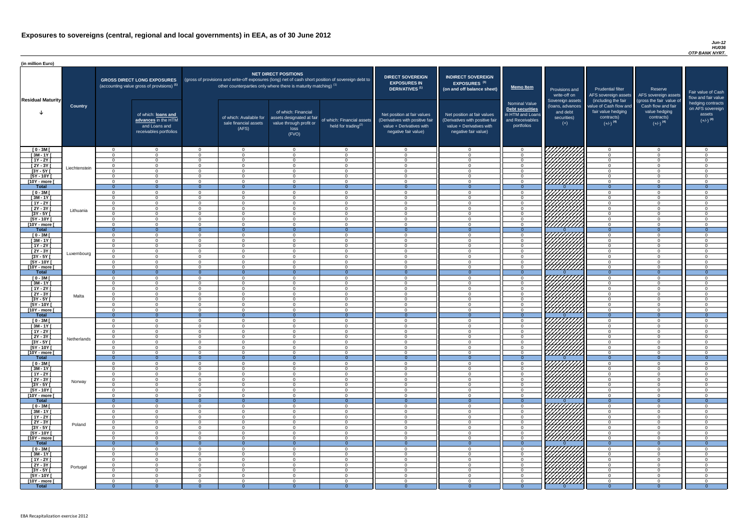#### *Jun-12 HU036 OTP BANK NYRT.*

| <b>DIRECT SOVEREIGN</b><br><b>EXPOSURES IN</b><br>DERIVATIVES <sup>(1)</sup><br>Net position at fair values<br>(Derivatives with positive fair<br>value + Derivatives with<br>negative fair value) | <b>INDIRECT SOVEREIGN</b><br><b>EXPOSURES<sup>(3)</sup></b><br>(on and off balance sheet)<br>Net position at fair values<br>(Derivatives with positive fair<br>value + Derivatives with<br>negative fair value) | <b>Memo Item</b><br><b>Nominal Value</b><br>Debt securities<br>in HTM and Loans<br>and Receivables<br>portfolios | Provisions and<br>write-off on<br>Sovereign assets<br>(loans, advances<br>and debt<br>securities)<br>$(+)$ | <b>Prudential filter</b><br>AFS sovereign assets<br>(including the fair<br>value of Cash flow and<br>fair value hedging<br>contracts)<br>$(+/-)$ <sup>(4)</sup> | Reserve<br>AFS sovereign assets<br>(gross the fair value of<br>Cash flow and fair<br>value hedging<br>contracts)<br>$(+/-)$ <sup>(4)</sup> | Fair value of Cash<br>flow and fair value<br>hedging contracts<br>on AFS sovereign<br>assets<br>$(+/-)$ <sup>(4)</sup> |
|----------------------------------------------------------------------------------------------------------------------------------------------------------------------------------------------------|-----------------------------------------------------------------------------------------------------------------------------------------------------------------------------------------------------------------|------------------------------------------------------------------------------------------------------------------|------------------------------------------------------------------------------------------------------------|-----------------------------------------------------------------------------------------------------------------------------------------------------------------|--------------------------------------------------------------------------------------------------------------------------------------------|------------------------------------------------------------------------------------------------------------------------|
|                                                                                                                                                                                                    |                                                                                                                                                                                                                 |                                                                                                                  |                                                                                                            |                                                                                                                                                                 |                                                                                                                                            |                                                                                                                        |
| $\mathbf 0$                                                                                                                                                                                        | 0                                                                                                                                                                                                               | $\mathbf 0$                                                                                                      |                                                                                                            | $\mathbf 0$                                                                                                                                                     | $\mathbf 0$                                                                                                                                | $\mathbf 0$                                                                                                            |
| $\mathbf 0$<br>$\mathbf 0$                                                                                                                                                                         | $\pmb{0}$<br>$\pmb{0}$                                                                                                                                                                                          | $\mathbf 0$<br>$\mathbf 0$                                                                                       |                                                                                                            | $\mathbf 0$<br>$\mathbf 0$                                                                                                                                      | $\mathbf 0$<br>$\mathbf 0$                                                                                                                 | $\mathbf 0$<br>$\mathbf 0$                                                                                             |
| $\mathbf 0$                                                                                                                                                                                        | $\pmb{0}$                                                                                                                                                                                                       | $\pmb{0}$                                                                                                        |                                                                                                            | $\mathbf 0$                                                                                                                                                     | $\mathbf 0$                                                                                                                                | $\mathbf 0$                                                                                                            |
| $\mathbf 0$                                                                                                                                                                                        | $\mathbf 0$                                                                                                                                                                                                     | $\mathbf 0$                                                                                                      |                                                                                                            | $\mathbf 0$                                                                                                                                                     | $\overline{0}$                                                                                                                             | $\pmb{0}$                                                                                                              |
| $\mathbf 0$                                                                                                                                                                                        | $\mathbf 0$                                                                                                                                                                                                     | $\mathbf 0$                                                                                                      |                                                                                                            | $\mathbf 0$                                                                                                                                                     | $\overline{0}$                                                                                                                             | $\mathbf 0$                                                                                                            |
| $\mathbf 0$<br>$\overline{0}$                                                                                                                                                                      | $\mathbf 0$<br>$\overline{0}$                                                                                                                                                                                   | $\mathbf 0$<br>$\overline{0}$                                                                                    | $\Omega$                                                                                                   | $\mathbf 0$<br>$\overline{0}$                                                                                                                                   | $\mathbf 0$<br>$\overline{0}$                                                                                                              | 0<br>$\overline{0}$                                                                                                    |
| $\mathbf 0$                                                                                                                                                                                        | $\mathbf 0$                                                                                                                                                                                                     | 0                                                                                                                |                                                                                                            | $\mathbf 0$                                                                                                                                                     | $\mathbf 0$                                                                                                                                | $\mathbf 0$                                                                                                            |
| $\mathbf 0$                                                                                                                                                                                        | $\mathbf 0$                                                                                                                                                                                                     | 0                                                                                                                |                                                                                                            | $\mathbf 0$                                                                                                                                                     | $\mathbf 0$                                                                                                                                | $\mathbf 0$                                                                                                            |
| $\mathbf 0$                                                                                                                                                                                        | $\mathbf 0$                                                                                                                                                                                                     | $\mathbf 0$                                                                                                      |                                                                                                            | $\mathbf 0$                                                                                                                                                     | $\mathbf 0$                                                                                                                                | $\mathbf 0$                                                                                                            |
| $\mathbf 0$<br>$\mathbf 0$                                                                                                                                                                         | $\mathbf 0$<br>0                                                                                                                                                                                                | $\mathbf 0$<br>$\mathbf 0$                                                                                       |                                                                                                            | $\mathbf 0$<br>$\mathbf 0$                                                                                                                                      | $\mathbf 0$<br>$\overline{0}$                                                                                                              | $\mathbf 0$<br>$\mathbf 0$                                                                                             |
| $\pmb{0}$                                                                                                                                                                                          | $\mathbf 0$                                                                                                                                                                                                     | $\pmb{0}$                                                                                                        |                                                                                                            | $\mathbf 0$                                                                                                                                                     | $\mathbf 0$                                                                                                                                | $\mathbf 0$                                                                                                            |
| $\pmb{0}$                                                                                                                                                                                          | $\mathbf 0$                                                                                                                                                                                                     | $\pmb{0}$                                                                                                        |                                                                                                            | $\mathbf 0$                                                                                                                                                     | $\mathbf 0$                                                                                                                                | $\mathbf 0$                                                                                                            |
| $\overline{0}$                                                                                                                                                                                     | $\overline{0}$                                                                                                                                                                                                  | $\overline{0}$                                                                                                   | $\Omega$                                                                                                   | $\overline{0}$                                                                                                                                                  | $\overline{0}$                                                                                                                             | $\overline{0}$                                                                                                         |
| $\mathbf 0$<br>$\mathbf 0$                                                                                                                                                                         | $\mathbf 0$<br>$\mathbf 0$                                                                                                                                                                                      | 0<br>$\mathbf 0$                                                                                                 |                                                                                                            | $\mathbf 0$<br>$\overline{0}$                                                                                                                                   | $\mathbf 0$<br>$\overline{0}$                                                                                                              | $\mathbf 0$<br>$\mathbf 0$                                                                                             |
| $\mathbf 0$                                                                                                                                                                                        | $\mathbf 0$                                                                                                                                                                                                     | $\mathbf 0$                                                                                                      |                                                                                                            | $\overline{0}$                                                                                                                                                  | $\overline{0}$                                                                                                                             | $\mathbf 0$                                                                                                            |
| $\pmb{0}$                                                                                                                                                                                          | $\pmb{0}$                                                                                                                                                                                                       | 0                                                                                                                |                                                                                                            | $\mathbf 0$                                                                                                                                                     | $\pmb{0}$                                                                                                                                  | 0                                                                                                                      |
| $\mathbf{0}$                                                                                                                                                                                       | $\Omega$                                                                                                                                                                                                        | 0                                                                                                                |                                                                                                            | $\Omega$                                                                                                                                                        | $\Omega$                                                                                                                                   | $\Omega$                                                                                                               |
| 0                                                                                                                                                                                                  | 0                                                                                                                                                                                                               | 0                                                                                                                | 7777777                                                                                                    | 0                                                                                                                                                               | 0                                                                                                                                          | 0                                                                                                                      |
| $\mathbf 0$<br>$\overline{0}$                                                                                                                                                                      | 0<br>$\overline{0}$                                                                                                                                                                                             | 0<br>$\overline{0}$                                                                                              | $\overline{0}$                                                                                             | $\mathbf 0$<br>$\overline{0}$                                                                                                                                   | $\Omega$<br>$\overline{0}$                                                                                                                 | $\Omega$<br>$\overline{0}$                                                                                             |
| 0                                                                                                                                                                                                  | 0                                                                                                                                                                                                               | $\,0\,$                                                                                                          |                                                                                                            | $\mathbf 0$                                                                                                                                                     | 0                                                                                                                                          | 0                                                                                                                      |
| $\mathbf 0$                                                                                                                                                                                        | 0                                                                                                                                                                                                               | $\pmb{0}$                                                                                                        |                                                                                                            | $\mathbf 0$                                                                                                                                                     | 0                                                                                                                                          | $\mathbf 0$                                                                                                            |
| $\mathbf 0$                                                                                                                                                                                        | 0                                                                                                                                                                                                               | $\pmb{0}$                                                                                                        |                                                                                                            | $\mathbf 0$                                                                                                                                                     | 0                                                                                                                                          | $\mathbf 0$                                                                                                            |
| $\mathbf 0$<br>$\mathbf 0$                                                                                                                                                                         | 0<br>$\mathbf 0$                                                                                                                                                                                                | $\pmb{0}$<br>$\boldsymbol{0}$                                                                                    |                                                                                                            | $\mathbf 0$<br>0                                                                                                                                                | 0<br>0                                                                                                                                     | 0<br>0                                                                                                                 |
| 0                                                                                                                                                                                                  | $\mathbf 0$                                                                                                                                                                                                     | $\boldsymbol{0}$                                                                                                 |                                                                                                            | $\mathbf 0$                                                                                                                                                     | 0                                                                                                                                          | 0                                                                                                                      |
| 0                                                                                                                                                                                                  | 0                                                                                                                                                                                                               | $\mathbf 0$                                                                                                      |                                                                                                            | 0                                                                                                                                                               | 0                                                                                                                                          | 0                                                                                                                      |
| $\mathbf{0}$                                                                                                                                                                                       | $\overline{0}$                                                                                                                                                                                                  | $\boldsymbol{0}$<br>$\boldsymbol{0}$                                                                             | $\overline{0}$                                                                                             | $\overline{0}$                                                                                                                                                  | $\overline{0}$                                                                                                                             | $\overline{0}$                                                                                                         |
| 0<br>0                                                                                                                                                                                             | 0<br>0                                                                                                                                                                                                          | 0                                                                                                                |                                                                                                            | 0<br>0                                                                                                                                                          | 0<br>0                                                                                                                                     | 0<br>0                                                                                                                 |
| 0                                                                                                                                                                                                  | 0                                                                                                                                                                                                               | $\boldsymbol{0}$                                                                                                 |                                                                                                            | 0                                                                                                                                                               | 0                                                                                                                                          | 0                                                                                                                      |
| 0                                                                                                                                                                                                  | 0                                                                                                                                                                                                               | $\boldsymbol{0}$                                                                                                 |                                                                                                            | 0                                                                                                                                                               | 0                                                                                                                                          | 0                                                                                                                      |
| 0                                                                                                                                                                                                  | 0                                                                                                                                                                                                               | $\mathbf 0$<br>$\boldsymbol{0}$                                                                                  |                                                                                                            | 0                                                                                                                                                               | 0                                                                                                                                          | 0<br>0                                                                                                                 |
| $\mathbf 0$<br>$\mathbf 0$                                                                                                                                                                         | 0<br>0                                                                                                                                                                                                          | $\boldsymbol{0}$                                                                                                 |                                                                                                            | 0<br>$\mathbf 0$                                                                                                                                                | 0<br>$\mathbf 0$                                                                                                                           | 0                                                                                                                      |
| $\mathbf{0}$                                                                                                                                                                                       | $\overline{0}$                                                                                                                                                                                                  | $\overline{0}$                                                                                                   | $\overline{0}$                                                                                             | $\overline{0}$                                                                                                                                                  | $\overline{0}$                                                                                                                             | $\overline{0}$                                                                                                         |
| $\mathbf 0$                                                                                                                                                                                        | 0                                                                                                                                                                                                               | 0                                                                                                                |                                                                                                            | 0                                                                                                                                                               | 0                                                                                                                                          | 0                                                                                                                      |
| 0                                                                                                                                                                                                  | $\mathbf 0$                                                                                                                                                                                                     | $\boldsymbol{0}$<br>$\mathbf 0$                                                                                  |                                                                                                            | $\mathbf 0$<br>$\mathbf 0$                                                                                                                                      | $\mathbf 0$<br>$\mathbf 0$                                                                                                                 | $\mathbf 0$                                                                                                            |
| 0<br>$\mathbf 0$                                                                                                                                                                                   | 0<br>0                                                                                                                                                                                                          | 0                                                                                                                |                                                                                                            | 0                                                                                                                                                               | $\mathbf 0$                                                                                                                                | 0<br>0                                                                                                                 |
| $\mathbf 0$                                                                                                                                                                                        | $\pmb{0}$                                                                                                                                                                                                       | $\pmb{0}$                                                                                                        |                                                                                                            | $\mathbf 0$                                                                                                                                                     | $\mathbf 0$                                                                                                                                | 0                                                                                                                      |
| $\mathbf 0$                                                                                                                                                                                        | $\pmb{0}$                                                                                                                                                                                                       | 0                                                                                                                |                                                                                                            | $\mathbf 0$                                                                                                                                                     | $\pmb{0}$                                                                                                                                  | 0                                                                                                                      |
| $\mathbf 0$<br>$\mathbf{0}$                                                                                                                                                                        | 0<br>$\overline{0}$                                                                                                                                                                                             | $\boldsymbol{0}$<br>$\overline{0}$                                                                               | $\overline{0}$                                                                                             | $\mathbf 0$<br>$\mathbf{0}$                                                                                                                                     | 0<br>$\overline{0}$                                                                                                                        | 0<br>$\overline{0}$                                                                                                    |
| 0                                                                                                                                                                                                  | 0                                                                                                                                                                                                               | $\boldsymbol{0}$                                                                                                 |                                                                                                            | 0                                                                                                                                                               | 0                                                                                                                                          | 0                                                                                                                      |
| $\mathbf 0$                                                                                                                                                                                        | 0                                                                                                                                                                                                               | $\,0\,$                                                                                                          |                                                                                                            | $\mathbf 0$                                                                                                                                                     | 0                                                                                                                                          | $\mathbf 0$                                                                                                            |
| $\mathbf 0$                                                                                                                                                                                        | $\pmb{0}$                                                                                                                                                                                                       | $\mathbf 0$                                                                                                      |                                                                                                            | $\mathbf 0$                                                                                                                                                     | 0                                                                                                                                          | $\mathbf 0$                                                                                                            |
| $\mathbf 0$                                                                                                                                                                                        | $\mathbf 0$                                                                                                                                                                                                     | $\pmb{0}$                                                                                                        |                                                                                                            | $\mathbf 0$                                                                                                                                                     | 0                                                                                                                                          | $\mathbf 0$                                                                                                            |
| $\mathbf 0$<br>$\mathbf 0$                                                                                                                                                                         | $\mathbf 0$<br>$\mathbf 0$                                                                                                                                                                                      | $\,0\,$<br>$\boldsymbol{0}$                                                                                      |                                                                                                            | 0<br>$\mathbf 0$                                                                                                                                                | 0<br>0                                                                                                                                     | 0<br>$\mathbf 0$                                                                                                       |
| $\mathbf 0$                                                                                                                                                                                        | 0                                                                                                                                                                                                               | $\boldsymbol{0}$                                                                                                 |                                                                                                            | 0                                                                                                                                                               | 0                                                                                                                                          | 0                                                                                                                      |
| $\overline{0}$                                                                                                                                                                                     | $\mathbf{0}$                                                                                                                                                                                                    | $\mathbf 0$                                                                                                      | $\overline{0}$                                                                                             | $\mathbf{0}$                                                                                                                                                    | $\mathbf{0}$                                                                                                                               | $\overline{0}$                                                                                                         |
| 0                                                                                                                                                                                                  | 0                                                                                                                                                                                                               | 0                                                                                                                |                                                                                                            | 0                                                                                                                                                               | 0                                                                                                                                          | 0                                                                                                                      |
| 0<br>$\mathbf 0$                                                                                                                                                                                   | $\pmb{0}$                                                                                                                                                                                                       | $\overline{0}$<br>$\mathbf 0$                                                                                    | 77777777                                                                                                   | $\mathsf 0$                                                                                                                                                     | $\mathbf 0$<br>$\overline{0}$                                                                                                              | $\mathbf 0$<br>$\mathbf 0$                                                                                             |
| $\mathbf 0$                                                                                                                                                                                        | $\mathbf 0$<br>$\mathbf 0$                                                                                                                                                                                      | $\mathbf 0$                                                                                                      |                                                                                                            | $\mathbf 0$<br>$\mathbf 0$                                                                                                                                      | $\overline{0}$                                                                                                                             | $\overline{0}$                                                                                                         |
| $\mathbf 0$                                                                                                                                                                                        | $\mathbf 0$                                                                                                                                                                                                     | $\mathbf 0$                                                                                                      |                                                                                                            | $\overline{0}$                                                                                                                                                  | $\overline{0}$                                                                                                                             | $\mathbf 0$                                                                                                            |
| $\mathbf 0$                                                                                                                                                                                        | $\overline{0}$                                                                                                                                                                                                  | $\mathbf 0$                                                                                                      |                                                                                                            | $\overline{0}$                                                                                                                                                  | $\overline{0}$                                                                                                                             | $\overline{0}$                                                                                                         |
| $\mathbf 0$                                                                                                                                                                                        | $\mathbf 0$                                                                                                                                                                                                     | $\mathbf 0$                                                                                                      |                                                                                                            | $\overline{0}$                                                                                                                                                  | $\overline{0}$                                                                                                                             | $\mathbf 0$                                                                                                            |
| $\overline{0}$                                                                                                                                                                                     | $\overline{0}$                                                                                                                                                                                                  | $\overline{0}$                                                                                                   | $\overline{0}$                                                                                             | $\overline{0}$                                                                                                                                                  | $\overline{0}$                                                                                                                             | $\overline{0}$                                                                                                         |

| (in million Euro)                   |                |                                                                                             |                      |                      |                                                                      |                                                                                       |                                                                                                     |                                                                                    |                                                                                              |                                                               |                                                                                                                    |                                                                                                                    |                                                                                              |                                                                          |                                                                                                             |
|-------------------------------------|----------------|---------------------------------------------------------------------------------------------|----------------------|----------------------|----------------------------------------------------------------------|---------------------------------------------------------------------------------------|-----------------------------------------------------------------------------------------------------|------------------------------------------------------------------------------------|----------------------------------------------------------------------------------------------|---------------------------------------------------------------|--------------------------------------------------------------------------------------------------------------------|--------------------------------------------------------------------------------------------------------------------|----------------------------------------------------------------------------------------------|--------------------------------------------------------------------------|-------------------------------------------------------------------------------------------------------------|
| <b>Residual Maturity</b>            | <b>Country</b> | <b>GROSS DIRECT LONG EXPOSURES</b><br>(accounting value gross of provisions) <sup>(1)</sup> |                      |                      | other counterparties only where there is maturity matching) $^{(1)}$ | <b>NET DIRECT POSITIONS</b>                                                           | (gross of provisions and write-off exposures (long) net of cash short position of sovereign debt to | <b>DIRECT SOVEREIGN</b><br><b>EXPOSURES IN</b><br><b>DERIVATIVES<sup>(1)</sup></b> | <b>INDIRECT SOVEREIGN</b><br><b>EXPOSURES<sup>(3)</sup></b><br>(on and off balance sheet)    | <b>Memo Item</b>                                              | Provisions and<br>write-off on                                                                                     | <b>Prudential filter</b><br>AFS sovereign assets                                                                   | Reserve<br>AFS sovereign assets                                                              | <b>Fair value</b><br>flow and f                                          |                                                                                                             |
|                                     |                |                                                                                             |                      |                      |                                                                      | of which: loans and<br>advances in the HTM<br>and Loans and<br>receivables portfolios |                                                                                                     | of which: Available for<br>sale financial assets<br>(AFS)                          | of which: Financial<br>assets designated at fair<br>value through profit or<br>loss<br>(FVO) | of which: Financial assets<br>held for trading <sup>(2)</sup> | Net position at fair values<br>(Derivatives with positive fair<br>value + Derivatives with<br>negative fair value) | Net position at fair values<br>(Derivatives with positive fair<br>value + Derivatives with<br>negative fair value) | <b>Nominal Value</b><br>Debt securities<br>in HTM and Loans<br>and Receivables<br>portfolios | Sovereign assets<br>(loans, advances<br>and debt<br>securities)<br>$(+)$ | (including the fair<br>value of Cash flow and<br>fair value hedging<br>contracts)<br>$(+/-)$ <sup>(4)</sup> |
| $[0 - 3M]$                          |                | $\Omega$                                                                                    | $\Omega$             | $\Omega$             | $\overline{0}$                                                       | $\overline{0}$                                                                        | $\cap$                                                                                              | $\cap$                                                                             | $\overline{0}$                                                                               | $\overline{0}$                                                | 7777777777                                                                                                         | $\overline{0}$                                                                                                     | $\Omega$                                                                                     |                                                                          |                                                                                                             |
| $[3M - 1Y]$                         |                | $\Omega$                                                                                    | $\Omega$             | $\Omega$             | $\overline{0}$                                                       | $\Omega$                                                                              | $\cap$                                                                                              | $\cap$                                                                             | $\Omega$                                                                                     | $\Omega$                                                      |                                                                                                                    | $\Omega$                                                                                                           | $\Omega$                                                                                     |                                                                          |                                                                                                             |
| $[1Y - 2Y]$<br>$\boxed{2Y - 3Y}$    |                | $\Omega$<br>$\Omega$                                                                        | $\cap$<br>$\Omega$   | $\Omega$<br>$\Omega$ | $\overline{0}$<br>$\overline{0}$                                     | $\Omega$<br>$\Omega$                                                                  | $\cap$<br>$\Omega$                                                                                  | $\Omega$                                                                           | $\Omega$<br>$\Omega$                                                                         | $\Omega$<br>$\Omega$                                          |                                                                                                                    | $\Omega$<br>$\Omega$                                                                                               | $\Omega$<br>$\Omega$                                                                         |                                                                          |                                                                                                             |
| $[3Y - 5Y]$                         | Liechtenstein  | $\Omega$                                                                                    | $\cap$               | $\Omega$             | $\Omega$                                                             | $\Omega$                                                                              | $\Omega$                                                                                            | $\cap$                                                                             | - റ                                                                                          | $\Omega$                                                      |                                                                                                                    | $\Omega$                                                                                                           | $\Omega$                                                                                     |                                                                          |                                                                                                             |
| $[5Y - 10Y]$                        |                | $\Omega$                                                                                    | $\cap$               | $\Omega$             | $\overline{0}$                                                       | $\Omega$                                                                              | $\cap$                                                                                              | $\Omega$                                                                           | $\cap$                                                                                       | $\Omega$                                                      | HAHARA KADALLAR<br>HAHARARA                                                                                        | $\overline{0}$                                                                                                     | $\Omega$                                                                                     |                                                                          |                                                                                                             |
| [10Y - more [                       |                | $\Omega$                                                                                    | $\Omega$             | $\Omega$             | $\overline{0}$                                                       | $\Omega$                                                                              | $\Omega$                                                                                            | $\Omega$                                                                           | $\cap$                                                                                       | $\overline{0}$                                                |                                                                                                                    | $\overline{0}$                                                                                                     | $\Omega$                                                                                     |                                                                          |                                                                                                             |
| <b>Total</b>                        |                | $\overline{0}$<br>$\Omega$                                                                  | റ<br>$\Omega$        | - വ<br>$\Omega$      | $\Omega$<br>$\overline{0}$                                           | $\cap$<br>$\Omega$                                                                    | $\Omega$<br>$\Omega$                                                                                | $\Omega$                                                                           | $\Omega$                                                                                     | $\Omega$<br>$\Omega$                                          | 77777777                                                                                                           | $\Omega$<br>$\Omega$                                                                                               | $\Omega$<br>$\Omega$                                                                         |                                                                          |                                                                                                             |
| $[0 - 3M]$<br>$[3M - 1Y]$           |                | $\overline{0}$                                                                              | $\Omega$             | $\Omega$             | $\overline{0}$                                                       | $\Omega$                                                                              | $\Omega$                                                                                            |                                                                                    | $\Omega$                                                                                     | $\overline{0}$                                                |                                                                                                                    | $\overline{0}$                                                                                                     | $\overline{0}$                                                                               |                                                                          |                                                                                                             |
| $[1Y - 2Y]$                         |                | $\Omega$                                                                                    | $\cap$               | $\Omega$             | $\overline{0}$                                                       | $\Omega$                                                                              | $\Omega$                                                                                            |                                                                                    | $\Omega$                                                                                     | $\overline{0}$                                                |                                                                                                                    | $\overline{0}$                                                                                                     | $\Omega$                                                                                     |                                                                          |                                                                                                             |
| $[2Y - 3Y]$                         | Lithuania      | $\Omega$                                                                                    | $\cap$               | $\Omega$             | $\Omega$                                                             | $\Omega$                                                                              | $\sqrt{ }$                                                                                          | $\Omega$                                                                           | $\Omega$                                                                                     | $\Omega$                                                      |                                                                                                                    | $\Omega$                                                                                                           | $\Omega$                                                                                     |                                                                          |                                                                                                             |
| $[3Y - 5Y]$<br>$[5Y - 10Y]$         |                | $\Omega$<br>$\Omega$                                                                        | $\Omega$             | $\Omega$<br>$\Omega$ | $\overline{0}$<br>$\overline{0}$                                     | $\Omega$<br>$\Omega$                                                                  |                                                                                                     |                                                                                    | $\Omega$<br>$\Omega$                                                                         | $\overline{0}$<br>$\Omega$                                    | 777777777<br>777777777                                                                                             | $\Omega$<br>$\Omega$                                                                                               | $\Omega$<br>$\Omega$                                                                         |                                                                          |                                                                                                             |
| [10Y - more [                       |                | $\cap$                                                                                      | $\cap$               | $\Omega$             | $\Omega$                                                             | $\Omega$                                                                              |                                                                                                     |                                                                                    | $\cap$                                                                                       | $\Omega$                                                      | 777777777                                                                                                          | $\Omega$                                                                                                           | $\Omega$                                                                                     |                                                                          |                                                                                                             |
| <b>Total</b>                        |                | $\overline{0}$                                                                              |                      | $\Omega$             | $\Omega$                                                             | - റ                                                                                   | - റ                                                                                                 |                                                                                    | $\Omega$                                                                                     | $\Omega$                                                      |                                                                                                                    | $\Omega$                                                                                                           | $\Omega$                                                                                     |                                                                          |                                                                                                             |
| $[0 - 3M]$                          |                | $\Omega$                                                                                    | $\cap$               | $\Omega$             | $\Omega$                                                             | $\Omega$                                                                              |                                                                                                     |                                                                                    | $\cap$                                                                                       | . വ                                                           | 777777777                                                                                                          | $\Omega$                                                                                                           | $\Omega$                                                                                     |                                                                          |                                                                                                             |
| $[3M-1Y]$<br>$[1Y - 2Y]$            |                | $\Omega$<br>$\Omega$                                                                        | $\cap$<br>$\cap$     | $\Omega$<br>$\Omega$ | $\Omega$<br>$\Omega$                                                 | $\Omega$<br>$\cap$                                                                    |                                                                                                     | $\Omega$<br>$\Omega$                                                               | $\Omega$<br>$\Omega$                                                                         | $\Omega$<br>. റ                                               |                                                                                                                    | $\overline{0}$<br>$\Omega$                                                                                         | $\Omega$<br>$\Omega$                                                                         |                                                                          |                                                                                                             |
| $[2Y - 3Y]$                         |                | $\Omega$                                                                                    | $\cap$               | $\Omega$             | $\Omega$                                                             | $\Omega$                                                                              |                                                                                                     | $\Omega$                                                                           | $\Omega$                                                                                     | $\Omega$                                                      | $\mathbb{Z}$                                                                                                       | $\Omega$                                                                                                           | $\Omega$                                                                                     |                                                                          |                                                                                                             |
| $[3Y - 5Y]$                         | Luxembourg     |                                                                                             |                      |                      |                                                                      |                                                                                       |                                                                                                     |                                                                                    |                                                                                              |                                                               | 444411<br>644                                                                                                      |                                                                                                                    |                                                                                              |                                                                          |                                                                                                             |
| $[5Y - 10Y]$                        |                | $\Omega$<br>$\Omega$                                                                        | $\cap$               | $\Omega$             | $\Omega$                                                             | $\Omega$                                                                              |                                                                                                     |                                                                                    | $\Omega$                                                                                     | $\Omega$<br>$\Omega$                                          |                                                                                                                    | $\Omega$                                                                                                           | $\Omega$<br>$\Omega$                                                                         |                                                                          |                                                                                                             |
| [10Y - more ]<br><b>Total</b>       |                | $\overline{0}$                                                                              |                      | $\Omega$<br>$\Omega$ | $\Omega$<br>$\Omega$                                                 | $\Omega$                                                                              | $\Omega$                                                                                            |                                                                                    |                                                                                              | $\Omega$                                                      | 777777777                                                                                                          | $\Omega$<br>$\overline{0}$                                                                                         | $\Omega$                                                                                     |                                                                          |                                                                                                             |
| $[0 - 3M]$                          |                | $\Omega$                                                                                    | $\cap$               | $\Omega$             | $\Omega$                                                             | $\Omega$                                                                              |                                                                                                     |                                                                                    | $\Omega$                                                                                     | $\Omega$                                                      |                                                                                                                    | $\Omega$                                                                                                           | - 0                                                                                          |                                                                          |                                                                                                             |
| $[3M - 1Y]$                         |                |                                                                                             |                      | $\Omega$             | $\Omega$                                                             | $\Omega$                                                                              |                                                                                                     |                                                                                    | $\Omega$                                                                                     | $\Omega$                                                      | VIIIIIIIII<br>レフフフ                                                                                                 | $\Omega$                                                                                                           | $\Omega$                                                                                     |                                                                          |                                                                                                             |
| $[1Y - 2Y]$                         |                | $\Omega$<br>$\Omega$                                                                        | $\Omega$<br>$\cap$   | $\Omega$<br>$\Omega$ | $\overline{0}$                                                       | $\Omega$<br>$\Omega$                                                                  | $\cap$                                                                                              | $\cap$                                                                             | $\Omega$<br>$\Omega$                                                                         | $\Omega$<br>$\Omega$                                          |                                                                                                                    | $\Omega$<br>$\Omega$                                                                                               | $\Omega$<br>$\Omega$                                                                         |                                                                          |                                                                                                             |
| [2Y - 3Y [<br>$[3Y - 5Y]$           | Malta          | $\Omega$                                                                                    | $\cap$               | $\Omega$             | $\overline{0}$<br>$\overline{0}$                                     | $\Omega$                                                                              | $\cap$                                                                                              |                                                                                    | $\Omega$                                                                                     | $\Omega$                                                      |                                                                                                                    | $\Omega$                                                                                                           | $\Omega$                                                                                     |                                                                          |                                                                                                             |
| $[5Y - 10Y]$                        |                | $\Omega$                                                                                    | $\cap$               | $\Omega$             | $\overline{0}$                                                       | $\Omega$                                                                              | $\Omega$                                                                                            | $\Omega$                                                                           | $\Omega$                                                                                     | $\overline{0}$                                                | //////////                                                                                                         | $\Omega$                                                                                                           | $\Omega$                                                                                     |                                                                          |                                                                                                             |
| [10Y - more [                       |                | $\Omega$                                                                                    | $\cap$               | $\Omega$             | $\Omega$                                                             | $\Omega$                                                                              | $\cap$                                                                                              | $\Omega$                                                                           | $\Omega$                                                                                     | $\Omega$                                                      | r <i>ttiiiin</i>                                                                                                   | $\overline{0}$                                                                                                     | $\Omega$                                                                                     |                                                                          |                                                                                                             |
| <b>Total</b><br>$[0 - 3M]$          |                | $\overline{0}$<br>$\Omega$                                                                  | $\cap$<br>$\Omega$   | $\Omega$<br>$\Omega$ | $\Omega$<br>$\overline{0}$                                           | $\Omega$<br>$\Omega$                                                                  | $\Omega$<br>$\Omega$                                                                                | ∩                                                                                  | $\Omega$                                                                                     | $\Omega$<br>$\overline{0}$                                    |                                                                                                                    | $\Omega$<br>$\Omega$                                                                                               | - 0<br>$\Omega$                                                                              |                                                                          |                                                                                                             |
| $[3M - 1Y]$                         |                | $\Omega$                                                                                    | . റ                  | $\Omega$             | $\overline{0}$                                                       | $\Omega$                                                                              | $\Omega$                                                                                            | $\cap$                                                                             | $\Omega$                                                                                     | $\Omega$                                                      |                                                                                                                    | $\Omega$                                                                                                           | $\overline{0}$                                                                               |                                                                          |                                                                                                             |
| $[1Y - 2Y]$                         |                | $\Omega$                                                                                    | $\Omega$             | $\Omega$             | $\overline{0}$                                                       | $\Omega$                                                                              | $\cap$                                                                                              |                                                                                    | $\Omega$                                                                                     | $\Omega$                                                      |                                                                                                                    | $\overline{0}$                                                                                                     | $\Omega$                                                                                     |                                                                          |                                                                                                             |
| $[2Y - 3Y]$                         | Netherlands    | $\overline{0}$                                                                              | $\Omega$             | $\Omega$             | $\overline{0}$                                                       | $\Omega$                                                                              |                                                                                                     |                                                                                    | $\Omega$                                                                                     | $\overline{0}$                                                |                                                                                                                    | $\overline{0}$                                                                                                     | $\overline{0}$                                                                               |                                                                          |                                                                                                             |
| $[3Y - 5Y]$<br>$[5Y - 10Y]$         |                | $\Omega$<br>$\Omega$                                                                        | $\Omega$<br>$\Omega$ | $\Omega$<br>- 0      | $\Omega$<br>$\overline{0}$                                           | $\Omega$<br>$\Omega$                                                                  |                                                                                                     |                                                                                    | $\Omega$<br>$\Omega$                                                                         | $\Omega$<br>$\Omega$                                          |                                                                                                                    | $\Omega$<br>$\Omega$                                                                                               | $\Omega$<br>$\Omega$                                                                         |                                                                          |                                                                                                             |
| [10Y - more [                       |                | $\Omega$                                                                                    | $\Omega$             | $\Omega$             | $\overline{0}$                                                       | $\overline{0}$                                                                        | $\cap$                                                                                              |                                                                                    | $\Omega$                                                                                     | $\Omega$                                                      | <u> ЧШТЛ</u>                                                                                                       | $\Omega$                                                                                                           | $\Omega$                                                                                     |                                                                          |                                                                                                             |
| <b>Total</b>                        |                | $\overline{0}$                                                                              | -0                   | $\Omega$             | - 0                                                                  | -0                                                                                    | - 0                                                                                                 |                                                                                    |                                                                                              | $\Omega$                                                      |                                                                                                                    | $\overline{0}$                                                                                                     | $\Omega$                                                                                     |                                                                          |                                                                                                             |
| $[0 - 3M]$                          |                | $\Omega$<br>$\Omega$                                                                        | റ<br>. റ             | $\Omega$<br>$\Omega$ | $\Omega$                                                             | $\Omega$                                                                              | $\cap$                                                                                              | $\Omega$                                                                           | $\Omega$<br>$\Omega$                                                                         | $\Omega$<br>$\Omega$                                          |                                                                                                                    | $\Omega$                                                                                                           | $\Omega$<br>$\Omega$                                                                         |                                                                          |                                                                                                             |
| $[3M - 1Y]$<br>$[1Y - 2Y]$          |                | $\Omega$                                                                                    | $\Omega$             | $\Omega$             | $\overline{0}$<br>$\overline{0}$                                     | $\Omega$<br>$\Omega$                                                                  | $\cap$                                                                                              | $\Omega$                                                                           | $\Omega$                                                                                     | $\Omega$                                                      |                                                                                                                    | $\overline{0}$<br>$\overline{0}$                                                                                   | $\Omega$                                                                                     |                                                                          |                                                                                                             |
| $[2Y - 3Y]$                         | Norway         | $\Omega$                                                                                    | $\Omega$             | $\Omega$             | $\Omega$                                                             | $\Omega$                                                                              | $\Omega$                                                                                            | $\Omega$                                                                           | $\Omega$                                                                                     | $\Omega$                                                      | HAAAB                                                                                                              | $\overline{0}$                                                                                                     | $\Omega$                                                                                     |                                                                          |                                                                                                             |
| $[3Y - 5Y]$                         |                | $\Omega$                                                                                    | <u>റ</u>             | $\Omega$             | $\overline{0}$                                                       | $\Omega$                                                                              | $\cap$                                                                                              | $\cap$                                                                             | $\Omega$                                                                                     | $\Omega$                                                      |                                                                                                                    | $\overline{0}$                                                                                                     | $\Omega$                                                                                     |                                                                          |                                                                                                             |
| $[5Y - 10Y]$<br>[10Y - more [       |                | $\Omega$<br>$\Omega$                                                                        | $\cap$<br>$\cap$     | $\Omega$<br>$\Omega$ | $\overline{0}$<br>$\Omega$                                           | $\Omega$<br>$\Omega$                                                                  | $\cap$<br>$\cap$                                                                                    | $\Omega$<br>$\Omega$                                                               | $\Omega$<br>$\Omega$                                                                         | $\Omega$<br>$\Omega$                                          | 777777777<br><u>V//////////</u>                                                                                    | $\Omega$<br>$\Omega$                                                                                               | $\Omega$<br>$\Omega$                                                                         |                                                                          |                                                                                                             |
| <b>Total</b>                        |                | $\overline{0}$                                                                              |                      | - 0                  | $\Omega$                                                             |                                                                                       | - റ                                                                                                 |                                                                                    |                                                                                              | $\Omega$                                                      |                                                                                                                    | $\Omega$                                                                                                           | - 0                                                                                          |                                                                          |                                                                                                             |
| $[0 - 3M]$                          |                | $\Omega$                                                                                    |                      | -C                   | $\Omega$                                                             | $\Omega$                                                                              |                                                                                                     |                                                                                    | $\Omega$                                                                                     | $\Omega$                                                      |                                                                                                                    | $\Omega$                                                                                                           | $\Omega$                                                                                     |                                                                          |                                                                                                             |
| $[3M - 1Y]$                         |                | $\Omega$                                                                                    | $\Omega$             | $\Omega$             | $\overline{0}$                                                       | $\Omega$                                                                              |                                                                                                     |                                                                                    | $\Omega$                                                                                     | $\Omega$                                                      |                                                                                                                    | $\Omega$                                                                                                           | $\Omega$                                                                                     |                                                                          |                                                                                                             |
| $[1Y - 2Y]$<br>$\overline{2Y - 3Y}$ |                | $\Omega$<br>$\Omega$                                                                        | $\cap$<br>$\Omega$   | $\Omega$<br>$\Omega$ | $\overline{0}$<br>$\overline{0}$                                     | $\Omega$<br>$\Omega$                                                                  | $\cap$<br>$\cap$                                                                                    |                                                                                    | $\Omega$<br>$\Omega$                                                                         | $\Omega$<br>$\Omega$                                          |                                                                                                                    | $\Omega$<br>$\Omega$                                                                                               | $\Omega$<br>$\Omega$                                                                         |                                                                          |                                                                                                             |
| $[3Y - 5Y]$                         | Poland         | $\Omega$                                                                                    | $\cap$               | $\Omega$             | $\Omega$                                                             | $\Omega$                                                                              | $\Omega$                                                                                            |                                                                                    | $\Omega$                                                                                     | $\Omega$                                                      |                                                                                                                    | $\Omega$                                                                                                           | $\Omega$                                                                                     |                                                                          |                                                                                                             |
| $[5Y - 10Y]$                        |                | $\Omega$                                                                                    | $\cap$               | $\Omega$             | $\Omega$                                                             | $\Omega$                                                                              | $\cap$                                                                                              | ∩                                                                                  | $\Omega$                                                                                     | $\Omega$                                                      | レー<br>HHHHH                                                                                                        | $\overline{0}$                                                                                                     | $\Omega$                                                                                     |                                                                          |                                                                                                             |
| [10Y - more [                       |                | $\Omega$                                                                                    | $\cap$               | $\Omega$             | $\Omega$                                                             | $\Omega$                                                                              | $\Omega$                                                                                            |                                                                                    | $\Omega$                                                                                     | $\Omega$                                                      |                                                                                                                    | $\Omega$                                                                                                           | $\Omega$                                                                                     |                                                                          |                                                                                                             |
| <b>Total</b><br>$[0 - 3M]$          |                | $\Omega$<br>$\Omega$                                                                        |                      | - വ<br>$\Omega$      | $\Omega$<br>$\Omega$                                                 | $\Omega$                                                                              | $\Omega$                                                                                            |                                                                                    | $\Omega$                                                                                     | $\Omega$<br>$\cap$                                            | <i>VIIIIIII</i>                                                                                                    | $\Omega$<br>$\Omega$                                                                                               | - 0<br>$\Omega$                                                                              |                                                                          |                                                                                                             |
| $[3M - 1Y]$                         |                | $\Omega$                                                                                    | <u>റ</u>             | $\Omega$             | $\overline{0}$                                                       | $\overline{0}$                                                                        | $\Omega$                                                                                            | $\cap$                                                                             | $\Omega$                                                                                     | $\Omega$                                                      |                                                                                                                    | $\overline{0}$                                                                                                     | $\overline{0}$                                                                               |                                                                          |                                                                                                             |
| $[1Y - 2Y]$                         |                | $\Omega$                                                                                    | $\Omega$             | $\Omega$             | $\overline{0}$                                                       | $\overline{0}$                                                                        | $\Omega$                                                                                            | $\Omega$                                                                           | $\Omega$                                                                                     | $\overline{0}$                                                |                                                                                                                    | $\overline{0}$                                                                                                     | $\overline{0}$                                                                               |                                                                          |                                                                                                             |
| $[2Y - 3Y]$                         | Portugal       | $\overline{0}$                                                                              | $\overline{0}$       | $\Omega$             | $\overline{0}$                                                       | $\overline{0}$                                                                        | $\Omega$                                                                                            | $\Omega$<br>$\Omega$                                                               | $\Omega$                                                                                     | $\overline{0}$                                                |                                                                                                                    | $\overline{0}$                                                                                                     | $\Omega$                                                                                     |                                                                          |                                                                                                             |
| $[3Y - 5Y]$<br>$[5Y - 10Y]$         |                | $\Omega$<br>$\Omega$                                                                        | $\Omega$<br>$\Omega$ | - റ<br>$\Omega$      | $\overline{0}$<br>$\overline{0}$                                     | $\Omega$<br>$\overline{0}$                                                            |                                                                                                     |                                                                                    | $\Omega$<br>$\Omega$                                                                         | $\Omega$<br>$\overline{0}$                                    |                                                                                                                    | $\Omega$<br>$\Omega$                                                                                               | $\Omega$<br>$\Omega$                                                                         | $\cap$                                                                   |                                                                                                             |
| [10Y - more [                       |                |                                                                                             | $\Omega$             | $\Omega$             | $\Omega$                                                             | $\overline{0}$                                                                        |                                                                                                     |                                                                                    | $\Omega$                                                                                     | $\Omega$                                                      | UNITA<br>UNITA                                                                                                     | $\Omega$                                                                                                           | - ೧                                                                                          | C                                                                        |                                                                                                             |
| <b>Total</b>                        |                | $\Omega$                                                                                    |                      | $\Omega$             | $\Omega$                                                             |                                                                                       |                                                                                                     |                                                                                    |                                                                                              |                                                               |                                                                                                                    | $\Omega$                                                                                                           |                                                                                              |                                                                          |                                                                                                             |